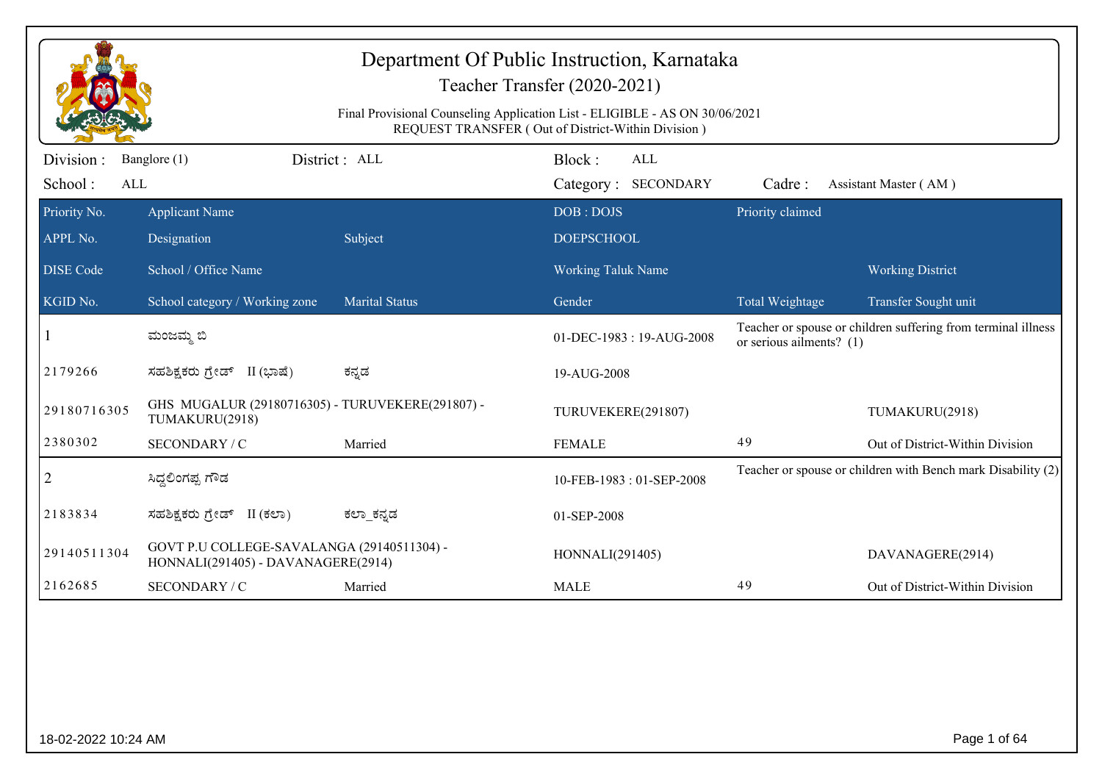|                  |                                                                                  | Final Provisional Counseling Application List - ELIGIBLE - AS ON 30/06/2021 | Department Of Public Instruction, Karnataka<br>Teacher Transfer (2020-2021)<br>REQUEST TRANSFER (Out of District-Within Division) |                          |                                                               |
|------------------|----------------------------------------------------------------------------------|-----------------------------------------------------------------------------|-----------------------------------------------------------------------------------------------------------------------------------|--------------------------|---------------------------------------------------------------|
| Division:        | Banglore (1)                                                                     | District: ALL                                                               | Block:<br><b>ALL</b>                                                                                                              |                          |                                                               |
| School:<br>ALL   |                                                                                  |                                                                             | Category: SECONDARY                                                                                                               | Cadre:                   | Assistant Master (AM)                                         |
| Priority No.     | <b>Applicant Name</b>                                                            |                                                                             | DOB: DOJS                                                                                                                         | Priority claimed         |                                                               |
| APPL No.         | Designation                                                                      | Subject                                                                     | <b>DOEPSCHOOL</b>                                                                                                                 |                          |                                                               |
| <b>DISE Code</b> | School / Office Name                                                             |                                                                             | <b>Working Taluk Name</b>                                                                                                         |                          | <b>Working District</b>                                       |
| KGID No.         | School category / Working zone                                                   | <b>Marital Status</b>                                                       | Gender                                                                                                                            | Total Weightage          | Transfer Sought unit                                          |
|                  | ಮಂಜಮ್ಮ ಬಿ                                                                        |                                                                             | 01-DEC-1983: 19-AUG-2008                                                                                                          | or serious ailments? (1) | Teacher or spouse or children suffering from terminal illness |
| 2179266          | ಸಹಶಿಕ್ಷಕರು ಗ್ರೇಡ್ II (ಭಾಷೆ)                                                      | ಕನ್ನಡ                                                                       | 19-AUG-2008                                                                                                                       |                          |                                                               |
| 29180716305      | GHS MUGALUR (29180716305) - TURUVEKERE(291807) -<br>TUMAKURU(2918)               |                                                                             | TURUVEKERE(291807)                                                                                                                |                          | TUMAKURU(2918)                                                |
| 2380302          | SECONDARY / C                                                                    | Married                                                                     | <b>FEMALE</b>                                                                                                                     | 49                       | Out of District-Within Division                               |
| $\overline{2}$   | ಸಿದ್ದಲಿಂಗಪ್ಪ ಗೌಡ                                                                 |                                                                             | 10-FEB-1983: 01-SEP-2008                                                                                                          |                          | Teacher or spouse or children with Bench mark Disability (2)  |
| 2183834          | ಸಹಶಿಕ್ಷಕರು ಗ್ರೇಡ್ II (ಕಲಾ)                                                       | ಕಲ್_ಕನ್ನಡ                                                                   | 01-SEP-2008                                                                                                                       |                          |                                                               |
| 29140511304      | GOVT P.U COLLEGE-SAVALANGA (29140511304) -<br>HONNALI(291405) - DAVANAGERE(2914) |                                                                             | HONNALI(291405)                                                                                                                   |                          | DAVANAGERE(2914)                                              |
| 2162685          | SECONDARY / C                                                                    | Married                                                                     | <b>MALE</b>                                                                                                                       | 49                       | Out of District-Within Division                               |
|                  |                                                                                  |                                                                             |                                                                                                                                   |                          |                                                               |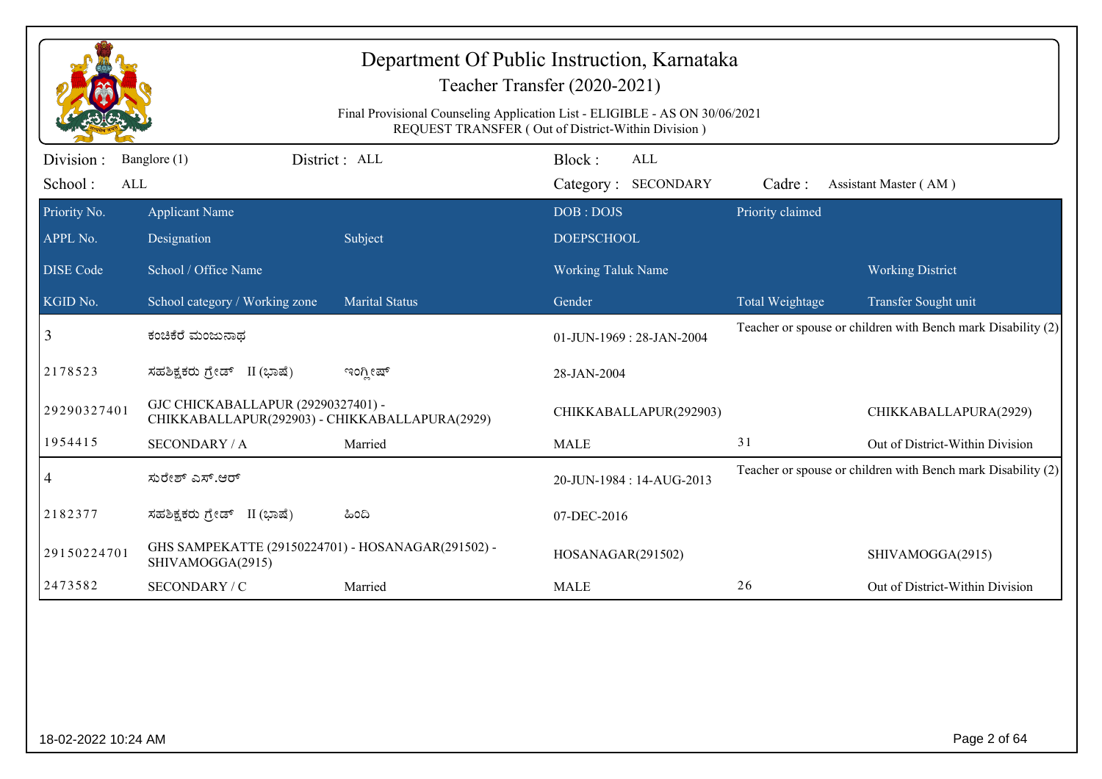|                              |                                                                                      | Final Provisional Counseling Application List - ELIGIBLE - AS ON 30/06/2021 | Department Of Public Instruction, Karnataka<br>Teacher Transfer (2020-2021)<br>REQUEST TRANSFER (Out of District-Within Division) |                  |                                                              |
|------------------------------|--------------------------------------------------------------------------------------|-----------------------------------------------------------------------------|-----------------------------------------------------------------------------------------------------------------------------------|------------------|--------------------------------------------------------------|
| Division :<br>School:<br>ALL | Banglore (1)                                                                         | District : ALL                                                              | Block:<br><b>ALL</b><br>Category: SECONDARY                                                                                       | Cadre:           | Assistant Master (AM)                                        |
| Priority No.<br>APPL No.     | <b>Applicant Name</b><br>Designation                                                 | Subject                                                                     | DOB: DOJS<br><b>DOEPSCHOOL</b>                                                                                                    | Priority claimed |                                                              |
| <b>DISE Code</b>             | School / Office Name                                                                 |                                                                             | <b>Working Taluk Name</b>                                                                                                         |                  | <b>Working District</b>                                      |
| KGID No.                     | School category / Working zone                                                       | <b>Marital Status</b>                                                       | Gender                                                                                                                            | Total Weightage  | Transfer Sought unit                                         |
| 3                            | ಕಂಚಿಕೆರೆ ಮಂಜುನಾಥ                                                                     |                                                                             | 01-JUN-1969: 28-JAN-2004                                                                                                          |                  | Teacher or spouse or children with Bench mark Disability (2) |
| 2178523                      | ಸಹಶಿಕ್ಷಕರು ಗ್ರೇಡ್ II (ಭಾಷೆ)                                                          | ಇಂಗ್ಲೀಷ್                                                                    | 28-JAN-2004                                                                                                                       |                  |                                                              |
| 29290327401                  | GJC CHICKABALLAPUR (29290327401) -<br>CHIKKABALLAPUR(292903) - CHIKKABALLAPURA(2929) |                                                                             | CHIKKABALLAPUR(292903)                                                                                                            |                  | CHIKKABALLAPURA(2929)                                        |
| 1954415                      | <b>SECONDARY / A</b>                                                                 | Married                                                                     | <b>MALE</b>                                                                                                                       | 31               | Out of District-Within Division                              |
| 4                            | ಸುರೇಶ್ ಎಸ್.ಆರ್                                                                       |                                                                             | 20-JUN-1984: 14-AUG-2013                                                                                                          |                  | Teacher or spouse or children with Bench mark Disability (2) |
| 2182377                      | ಸಹಶಿಕ್ಷಕರು ಗ್ರೇಡ್ II (ಭಾಷೆ)                                                          | ಹಿಂದಿ                                                                       | 07-DEC-2016                                                                                                                       |                  |                                                              |
| 29150224701                  | GHS SAMPEKATTE (29150224701) - HOSANAGAR(291502) -<br>SHIVAMOGGA(2915)               |                                                                             | HOSANAGAR(291502)                                                                                                                 |                  | SHIVAMOGGA(2915)                                             |
| 2473582                      | SECONDARY / C                                                                        | Married                                                                     | <b>MALE</b>                                                                                                                       | 26               | Out of District-Within Division                              |
|                              |                                                                                      |                                                                             |                                                                                                                                   |                  |                                                              |
| 18-02-2022 10:24 AM          |                                                                                      |                                                                             |                                                                                                                                   |                  | Page 2 of 64                                                 |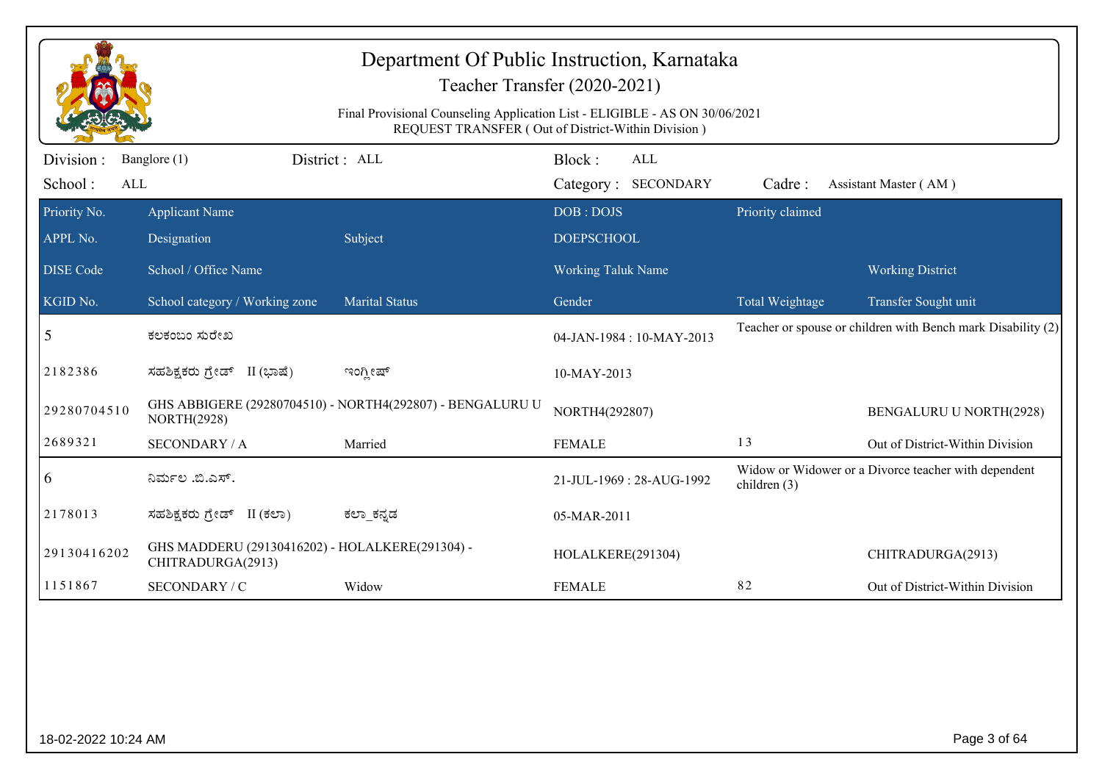|                             |                                                                      | Department Of Public Instruction, Karnataka<br>Teacher Transfer (2020-2021)<br>Final Provisional Counseling Application List - ELIGIBLE - AS ON 30/06/2021<br>REQUEST TRANSFER (Out of District-Within Division) |                                |                                   |                  |                                                              |
|-----------------------------|----------------------------------------------------------------------|------------------------------------------------------------------------------------------------------------------------------------------------------------------------------------------------------------------|--------------------------------|-----------------------------------|------------------|--------------------------------------------------------------|
| Division:<br>School:<br>ALL | Banglore (1)                                                         | District: ALL                                                                                                                                                                                                    | Block:                         | <b>ALL</b><br>Category: SECONDARY | Cadre:           | Assistant Master (AM)                                        |
| Priority No.<br>APPL No.    | <b>Applicant Name</b><br>Designation                                 | Subject                                                                                                                                                                                                          | DOB: DOJS<br><b>DOEPSCHOOL</b> |                                   | Priority claimed |                                                              |
| <b>DISE</b> Code            | School / Office Name                                                 |                                                                                                                                                                                                                  | <b>Working Taluk Name</b>      |                                   |                  | <b>Working District</b>                                      |
| KGID No.                    | School category / Working zone                                       | <b>Marital Status</b>                                                                                                                                                                                            | Gender                         |                                   | Total Weightage  | Transfer Sought unit                                         |
| 5                           | ಕಲಕಂಬಂ ಸುರೇಖ                                                         |                                                                                                                                                                                                                  |                                | 04-JAN-1984: 10-MAY-2013          |                  | Teacher or spouse or children with Bench mark Disability (2) |
| 2182386                     | ಸಹಶಿಕ್ಷಕರು ಗ್ರೇಡ್ II (ಭಾಷೆ)                                          | ಇಂಗ್ಲೀಷ್                                                                                                                                                                                                         | 10-MAY-2013                    |                                   |                  |                                                              |
| 29280704510                 | <b>NORTH(2928)</b>                                                   | GHS ABBIGERE (29280704510) - NORTH4(292807) - BENGALURU U                                                                                                                                                        | NORTH4(292807)                 |                                   |                  | <b>BENGALURU U NORTH(2928)</b>                               |
| 2689321                     | <b>SECONDARY / A</b>                                                 | Married                                                                                                                                                                                                          | <b>FEMALE</b>                  |                                   | 13               | Out of District-Within Division                              |
| 6                           | ನಿರ್ಮಲ .ಬಿ.ಎಸ್.                                                      |                                                                                                                                                                                                                  |                                | 21-JUL-1969: 28-AUG-1992          | children $(3)$   | Widow or Widower or a Divorce teacher with dependent         |
| 2178013                     | ಸಹಶಿಕ್ಷಕರು ಗ್ರೇಡ್ II (ಕಲಾ)                                           | ಕಲ್_ಕನ್ನಡ                                                                                                                                                                                                        | 05-MAR-2011                    |                                   |                  |                                                              |
| 29130416202                 | GHS MADDERU (29130416202) - HOLALKERE(291304) -<br>CHITRADURGA(2913) |                                                                                                                                                                                                                  | HOLALKERE(291304)              |                                   |                  | CHITRADURGA(2913)                                            |
| 1151867                     | SECONDARY / C                                                        | Widow                                                                                                                                                                                                            | <b>FEMALE</b>                  |                                   | 82               | Out of District-Within Division                              |
|                             |                                                                      |                                                                                                                                                                                                                  |                                |                                   |                  |                                                              |
| 18-02-2022 10:24 AM         |                                                                      |                                                                                                                                                                                                                  |                                |                                   |                  | Page 3 of 64                                                 |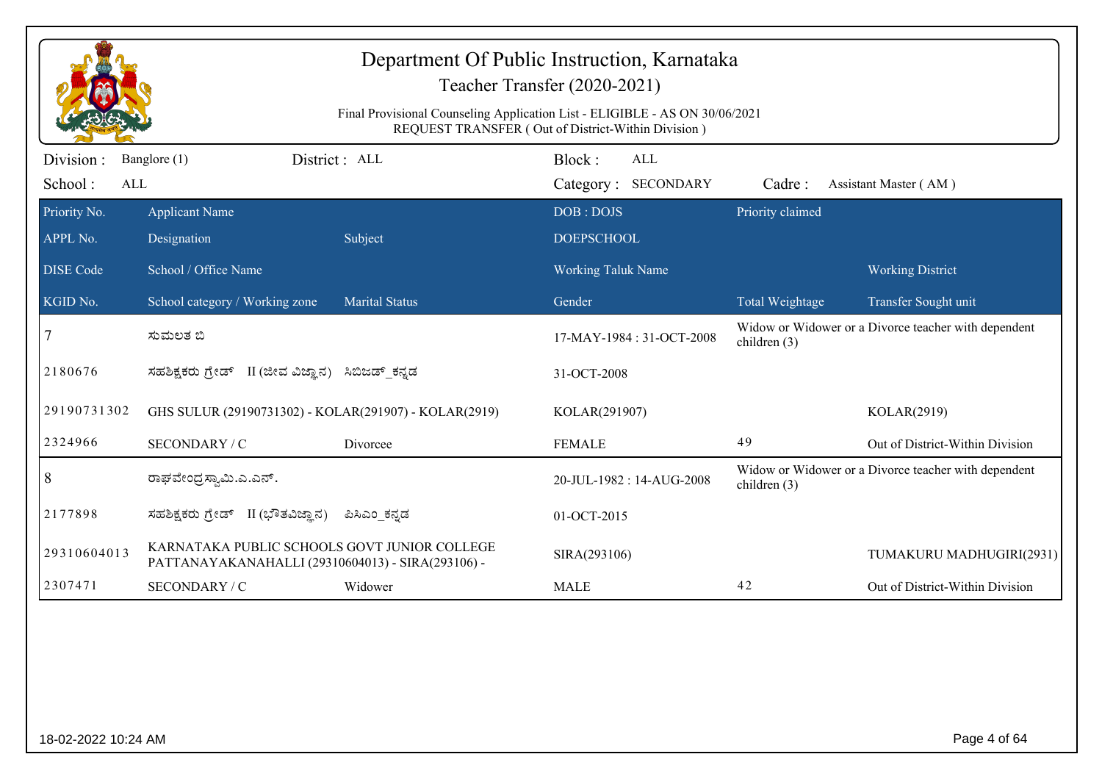|                             |                                                                                                   | Department Of Public Instruction, Karnataka<br>Teacher Transfer (2020-2021)<br>Final Provisional Counseling Application List - ELIGIBLE - AS ON 30/06/2021<br>REQUEST TRANSFER (Out of District-Within Division) |                                |                            |                  |                                                      |
|-----------------------------|---------------------------------------------------------------------------------------------------|------------------------------------------------------------------------------------------------------------------------------------------------------------------------------------------------------------------|--------------------------------|----------------------------|------------------|------------------------------------------------------|
| Division:<br>School:<br>ALL | Banglore (1)                                                                                      | District: ALL                                                                                                                                                                                                    | Block:                         | ALL<br>Category: SECONDARY | Cadre:           | Assistant Master (AM)                                |
| Priority No.<br>APPL No.    | <b>Applicant Name</b><br>Designation                                                              | Subject                                                                                                                                                                                                          | DOB: DOJS<br><b>DOEPSCHOOL</b> |                            | Priority claimed |                                                      |
| <b>DISE</b> Code            | School / Office Name                                                                              |                                                                                                                                                                                                                  | Working Taluk Name             |                            |                  | <b>Working District</b>                              |
| KGID No.                    | School category / Working zone                                                                    | <b>Marital Status</b>                                                                                                                                                                                            | Gender                         |                            | Total Weightage  | Transfer Sought unit                                 |
| $\overline{7}$              | ಸುಮಲತ ಬಿ                                                                                          |                                                                                                                                                                                                                  |                                | 17-MAY-1984 : 31-OCT-2008  | children (3)     | Widow or Widower or a Divorce teacher with dependent |
| 2180676                     | ಸಹಶಿಕ್ಷಕರು ಗ್ರೇಡ್ II (ಜೀವ ವಿಜ್ಞಾನ) ಸಿಬಿಜಡ್_ಕನ್ನಡ                                                  |                                                                                                                                                                                                                  | 31-OCT-2008                    |                            |                  |                                                      |
| 29190731302                 | GHS SULUR (29190731302) - KOLAR(291907) - KOLAR(2919)                                             |                                                                                                                                                                                                                  | KOLAR(291907)                  |                            |                  | KOLAR(2919)                                          |
| 2324966                     | SECONDARY / C                                                                                     | Divorcee                                                                                                                                                                                                         | <b>FEMALE</b>                  |                            | 49               | Out of District-Within Division                      |
| $\vert 8$                   | ರಾಘವೇಂದ್ರಸ್ವಾಮಿ.ಎ.ಎನ್.                                                                            |                                                                                                                                                                                                                  |                                | 20-JUL-1982: 14-AUG-2008   | children $(3)$   | Widow or Widower or a Divorce teacher with dependent |
| 2177898                     | ಸಹಶಿಕ್ಷಕರು ಗ್ರೇಡ್ II (ಭೌತವಿಜ್ಞಾನ)                                                                 | ಪಿಸಿಎಂ ಕನ್ನಡ                                                                                                                                                                                                     | 01-OCT-2015                    |                            |                  |                                                      |
| 29310604013                 | KARNATAKA PUBLIC SCHOOLS GOVT JUNIOR COLLEGE<br>PATTANAYAKANAHALLI (29310604013) - SIRA(293106) - |                                                                                                                                                                                                                  | SIRA(293106)                   |                            |                  | TUMAKURU MADHUGIRI(2931)                             |
| 2307471                     | SECONDARY / C                                                                                     | Widower                                                                                                                                                                                                          | <b>MALE</b>                    |                            | 42               | Out of District-Within Division                      |
|                             |                                                                                                   |                                                                                                                                                                                                                  |                                |                            |                  |                                                      |
| 18-02-2022 10:24 AM         |                                                                                                   |                                                                                                                                                                                                                  |                                |                            |                  | Page 4 of 64                                         |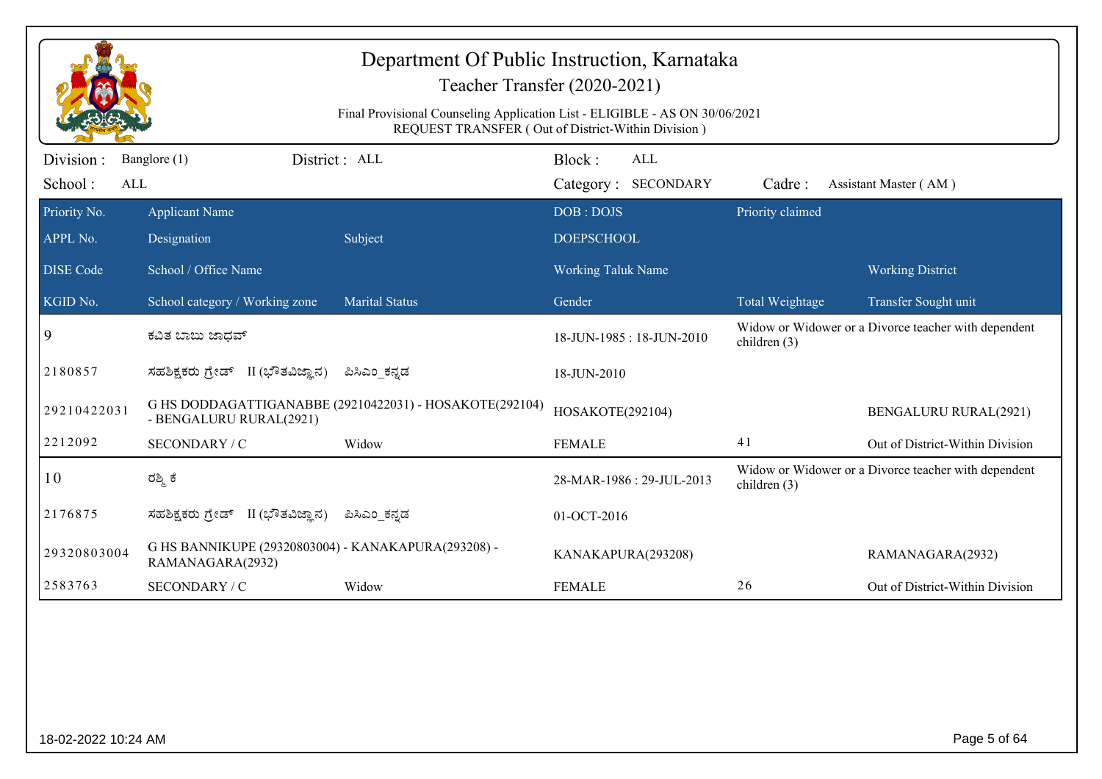|                             |                                                                         | Department Of Public Instruction, Karnataka<br>Teacher Transfer (2020-2021)<br>Final Provisional Counseling Application List - ELIGIBLE - AS ON 30/06/2021<br>REQUEST TRANSFER (Out of District-Within Division) |                           |                            |                  |                                                      |
|-----------------------------|-------------------------------------------------------------------------|------------------------------------------------------------------------------------------------------------------------------------------------------------------------------------------------------------------|---------------------------|----------------------------|------------------|------------------------------------------------------|
| Division:<br>School:<br>ALL | District: ALL<br>Banglore (1)                                           |                                                                                                                                                                                                                  | Block:                    | ALL<br>Category: SECONDARY | Cadre:           | Assistant Master (AM)                                |
| Priority No.                | <b>Applicant Name</b>                                                   |                                                                                                                                                                                                                  | DOB: DOJS                 |                            | Priority claimed |                                                      |
| APPL No.                    | Designation                                                             | Subject                                                                                                                                                                                                          | <b>DOEPSCHOOL</b>         |                            |                  |                                                      |
| <b>DISE Code</b>            | School / Office Name                                                    |                                                                                                                                                                                                                  | <b>Working Taluk Name</b> |                            |                  | <b>Working District</b>                              |
| KGID No.                    | School category / Working zone                                          | <b>Marital Status</b>                                                                                                                                                                                            | Gender                    |                            | Total Weightage  | Transfer Sought unit                                 |
| 9                           | ಕವಿತ ಬಾಬು ಜಾಧವ್                                                         |                                                                                                                                                                                                                  |                           | 18-JUN-1985: 18-JUN-2010   | children (3)     | Widow or Widower or a Divorce teacher with dependent |
| 2180857                     | ಸಹಶಿಕ್ಷಕರು ಗ್ರೇಡ್ II (ಭೌತವಿಜ್ಞಾನ)                                       | ಪಿಸಿಎಂ_ಕನ್ನಡ                                                                                                                                                                                                     | 18-JUN-2010               |                            |                  |                                                      |
| 29210422031                 | - BENGALURU RURAL(2921)                                                 | G HS DODDAGATTIGANABBE (29210422031) - HOSAKOTE(292104)                                                                                                                                                          | HOSAKOTE(292104)          |                            |                  | <b>BENGALURU RURAL(2921)</b>                         |
| 2212092                     | SECONDARY / C                                                           | Widow                                                                                                                                                                                                            | <b>FEMALE</b>             |                            | 41               | Out of District-Within Division                      |
| 10                          | ರಶ್ಮಿ ಕೆ                                                                |                                                                                                                                                                                                                  |                           | 28-MAR-1986: 29-JUL-2013   | children (3)     | Widow or Widower or a Divorce teacher with dependent |
| 2176875                     | ಸಹಶಿಕ್ಷಕರು ಗ್ರೇಡ್ II (ಭೌತವಿಜ್ಞಾನ)                                       | ಪಿಸಿಎಂ ಕನ್ನಡ                                                                                                                                                                                                     | 01-OCT-2016               |                            |                  |                                                      |
| 29320803004                 | G HS BANNIKUPE (29320803004) - KANAKAPURA(293208) -<br>RAMANAGARA(2932) |                                                                                                                                                                                                                  | KANAKAPURA(293208)        |                            |                  | RAMANAGARA(2932)                                     |
| 2583763                     | SECONDARY / C                                                           | Widow                                                                                                                                                                                                            | <b>FEMALE</b>             |                            | 26               | Out of District-Within Division                      |
|                             |                                                                         |                                                                                                                                                                                                                  |                           |                            |                  |                                                      |
| 18-02-2022 10:24 AM         |                                                                         |                                                                                                                                                                                                                  |                           |                            |                  | Page 5 of 64                                         |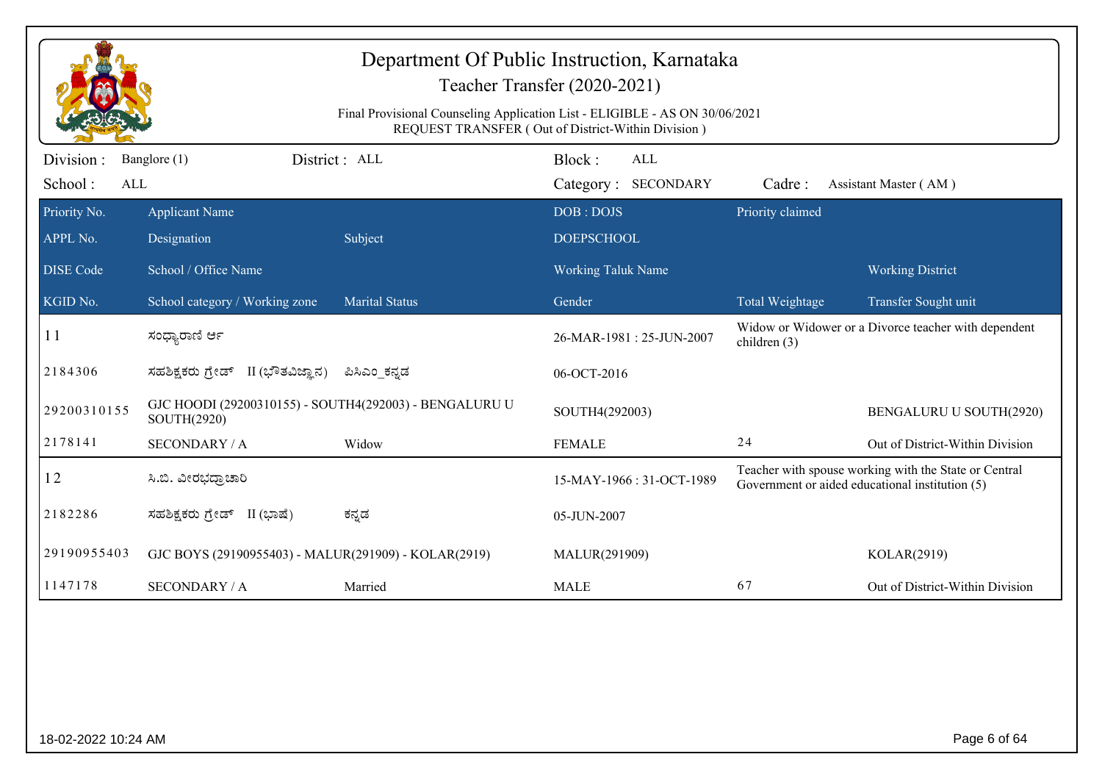|                             |                                                                       | Final Provisional Counseling Application List - ELIGIBLE - AS ON 30/06/2021 | Department Of Public Instruction, Karnataka<br>Teacher Transfer (2020-2021)<br>REQUEST TRANSFER (Out of District-Within Division) |                  |                                                                                                          |
|-----------------------------|-----------------------------------------------------------------------|-----------------------------------------------------------------------------|-----------------------------------------------------------------------------------------------------------------------------------|------------------|----------------------------------------------------------------------------------------------------------|
| Division:<br>School:<br>ALL | Banglore (1)                                                          | District: ALL                                                               | Block:<br>ALL<br>Category: SECONDARY                                                                                              | Cadre:           | Assistant Master (AM)                                                                                    |
| Priority No.<br>APPL No.    | <b>Applicant Name</b><br>Designation                                  | Subject                                                                     | DOB: DOJS<br><b>DOEPSCHOOL</b>                                                                                                    | Priority claimed |                                                                                                          |
| <b>DISE</b> Code            | School / Office Name                                                  |                                                                             | <b>Working Taluk Name</b>                                                                                                         |                  | <b>Working District</b>                                                                                  |
| KGID No.                    | School category / Working zone                                        | <b>Marital Status</b>                                                       | Gender                                                                                                                            | Total Weightage  | Transfer Sought unit                                                                                     |
| 11                          | ಸಂಧ್ಯಾರಾಣಿ ರ್ಆ                                                        |                                                                             | 26-MAR-1981: 25-JUN-2007                                                                                                          | children $(3)$   | Widow or Widower or a Divorce teacher with dependent                                                     |
| 2184306                     | ಸಹಶಿಕ್ಷಕರು ಗ್ರೇಡ್ II (ಭೌತವಿಜ್ಞಾನ)                                     | ಪಿಸಿಎಂ ಕನ್ನಡ                                                                | 06-OCT-2016                                                                                                                       |                  |                                                                                                          |
| 29200310155                 | GJC HOODI (29200310155) - SOUTH4(292003) - BENGALURU U<br>SOUTH(2920) |                                                                             | SOUTH4(292003)                                                                                                                    |                  | BENGALURU U SOUTH(2920)                                                                                  |
| 2178141                     | <b>SECONDARY / A</b>                                                  | Widow                                                                       | <b>FEMALE</b>                                                                                                                     | 24               | Out of District-Within Division                                                                          |
| 12                          | ಸಿ.ಬಿ. ವೀರಭದ್ರಾಚಾರಿ                                                   |                                                                             | 15-MAY-1966: 31-OCT-1989                                                                                                          |                  | Teacher with spouse working with the State or Central<br>Government or aided educational institution (5) |
| 2182286                     | ಸಹಶಿಕ್ಷಕರು ಗ್ರೇಡ್ II (ಭಾಷೆ)                                           | ಕನ್ನಡ                                                                       | 05-JUN-2007                                                                                                                       |                  |                                                                                                          |
| 29190955403                 | GJC BOYS (29190955403) - MALUR(291909) - KOLAR(2919)                  |                                                                             | MALUR(291909)                                                                                                                     |                  | KOLAR(2919)                                                                                              |
| 1147178                     | <b>SECONDARY / A</b>                                                  | Married                                                                     | <b>MALE</b>                                                                                                                       | 67               | Out of District-Within Division                                                                          |
|                             |                                                                       |                                                                             |                                                                                                                                   |                  |                                                                                                          |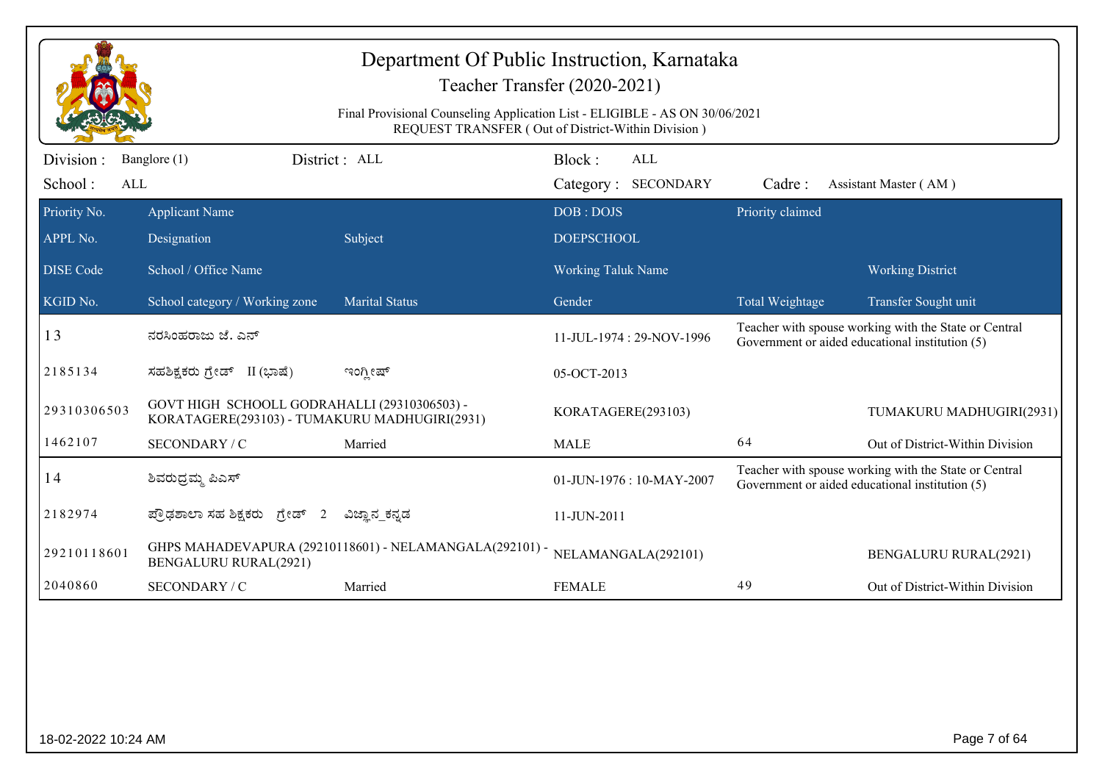|                     |                                                                                               | Department Of Public Instruction, Karnataka<br>Final Provisional Counseling Application List - ELIGIBLE - AS ON 30/06/2021 | Teacher Transfer (2020-2021)                       |                  |                                                                                                          |
|---------------------|-----------------------------------------------------------------------------------------------|----------------------------------------------------------------------------------------------------------------------------|----------------------------------------------------|------------------|----------------------------------------------------------------------------------------------------------|
|                     |                                                                                               |                                                                                                                            | REQUEST TRANSFER (Out of District-Within Division) |                  |                                                                                                          |
| Division :          | Banglore (1)                                                                                  | District : ALL                                                                                                             | Block:<br>ALL                                      |                  |                                                                                                          |
| School:<br>ALL      |                                                                                               |                                                                                                                            | <b>SECONDARY</b><br>Category:                      | Cadre:           | Assistant Master (AM)                                                                                    |
| Priority No.        | <b>Applicant Name</b>                                                                         |                                                                                                                            | DOB: DOJS                                          | Priority claimed |                                                                                                          |
| APPL No.            | Designation                                                                                   | Subject                                                                                                                    | <b>DOEPSCHOOL</b>                                  |                  |                                                                                                          |
| <b>DISE</b> Code    | School / Office Name                                                                          |                                                                                                                            | <b>Working Taluk Name</b>                          |                  | <b>Working District</b>                                                                                  |
| KGID No.            | School category / Working zone                                                                | <b>Marital Status</b>                                                                                                      | Gender                                             | Total Weightage  | Transfer Sought unit                                                                                     |
| 13                  | ನರಸಿಂಹರಾಜು ಜೆ. ಎನ್                                                                            |                                                                                                                            | 11-JUL-1974 : 29-NOV-1996                          |                  | Teacher with spouse working with the State or Central<br>Government or aided educational institution (5) |
| 2185134             | ಸಹಶಿಕ್ಷಕರು ಗ್ರೇಡ್ II (ಭಾಷೆ)                                                                   | ಇಂಗ್ಲೀಷ್                                                                                                                   | 05-OCT-2013                                        |                  |                                                                                                          |
| 29310306503         | GOVT HIGH SCHOOLL GODRAHALLI (29310306503) -<br>KORATAGERE(293103) - TUMAKURU MADHUGIRI(2931) |                                                                                                                            | KORATAGERE(293103)                                 |                  | TUMAKURU MADHUGIRI(2931)                                                                                 |
| 1462107             | SECONDARY / C                                                                                 | Married                                                                                                                    | <b>MALE</b>                                        | 64               | Out of District-Within Division                                                                          |
| 14                  | ಶಿವರುದ್ರಮ್ಮ ಪಿಎಸ್                                                                             |                                                                                                                            | 01-JUN-1976 : 10-MAY-2007                          |                  | Teacher with spouse working with the State or Central<br>Government or aided educational institution (5) |
| 2182974             | ಪ್ರೌಢಶಾಲಾ ಸಹ ಶಿಕ್ಷಕರು ಗ್ರೇಡ್<br>2                                                             | ವಿಜ್ಞಾನ ಕನ್ನಡ                                                                                                              | 11-JUN-2011                                        |                  |                                                                                                          |
| 29210118601         | <b>BENGALURU RURAL(2921)</b>                                                                  | GHPS MAHADEVAPURA (29210118601) - NELAMANGALA(292101) -                                                                    | NELAMANGALA(292101)                                |                  | <b>BENGALURU RURAL(2921)</b>                                                                             |
| 2040860             | SECONDARY / C                                                                                 | Married                                                                                                                    | <b>FEMALE</b>                                      | 49               | Out of District-Within Division                                                                          |
|                     |                                                                                               |                                                                                                                            |                                                    |                  |                                                                                                          |
| 18-02-2022 10:24 AM |                                                                                               |                                                                                                                            |                                                    |                  | Page 7 of 64                                                                                             |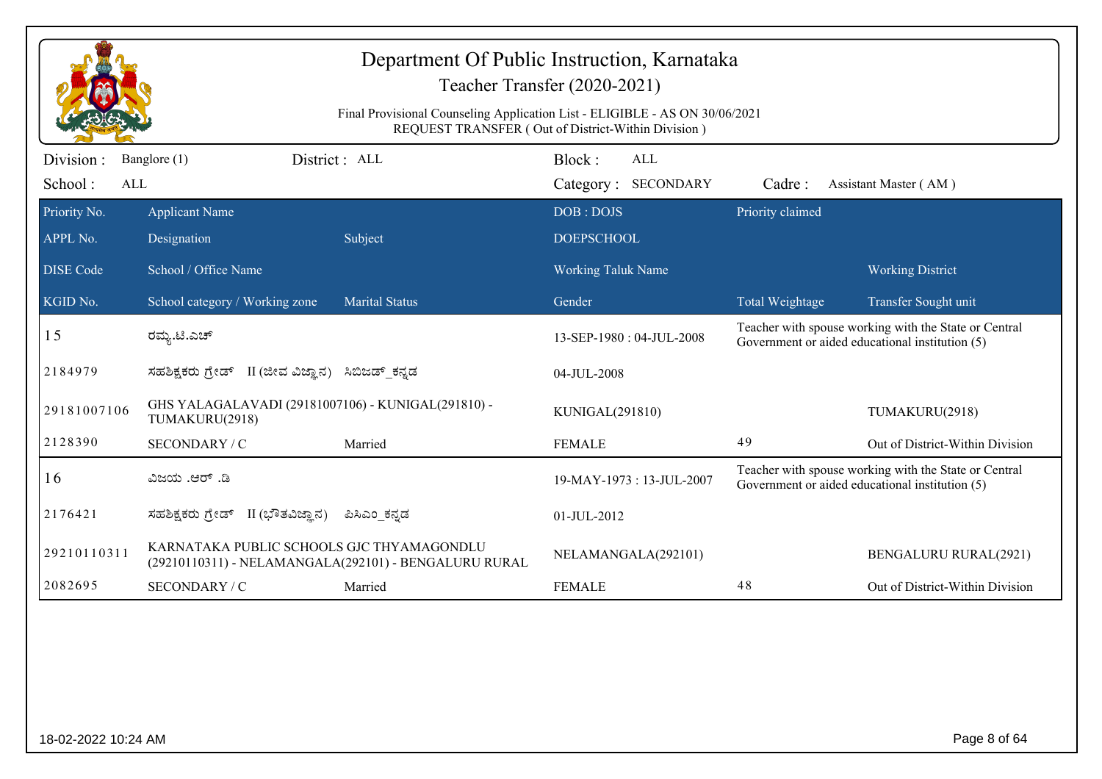|                             |                                                                      |                                                                             | Department Of Public Instruction, Karnataka<br>Teacher Transfer (2020-2021) |                  |                                                                                                          |
|-----------------------------|----------------------------------------------------------------------|-----------------------------------------------------------------------------|-----------------------------------------------------------------------------|------------------|----------------------------------------------------------------------------------------------------------|
|                             |                                                                      | Final Provisional Counseling Application List - ELIGIBLE - AS ON 30/06/2021 | REQUEST TRANSFER (Out of District-Within Division)                          |                  |                                                                                                          |
| Division:<br>School:<br>ALL | Banglore (1)                                                         | District : ALL                                                              | Block:<br>ALL<br>Category: SECONDARY                                        | Cadre:           | Assistant Master (AM)                                                                                    |
| Priority No.                | <b>Applicant Name</b>                                                |                                                                             | DOB: DOJS                                                                   | Priority claimed |                                                                                                          |
| APPL No.                    | Designation                                                          | Subject                                                                     | <b>DOEPSCHOOL</b>                                                           |                  |                                                                                                          |
| <b>DISE</b> Code            | School / Office Name                                                 |                                                                             | <b>Working Taluk Name</b>                                                   |                  | <b>Working District</b>                                                                                  |
| KGID No.                    | School category / Working zone                                       | <b>Marital Status</b>                                                       | Gender                                                                      | Total Weightage  | Transfer Sought unit                                                                                     |
| 15                          | ರಮ್ಯ.ಟಿ.ಎಚ್                                                          |                                                                             | 13-SEP-1980: 04-JUL-2008                                                    |                  | Teacher with spouse working with the State or Central<br>Government or aided educational institution (5) |
| 2184979                     | ಸಹಶಿಕ್ಷಕರು ಗ್ರೇಡ್ II (ಜೀವ ವಿಜ್ಞಾನ) ಸಿಬಿಜಡ್ ಕನ್ನಡ                     |                                                                             | 04-JUL-2008                                                                 |                  |                                                                                                          |
| 29181007106                 | GHS YALAGALAVADI (29181007106) - KUNIGAL(291810) -<br>TUMAKURU(2918) |                                                                             | KUNIGAL(291810)                                                             |                  | TUMAKURU(2918)                                                                                           |
| 2128390                     | SECONDARY / C                                                        | Married                                                                     | <b>FEMALE</b>                                                               | 49               | Out of District-Within Division                                                                          |
| 16                          | ವಿಜಯ .ಆರ್ .ಡಿ                                                        |                                                                             | 19-MAY-1973: 13-JUL-2007                                                    |                  | Teacher with spouse working with the State or Central<br>Government or aided educational institution (5) |
| 2176421                     | ಸಹಶಿಕ್ಷಕರು ಗ್ರೇಡ್ II (ಭೌತವಿಜ್ಞಾನ)                                    | ಪಿಸಿಎಂ_ಕನ್ನಡ                                                                | 01-JUL-2012                                                                 |                  |                                                                                                          |
| 29210110311                 | KARNATAKA PUBLIC SCHOOLS GJC THYAMAGONDLU                            | (29210110311) - NELAMANGALA(292101) - BENGALURU RURAL                       | NELAMANGALA(292101)                                                         |                  | <b>BENGALURU RURAL(2921)</b>                                                                             |
| 2082695                     | SECONDARY / C                                                        | Married                                                                     | <b>FEMALE</b>                                                               | 48               | Out of District-Within Division                                                                          |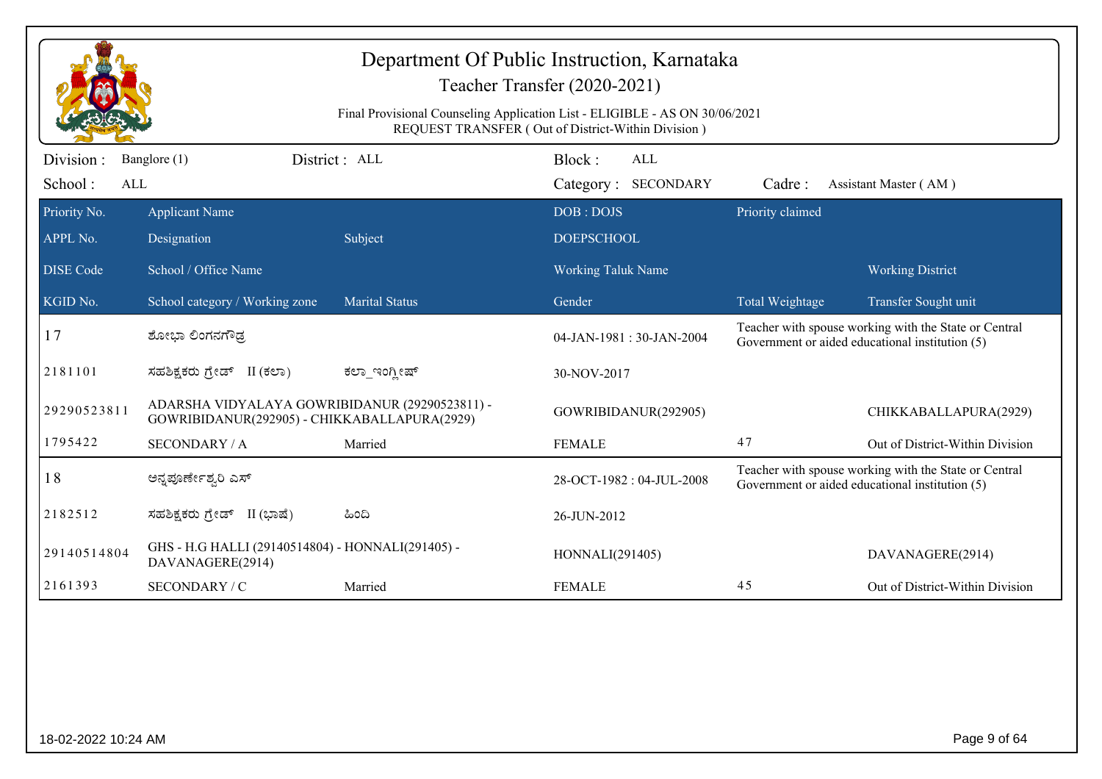|                         |                                                                                                |                       | Department Of Public Instruction, Karnataka<br>Teacher Transfer (2020-2021)<br>Final Provisional Counseling Application List - ELIGIBLE - AS ON 30/06/2021 |                  |                                                                                                          |
|-------------------------|------------------------------------------------------------------------------------------------|-----------------------|------------------------------------------------------------------------------------------------------------------------------------------------------------|------------------|----------------------------------------------------------------------------------------------------------|
|                         |                                                                                                |                       | REQUEST TRANSFER (Out of District-Within Division)                                                                                                         |                  |                                                                                                          |
| Division :              | Banglore (1)                                                                                   | District: ALL         | Block:<br><b>ALL</b>                                                                                                                                       |                  |                                                                                                          |
| School:<br>$\mbox{ALL}$ |                                                                                                |                       | Category: SECONDARY                                                                                                                                        | Cadre:           | Assistant Master (AM)                                                                                    |
| Priority No.            | <b>Applicant Name</b>                                                                          |                       | DOB: DOJS                                                                                                                                                  | Priority claimed |                                                                                                          |
| APPL No.                | Designation                                                                                    | Subject               | <b>DOEPSCHOOL</b>                                                                                                                                          |                  |                                                                                                          |
| <b>DISE</b> Code        | School / Office Name                                                                           |                       | Working Taluk Name                                                                                                                                         |                  | <b>Working District</b>                                                                                  |
| KGID No.                | School category / Working zone                                                                 | <b>Marital Status</b> | Gender                                                                                                                                                     | Total Weightage  | Transfer Sought unit                                                                                     |
| 17                      | ಶೋಭಾ ಲಿಂಗನಗೌಡ್ರ                                                                                |                       | 04-JAN-1981: 30-JAN-2004                                                                                                                                   |                  | Teacher with spouse working with the State or Central<br>Government or aided educational institution (5) |
| 2181101                 | ಸಹಶಿಕ್ಷಕರು ಗ್ರೇಡ್ II (ಕಲಾ)                                                                     | ಕಲ್_ಇಂಗ್ಲೀಷ್          | 30-NOV-2017                                                                                                                                                |                  |                                                                                                          |
| 29290523811             | ADARSHA VIDYALAYA GOWRIBIDANUR (29290523811) -<br>GOWRIBIDANUR(292905) - CHIKKABALLAPURA(2929) |                       | GOWRIBIDANUR(292905)                                                                                                                                       |                  | CHIKKABALLAPURA(2929)                                                                                    |
| 1795422                 | <b>SECONDARY / A</b>                                                                           | Married               | <b>FEMALE</b>                                                                                                                                              | 47               | Out of District-Within Division                                                                          |
| 18                      | ಅನ್ನಪೂರ್ಣೇಶ್ವರಿ ಎಸ್                                                                            |                       | 28-OCT-1982: 04-JUL-2008                                                                                                                                   |                  | Teacher with spouse working with the State or Central<br>Government or aided educational institution (5) |
| 2182512                 | ಸಹಶಿಕ್ಷಕರು ಗ್ರೇಡ್ II (ಭಾಷೆ)                                                                    | ಹಿಂದಿ                 | 26-JUN-2012                                                                                                                                                |                  |                                                                                                          |
| 29140514804             | GHS - H.G HALLI (29140514804) - HONNALI(291405) -<br>DAVANAGERE(2914)                          |                       | HONNALI(291405)                                                                                                                                            |                  | DAVANAGERE(2914)                                                                                         |
| 2161393                 | SECONDARY / C                                                                                  | Married               | <b>FEMALE</b>                                                                                                                                              | 45               | Out of District-Within Division                                                                          |
|                         |                                                                                                |                       |                                                                                                                                                            |                  |                                                                                                          |
|                         |                                                                                                |                       |                                                                                                                                                            |                  |                                                                                                          |
|                         |                                                                                                |                       |                                                                                                                                                            |                  |                                                                                                          |
|                         |                                                                                                |                       |                                                                                                                                                            |                  |                                                                                                          |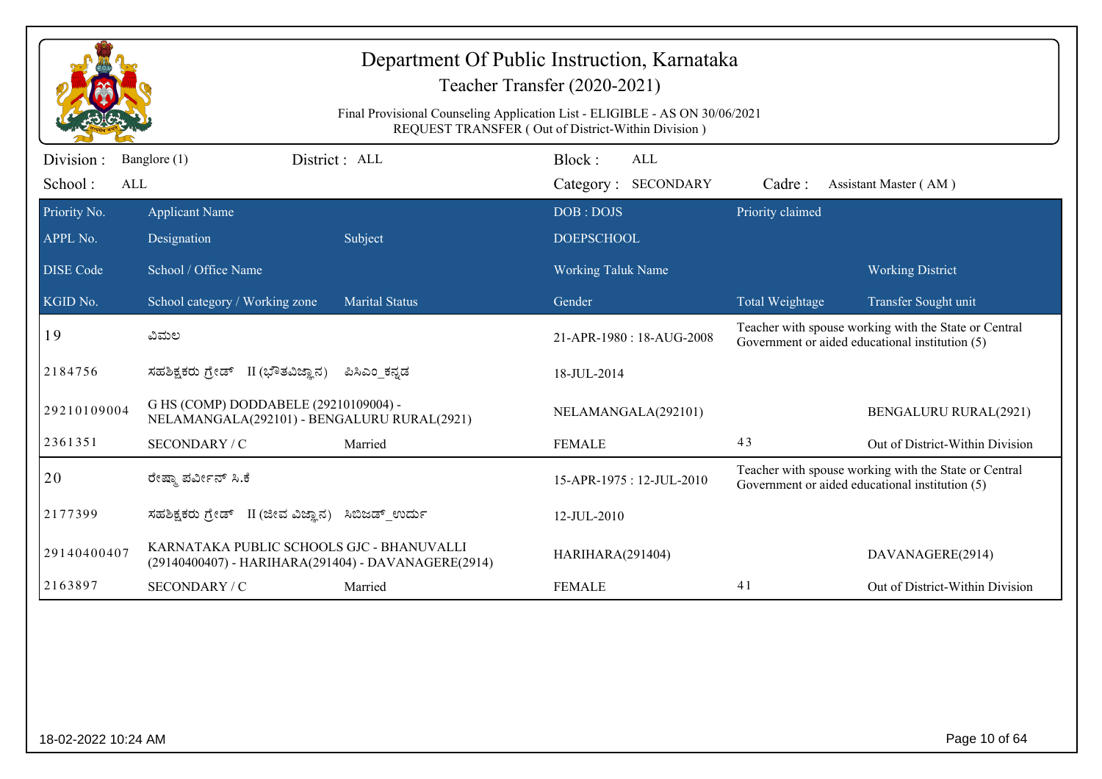|                                    |                                                                                                  |                       | Department Of Public Instruction, Karnataka<br>Teacher Transfer (2020-2021)<br>Final Provisional Counseling Application List - ELIGIBLE - AS ON 30/06/2021<br>REQUEST TRANSFER (Out of District-Within Division) |                  |                                                                                                                                  |
|------------------------------------|--------------------------------------------------------------------------------------------------|-----------------------|------------------------------------------------------------------------------------------------------------------------------------------------------------------------------------------------------------------|------------------|----------------------------------------------------------------------------------------------------------------------------------|
| Division:<br>School:<br><b>ALL</b> | Banglore (1)                                                                                     | District: ALL         | Block:<br><b>ALL</b><br>Category: SECONDARY                                                                                                                                                                      | Cadre:           | Assistant Master (AM)                                                                                                            |
| Priority No.<br>APPL No.           | <b>Applicant Name</b><br>Designation                                                             | Subject               | DOB: DOJS<br><b>DOEPSCHOOL</b>                                                                                                                                                                                   | Priority claimed |                                                                                                                                  |
| <b>DISE</b> Code<br>KGID No.       | School / Office Name<br>School category / Working zone                                           | <b>Marital Status</b> | <b>Working Taluk Name</b><br>Gender                                                                                                                                                                              | Total Weightage  | <b>Working District</b>                                                                                                          |
| 19                                 | ವಿಮಲ                                                                                             |                       | 21-APR-1980: 18-AUG-2008                                                                                                                                                                                         |                  | Transfer Sought unit<br>Teacher with spouse working with the State or Central<br>Government or aided educational institution (5) |
| 2184756                            | ಸಹಶಿಕ್ಷಕರು ಗ್ರೇಡ್ II (ಭೌತವಿಜ್ಞಾನ)                                                                | ಪಿಸಿಎಂ_ಕನ್ನಡ          | 18-JUL-2014                                                                                                                                                                                                      |                  |                                                                                                                                  |
| 29210109004                        | G HS (COMP) DODDABELE (29210109004) -<br>NELAMANGALA(292101) - BENGALURU RURAL(2921)             |                       | NELAMANGALA(292101)                                                                                                                                                                                              |                  | <b>BENGALURU RURAL(2921)</b>                                                                                                     |
| 2361351                            | SECONDARY / C                                                                                    | Married               | <b>FEMALE</b>                                                                                                                                                                                                    | 43               | Out of District-Within Division                                                                                                  |
| 20                                 | ರೇಷ್ಮಾ ಪರ್ವೀನ್ ಸಿ.ಕೆ                                                                             |                       | 15-APR-1975: 12-JUL-2010                                                                                                                                                                                         |                  | Teacher with spouse working with the State or Central<br>Government or aided educational institution (5)                         |
| 2177399                            | ಸಹಶಿಕ್ಷಕರು ಗ್ರೇಡ್ II (ಜೀವ ವಿಜ್ಞಾನ)                                                               | ಸಿಬಿಜಡ್ ಉರ್ದು         | 12-JUL-2010                                                                                                                                                                                                      |                  |                                                                                                                                  |
| 29140400407                        | KARNATAKA PUBLIC SCHOOLS GJC - BHANUVALLI<br>(29140400407) - HARIHARA(291404) - DAVANAGERE(2914) |                       | HARIHARA(291404)                                                                                                                                                                                                 |                  | DAVANAGERE(2914)                                                                                                                 |
| 2163897                            | <b>SECONDARY / C</b>                                                                             | Married               | <b>FEMALE</b>                                                                                                                                                                                                    | 41               | Out of District-Within Division                                                                                                  |
|                                    |                                                                                                  |                       |                                                                                                                                                                                                                  |                  |                                                                                                                                  |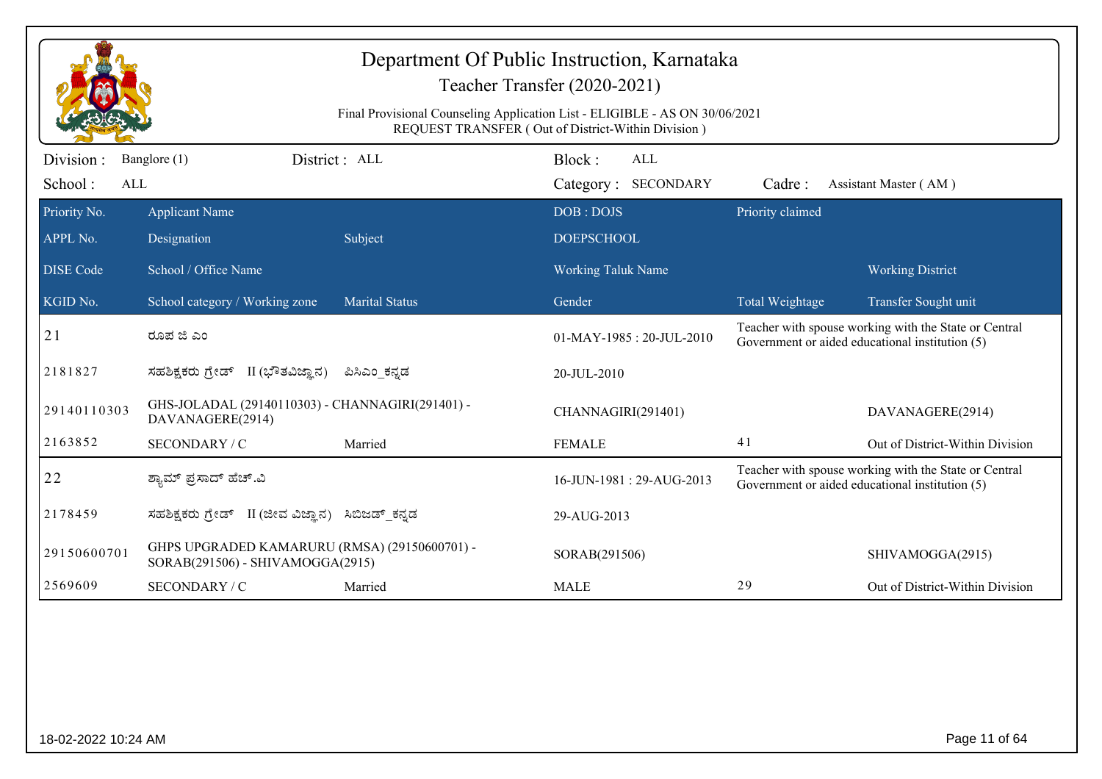|                       |                                                                                   | Department Of Public Instruction, Karnataka<br>Teacher Transfer (2020-2021)<br>Final Provisional Counseling Application List - ELIGIBLE - AS ON 30/06/2021<br>REQUEST TRANSFER (Out of District-Within Division) |                           |            |                  |                                                                                                          |
|-----------------------|-----------------------------------------------------------------------------------|------------------------------------------------------------------------------------------------------------------------------------------------------------------------------------------------------------------|---------------------------|------------|------------------|----------------------------------------------------------------------------------------------------------|
| Division:             | Banglore (1)                                                                      | District: ALL                                                                                                                                                                                                    | Block:                    | <b>ALL</b> |                  |                                                                                                          |
| School:<br><b>ALL</b> |                                                                                   |                                                                                                                                                                                                                  | Category: SECONDARY       |            | Cadre:           | Assistant Master (AM)                                                                                    |
| Priority No.          | <b>Applicant Name</b>                                                             |                                                                                                                                                                                                                  | DOB: DOJS                 |            | Priority claimed |                                                                                                          |
| APPL No.              | Designation                                                                       | Subject                                                                                                                                                                                                          | <b>DOEPSCHOOL</b>         |            |                  |                                                                                                          |
| <b>DISE</b> Code      | School / Office Name                                                              |                                                                                                                                                                                                                  | <b>Working Taluk Name</b> |            |                  | <b>Working District</b>                                                                                  |
| KGID No.              | School category / Working zone                                                    | <b>Marital Status</b>                                                                                                                                                                                            | Gender                    |            | Total Weightage  | Transfer Sought unit                                                                                     |
| 21                    | ರೂಪ ಜಿ ಎಂ                                                                         |                                                                                                                                                                                                                  | 01-MAY-1985: 20-JUL-2010  |            |                  | Teacher with spouse working with the State or Central<br>Government or aided educational institution (5) |
| 2181827               | ಸಹಶಿಕ್ಷಕರು ಗ್ರೇಡ್ II (ಭೌತವಿಜ್ಞಾನ)                                                 | ಪಿಸಿಎಂ_ಕನ್ನಡ                                                                                                                                                                                                     | 20-JUL-2010               |            |                  |                                                                                                          |
| 29140110303           | GHS-JOLADAL (29140110303) - CHANNAGIRI(291401) -<br>DAVANAGERE(2914)              |                                                                                                                                                                                                                  | CHANNAGIRI(291401)        |            |                  | DAVANAGERE(2914)                                                                                         |
| 2163852               | SECONDARY / C                                                                     | Married                                                                                                                                                                                                          | <b>FEMALE</b>             |            | 41               | Out of District-Within Division                                                                          |
| 22                    | ಶ್ಯಾಮ್ ಪ್ರಸಾದ್ ಹೆಚ್.ವಿ                                                            |                                                                                                                                                                                                                  | 16-JUN-1981: 29-AUG-2013  |            |                  | Teacher with spouse working with the State or Central<br>Government or aided educational institution (5) |
| 2178459               | ಸಹಶಿಕ್ಷಕರು ಗ್ರೇಡ್ II (ಜೀವ ವಿಜ್ಞಾನ)                                                | ಸಿಬಿಜಡ್ ಕನ್ನಡ                                                                                                                                                                                                    | 29-AUG-2013               |            |                  |                                                                                                          |
| 29150600701           | GHPS UPGRADED KAMARURU (RMSA) (29150600701) -<br>SORAB(291506) - SHIVAMOGGA(2915) |                                                                                                                                                                                                                  | SORAB(291506)             |            |                  | SHIVAMOGGA(2915)                                                                                         |
| 2569609               | SECONDARY / C                                                                     | Married                                                                                                                                                                                                          | <b>MALE</b>               |            | 29               | Out of District-Within Division                                                                          |
|                       |                                                                                   |                                                                                                                                                                                                                  |                           |            |                  |                                                                                                          |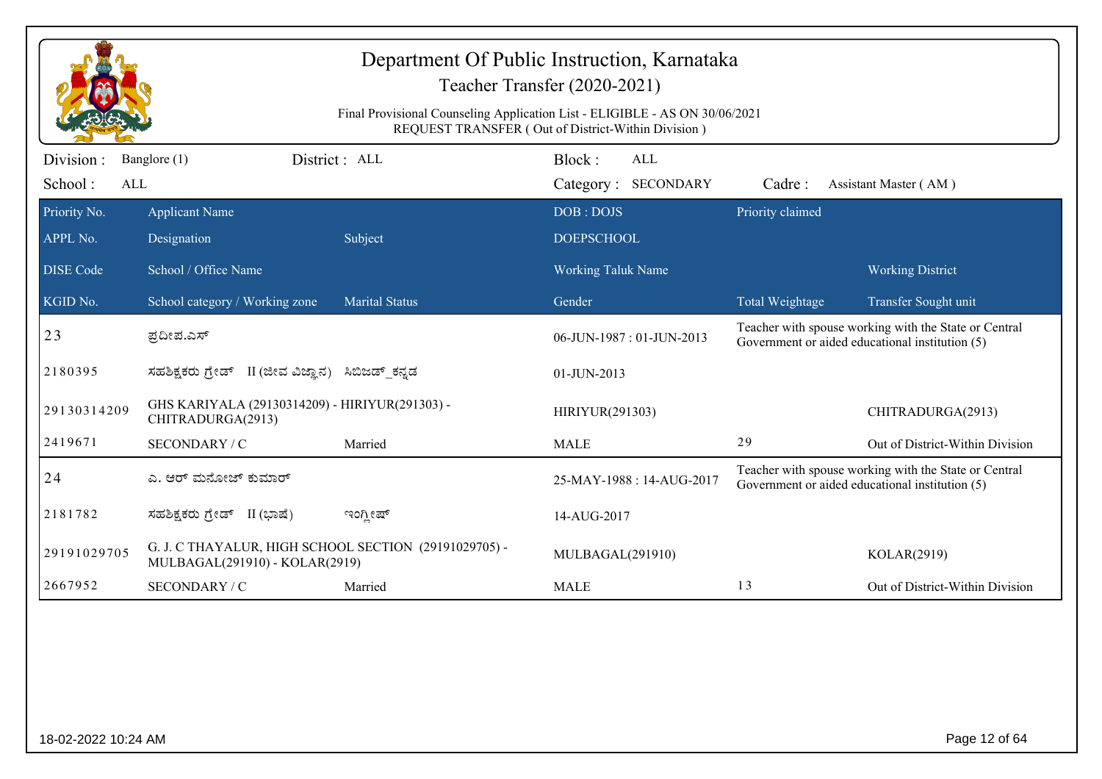| Division:<br>Banglore (1)<br>School:<br>ALL<br>Priority No.<br><b>Applicant Name</b><br>APPL No.<br>Designation<br><b>DISE Code</b><br>School / Office Name<br>KGID No. | District : ALL<br>Subject                        | Final Provisional Counseling Application List - ELIGIBLE - AS ON 30/06/2021<br>REQUEST TRANSFER (Out of District-Within Division) | Block:<br>Category: SECONDARY  | <b>ALL</b>               |                  |                                                                                                          |
|-------------------------------------------------------------------------------------------------------------------------------------------------------------------------|--------------------------------------------------|-----------------------------------------------------------------------------------------------------------------------------------|--------------------------------|--------------------------|------------------|----------------------------------------------------------------------------------------------------------|
|                                                                                                                                                                         |                                                  |                                                                                                                                   |                                |                          |                  |                                                                                                          |
|                                                                                                                                                                         |                                                  |                                                                                                                                   |                                |                          | Cadre:           | Assistant Master (AM)                                                                                    |
|                                                                                                                                                                         |                                                  |                                                                                                                                   | DOB: DOJS<br><b>DOEPSCHOOL</b> |                          | Priority claimed |                                                                                                          |
|                                                                                                                                                                         |                                                  |                                                                                                                                   | <b>Working Taluk Name</b>      |                          |                  | <b>Working District</b>                                                                                  |
|                                                                                                                                                                         | School category / Working zone                   | <b>Marital Status</b>                                                                                                             | Gender                         |                          | Total Weightage  | Transfer Sought unit                                                                                     |
| 23<br>ಪ್ರದೀಪ.ಎಸ್                                                                                                                                                        |                                                  |                                                                                                                                   | 06-JUN-1987: 01-JUN-2013       |                          |                  | Teacher with spouse working with the State or Central<br>Government or aided educational institution (5) |
| 2180395                                                                                                                                                                 | ಸಹಶಿಕ್ಷಕರು ಗ್ರೇಡ್ II (ಜೀವ ವಿಜ್ಞಾನ) ಸಿಬಿಜಡ್ ಕನ್ನಡ |                                                                                                                                   | 01-JUN-2013                    |                          |                  |                                                                                                          |
| 29130314209<br>CHITRADURGA(2913)                                                                                                                                        | GHS KARIYALA (29130314209) - HIRIYUR(291303) -   |                                                                                                                                   | HIRIYUR(291303)                |                          |                  | CHITRADURGA(2913)                                                                                        |
| 2419671<br>SECONDARY / C                                                                                                                                                | Married                                          |                                                                                                                                   | <b>MALE</b>                    |                          | 29               | Out of District-Within Division                                                                          |
| 24<br>ಎ. ಆರ್ ಮನೋಜ್ ಕುಮಾರ್                                                                                                                                               |                                                  |                                                                                                                                   |                                | 25-MAY-1988: 14-AUG-2017 |                  | Teacher with spouse working with the State or Central<br>Government or aided educational institution (5) |
| 2181782<br>ಸಹಶಿಕ್ಷಕರು ಗ್ರೇಡ್ II (ಭಾಷೆ)                                                                                                                                  | ಇಂಗ್ಲೀಷ್                                         |                                                                                                                                   | 14-AUG-2017                    |                          |                  |                                                                                                          |
| 29191029705                                                                                                                                                             | MULBAGAL(291910) - KOLAR(2919)                   | G. J. C THAYALUR, HIGH SCHOOL SECTION (29191029705) -                                                                             | MULBAGAL(291910)               |                          |                  | KOLAR(2919)                                                                                              |
| 2667952<br>SECONDARY / C                                                                                                                                                | Married                                          |                                                                                                                                   | <b>MALE</b>                    |                          | 13               | Out of District-Within Division                                                                          |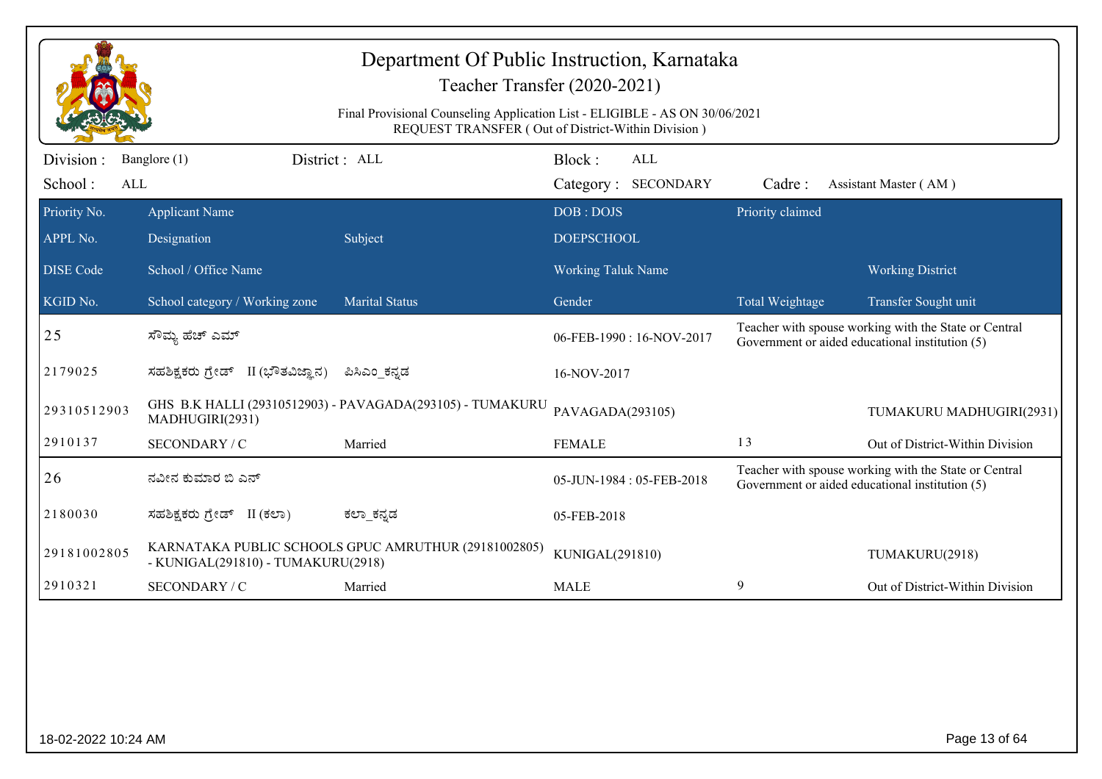|                              | Department Of Public Instruction, Karnataka<br>Teacher Transfer (2020-2021)<br>Final Provisional Counseling Application List - ELIGIBLE - AS ON 30/06/2021<br>REQUEST TRANSFER (Out of District-Within Division) |                                                           |                                |                            |                  |                                                                                                          |  |
|------------------------------|------------------------------------------------------------------------------------------------------------------------------------------------------------------------------------------------------------------|-----------------------------------------------------------|--------------------------------|----------------------------|------------------|----------------------------------------------------------------------------------------------------------|--|
| Division :<br>School:<br>ALL | Banglore (1)                                                                                                                                                                                                     | District : ALL                                            | Block:                         | ALL<br>Category: SECONDARY | Cadre:           | Assistant Master (AM)                                                                                    |  |
| Priority No.<br>APPL No.     | <b>Applicant Name</b><br>Designation                                                                                                                                                                             | Subject                                                   | DOB: DOJS<br><b>DOEPSCHOOL</b> |                            | Priority claimed |                                                                                                          |  |
| <b>DISE Code</b>             | School / Office Name                                                                                                                                                                                             |                                                           | <b>Working Taluk Name</b>      |                            |                  | <b>Working District</b>                                                                                  |  |
| KGID No.                     | School category / Working zone                                                                                                                                                                                   | <b>Marital Status</b>                                     | Gender                         |                            | Total Weightage  | Transfer Sought unit                                                                                     |  |
| 25                           | ಸೌಮ್ಯ ಹೆಚ್ ಎಮ್                                                                                                                                                                                                   |                                                           |                                | 06-FEB-1990: 16-NOV-2017   |                  | Teacher with spouse working with the State or Central<br>Government or aided educational institution (5) |  |
| 2179025                      | ಸಹಶಿಕ್ಷಕರು ಗ್ರೇಡ್ II (ಭೌತವಿಜ್ಞಾನ)                                                                                                                                                                                | ಪಿಸಿಎಂ_ಕನ್ನಡ                                              | 16-NOV-2017                    |                            |                  |                                                                                                          |  |
| 29310512903                  | MADHUGIRI(2931)                                                                                                                                                                                                  | GHS B.K HALLI (29310512903) - PAVAGADA(293105) - TUMAKURU | PAVAGADA(293105)               |                            |                  | TUMAKURU MADHUGIRI(2931)                                                                                 |  |
| 2910137                      | SECONDARY / C                                                                                                                                                                                                    | Married                                                   | <b>FEMALE</b>                  |                            | 13               | Out of District-Within Division                                                                          |  |
| 26                           | ನವೀನ ಕುಮಾರ ಬಿ ಎನ್                                                                                                                                                                                                |                                                           |                                | 05-JUN-1984: 05-FEB-2018   |                  | Teacher with spouse working with the State or Central<br>Government or aided educational institution (5) |  |
| 2180030                      | ಸಹಶಿಕ್ಷಕರು ಗ್ರೇಡ್ II (ಕಲಾ)                                                                                                                                                                                       | ಕಲ್_ಕನ್ನಡ                                                 | 05-FEB-2018                    |                            |                  |                                                                                                          |  |
| 29181002805                  | - KUNIGAL(291810) - TUMAKURU(2918)                                                                                                                                                                               | KARNATAKA PUBLIC SCHOOLS GPUC AMRUTHUR (29181002805)      | KUNIGAL(291810)                |                            |                  | TUMAKURU(2918)                                                                                           |  |
| 2910321                      | SECONDARY / C                                                                                                                                                                                                    | Married                                                   | <b>MALE</b>                    |                            | 9                | Out of District-Within Division                                                                          |  |
|                              |                                                                                                                                                                                                                  |                                                           |                                |                            |                  |                                                                                                          |  |
| 18-02-2022 10:24 AM          |                                                                                                                                                                                                                  |                                                           |                                |                            |                  | Page 13 of 64                                                                                            |  |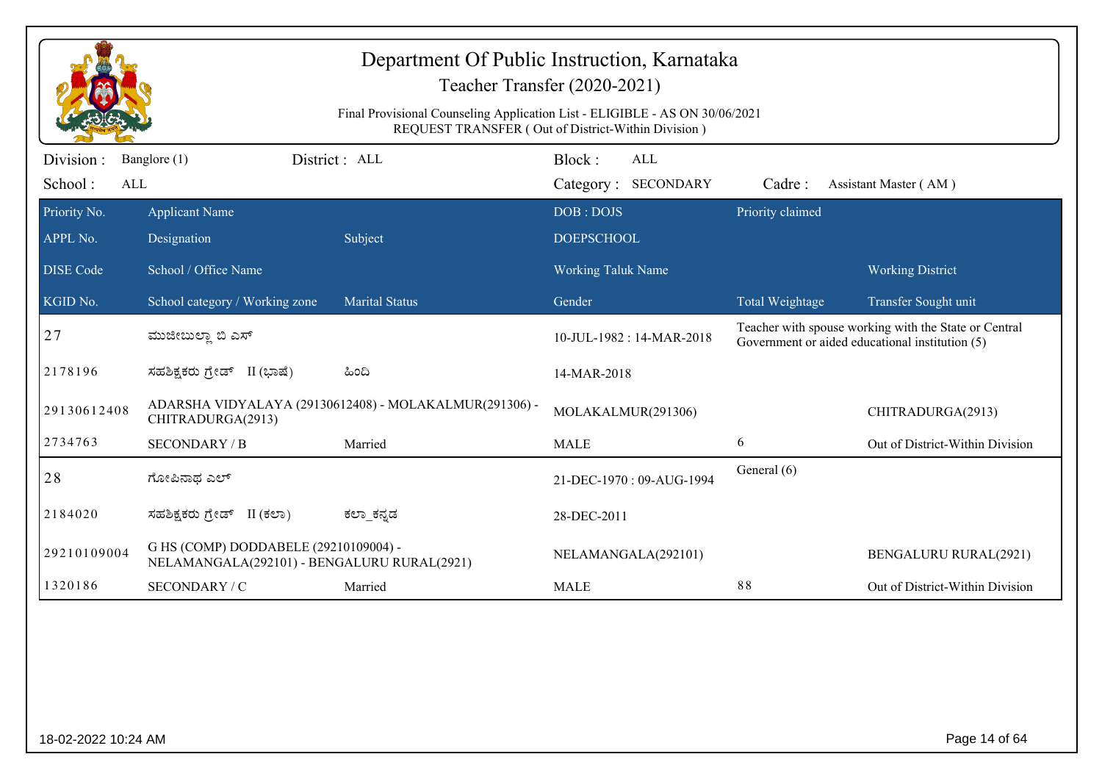|                             | Department Of Public Instruction, Karnataka<br>Teacher Transfer (2020-2021)                                                       |                                                        |                                      |                  |                                                                                                          |  |  |
|-----------------------------|-----------------------------------------------------------------------------------------------------------------------------------|--------------------------------------------------------|--------------------------------------|------------------|----------------------------------------------------------------------------------------------------------|--|--|
|                             | Final Provisional Counseling Application List - ELIGIBLE - AS ON 30/06/2021<br>REQUEST TRANSFER (Out of District-Within Division) |                                                        |                                      |                  |                                                                                                          |  |  |
| Division:<br>School:<br>ALL | Banglore (1)                                                                                                                      | District : ALL                                         | Block:<br>ALL<br>Category: SECONDARY | Cadre:           | Assistant Master (AM)                                                                                    |  |  |
| Priority No.                | <b>Applicant Name</b>                                                                                                             |                                                        | DOB: DOJS                            | Priority claimed |                                                                                                          |  |  |
| APPL No.                    | Designation                                                                                                                       | Subject                                                | <b>DOEPSCHOOL</b>                    |                  |                                                                                                          |  |  |
| <b>DISE Code</b>            | School / Office Name                                                                                                              |                                                        | <b>Working Taluk Name</b>            |                  | <b>Working District</b>                                                                                  |  |  |
| KGID No.                    | School category / Working zone                                                                                                    | <b>Marital Status</b>                                  | Gender                               | Total Weightage  | Transfer Sought unit                                                                                     |  |  |
| 27                          | ಮುಜೀಬುಲ್ಲಾ ಬಿ ಎಸ್                                                                                                                 |                                                        | 10-JUL-1982 : 14-MAR-2018            |                  | Teacher with spouse working with the State or Central<br>Government or aided educational institution (5) |  |  |
| 2178196                     | ಸಹಶಿಕ್ಷಕರು ಗ್ರೇಡ್ II (ಭಾಷೆ)                                                                                                       | ಹಿಂದಿ                                                  | 14-MAR-2018                          |                  |                                                                                                          |  |  |
| 29130612408                 | CHITRADURGA(2913)                                                                                                                 | ADARSHA VIDYALAYA (29130612408) - MOLAKALMUR(291306) - | MOLAKALMUR(291306)                   |                  | CHITRADURGA(2913)                                                                                        |  |  |
| 2734763                     | <b>SECONDARY / B</b>                                                                                                              | Married                                                | <b>MALE</b>                          | 6                | Out of District-Within Division                                                                          |  |  |
| 28                          | ಗೋಪಿನಾಥ ಎಲ್                                                                                                                       |                                                        | 21-DEC-1970: 09-AUG-1994             | General (6)      |                                                                                                          |  |  |
| 2184020                     | ಸಹಶಿಕ್ಷಕರು ಗ್ರೇಡ್ II (ಕಲಾ)                                                                                                        | ಕಲ್_ಕನ್ನಡ                                              | 28-DEC-2011                          |                  |                                                                                                          |  |  |
| 29210109004                 | G HS (COMP) DODDABELE (29210109004) -<br>NELAMANGALA(292101) - BENGALURU RURAL(2921)                                              |                                                        | NELAMANGALA(292101)                  |                  | <b>BENGALURU RURAL(2921)</b>                                                                             |  |  |
| 1320186                     | SECONDARY / C                                                                                                                     | Married                                                | <b>MALE</b>                          | 88               | Out of District-Within Division                                                                          |  |  |
|                             |                                                                                                                                   |                                                        |                                      |                  |                                                                                                          |  |  |
|                             |                                                                                                                                   |                                                        |                                      |                  |                                                                                                          |  |  |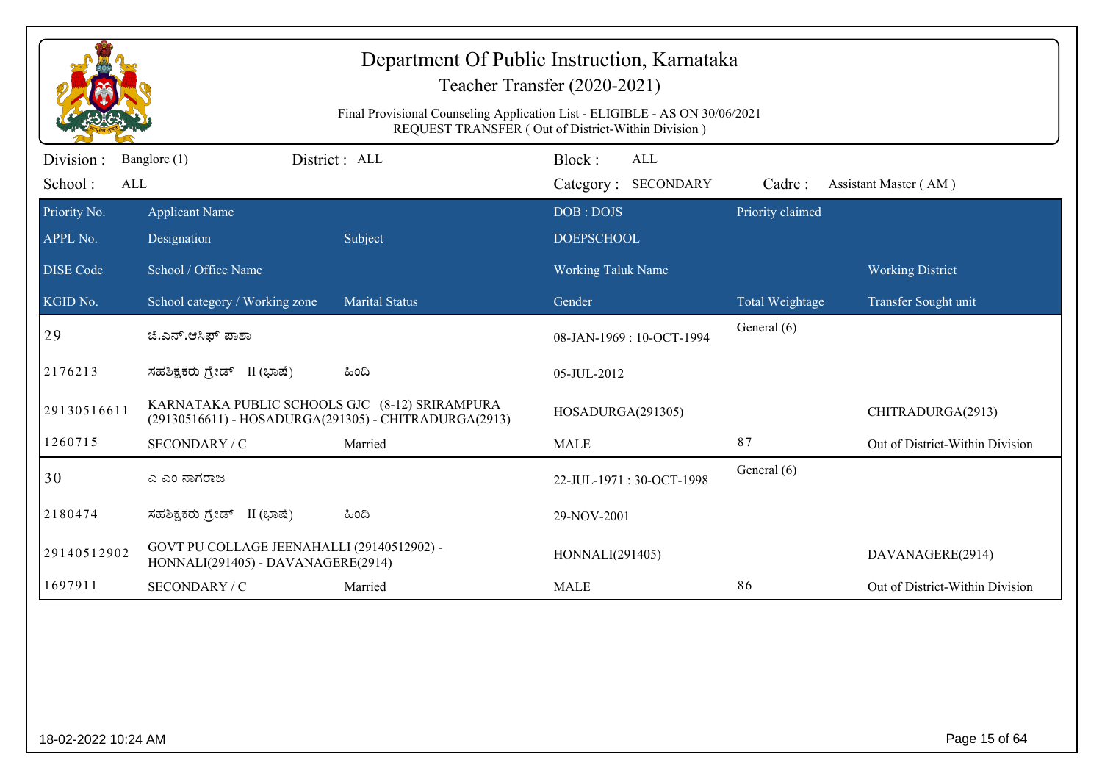|                              |                                                                                  | Final Provisional Counseling Application List - ELIGIBLE - AS ON 30/06/2021 | Teacher Transfer (2020-2021)                       |                  |                                 |
|------------------------------|----------------------------------------------------------------------------------|-----------------------------------------------------------------------------|----------------------------------------------------|------------------|---------------------------------|
|                              |                                                                                  |                                                                             | REQUEST TRANSFER (Out of District-Within Division) |                  |                                 |
| Division :<br>School:<br>ALL | Banglore (1)                                                                     | District: ALL                                                               | Block:<br>ALL<br>Category: SECONDARY               | Cadre:           | Assistant Master (AM)           |
| Priority No.                 | <b>Applicant Name</b>                                                            |                                                                             | DOB: DOJS                                          | Priority claimed |                                 |
| APPL No.                     | Designation                                                                      | Subject                                                                     | <b>DOEPSCHOOL</b>                                  |                  |                                 |
| <b>DISE Code</b>             | School / Office Name                                                             |                                                                             | <b>Working Taluk Name</b>                          |                  | <b>Working District</b>         |
| KGID No.                     | School category / Working zone                                                   | <b>Marital Status</b>                                                       | Gender                                             | Total Weightage  | Transfer Sought unit            |
| 29                           | ಜಿ.ಎನ್.ಆಸಿಫ್ ಪಾಶಾ                                                                |                                                                             | 08-JAN-1969: 10-OCT-1994                           | General (6)      |                                 |
| 2176213                      | ಸಹಶಿಕ್ಷಕರು ಗ್ರೇಡ್ II (ಭಾಷೆ)                                                      | ಹಿಂದಿ                                                                       | 05-JUL-2012                                        |                  |                                 |
| 29130516611                  | KARNATAKA PUBLIC SCHOOLS GJC (8-12) SRIRAMPURA                                   | (29130516611) - HOSADURGA(291305) - CHITRADURGA(2913)                       | HOSADURGA(291305)                                  |                  | CHITRADURGA(2913)               |
| 1260715                      | SECONDARY / C                                                                    | Married                                                                     | <b>MALE</b>                                        | 87               | Out of District-Within Division |
| 30                           | ಎ ಎಂ ನಾಗರಾಜ                                                                      |                                                                             | 22-JUL-1971: 30-OCT-1998                           | General (6)      |                                 |
| 2180474                      | ಸಹಶಿಕ್ಷಕರು ಗ್ರೇಡ್ II (ಭಾಷೆ)                                                      | ಹಿಂದಿ                                                                       | 29-NOV-2001                                        |                  |                                 |
| 29140512902                  | GOVT PU COLLAGE JEENAHALLI (29140512902) -<br>HONNALI(291405) - DAVANAGERE(2914) |                                                                             | HONNALI(291405)                                    |                  | DAVANAGERE(2914)                |
| 1697911                      | SECONDARY / C                                                                    | Married                                                                     | <b>MALE</b>                                        | 86               | Out of District-Within Division |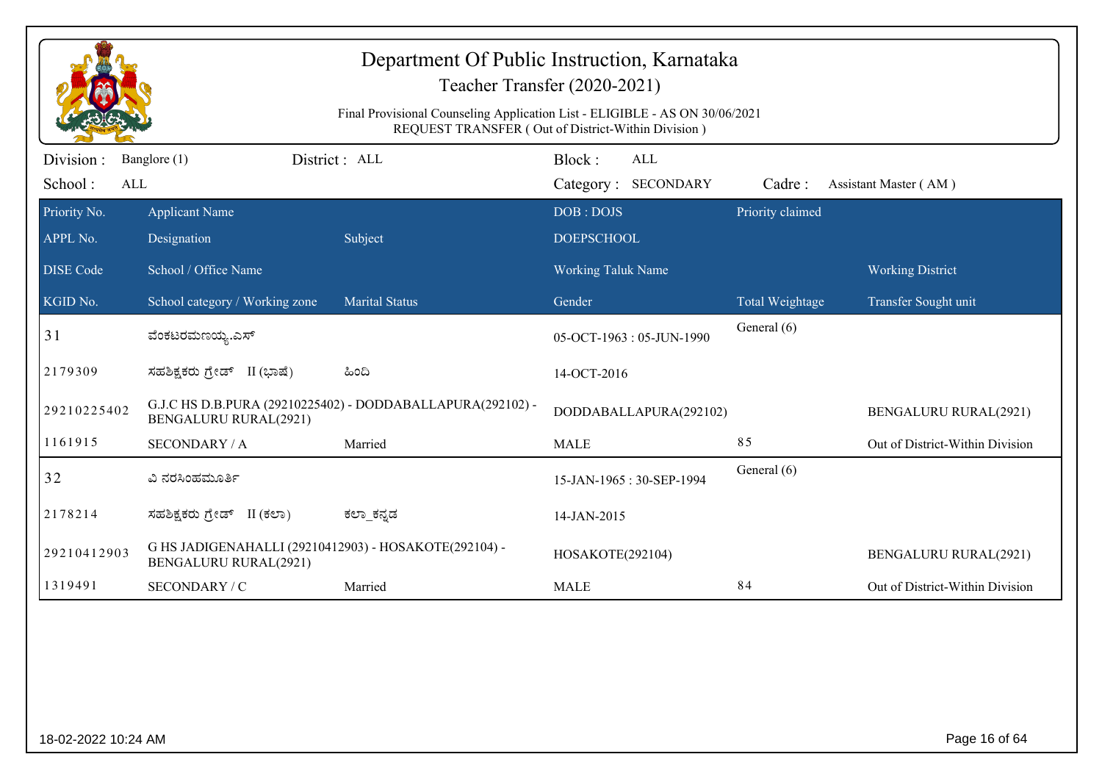|                                                  | Department Of Public Instruction, Karnataka<br>Teacher Transfer (2020-2021)<br>Final Provisional Counseling Application List - ELIGIBLE - AS ON 30/06/2021<br>REQUEST TRANSFER (Out of District-Within Division) |                                                            |                                             |                  |                                                 |  |  |
|--------------------------------------------------|------------------------------------------------------------------------------------------------------------------------------------------------------------------------------------------------------------------|------------------------------------------------------------|---------------------------------------------|------------------|-------------------------------------------------|--|--|
| Division :<br>School:<br>ALL                     | Banglore (1)                                                                                                                                                                                                     | District : ALL                                             | Block:<br><b>ALL</b><br>Category: SECONDARY | Cadre:           | Assistant Master (AM)                           |  |  |
| Priority No.<br>APPL No.                         | <b>Applicant Name</b><br>Designation                                                                                                                                                                             | Subject                                                    | DOB: DOJS<br><b>DOEPSCHOOL</b>              | Priority claimed |                                                 |  |  |
| <b>DISE</b> Code<br>$\overline{\text{KGID No.}}$ | School / Office Name<br>School category / Working zone                                                                                                                                                           | <b>Marital Status</b>                                      | <b>Working Taluk Name</b><br>Gender         | Total Weightage  | <b>Working District</b><br>Transfer Sought unit |  |  |
| 31                                               | ವೆಂಕಟರಮಣಯ್ಯ.ಎಸ್                                                                                                                                                                                                  |                                                            | 05-OCT-1963: 05-JUN-1990                    | General (6)      |                                                 |  |  |
| 2179309                                          | ಸಹಶಿಕ್ಷಕರು ಗ್ರೇಡ್ II (ಭಾಷೆ)                                                                                                                                                                                      | ಹಿಂದಿ                                                      | 14-OCT-2016                                 |                  |                                                 |  |  |
| 29210225402                                      | <b>BENGALURU RURAL(2921)</b>                                                                                                                                                                                     | G.J.C HS D.B.PURA (29210225402) - DODDABALLAPURA(292102) - | DODDABALLAPURA(292102)                      |                  | <b>BENGALURU RURAL(2921)</b>                    |  |  |
| 1161915                                          | <b>SECONDARY / A</b>                                                                                                                                                                                             | Married                                                    | <b>MALE</b>                                 | 85               | Out of District-Within Division                 |  |  |
| 32                                               | ವಿ ನರಸಿಂಹಮೂರ್ತಿ                                                                                                                                                                                                  |                                                            | 15-JAN-1965: 30-SEP-1994                    | General (6)      |                                                 |  |  |
| 2178214                                          | ಸಹಶಿಕ್ಷಕರು ಗ್ರೇಡ್ II (ಕಲಾ)                                                                                                                                                                                       | ಕಲ್_ಕನ್ನಡ                                                  | 14-JAN-2015                                 |                  |                                                 |  |  |
| 29210412903                                      | G HS JADIGENAHALLI (29210412903) - HOSAKOTE(292104) -<br><b>BENGALURU RURAL(2921)</b>                                                                                                                            |                                                            | HOSAKOTE(292104)                            |                  | <b>BENGALURU RURAL(2921)</b>                    |  |  |
| 1319491                                          | SECONDARY / C                                                                                                                                                                                                    | Married                                                    | <b>MALE</b>                                 | 84               | Out of District-Within Division                 |  |  |
|                                                  |                                                                                                                                                                                                                  |                                                            |                                             |                  |                                                 |  |  |
| 18-02-2022 10:24 AM                              |                                                                                                                                                                                                                  |                                                            |                                             |                  | Page 16 of 64                                   |  |  |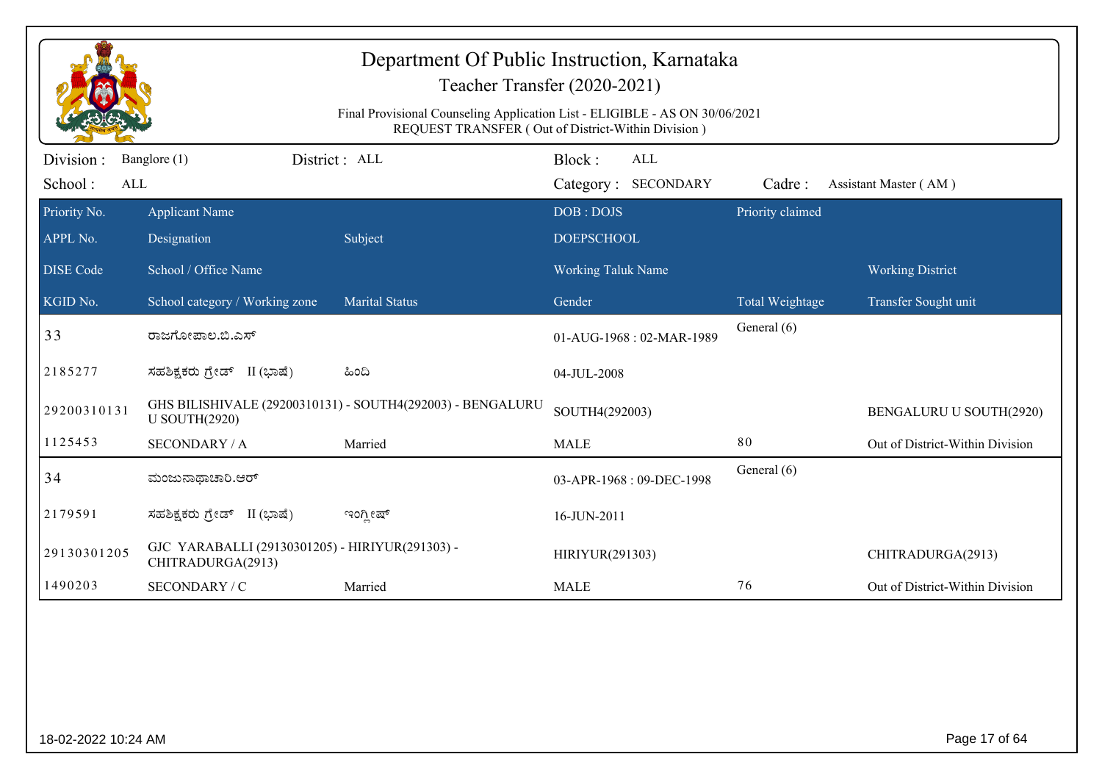|                             | Department Of Public Instruction, Karnataka<br>Teacher Transfer (2020-2021)<br>Final Provisional Counseling Application List - ELIGIBLE - AS ON 30/06/2021<br>REQUEST TRANSFER (Out of District-Within Division) |                                                            |                                |                                   |                  |                                 |  |
|-----------------------------|------------------------------------------------------------------------------------------------------------------------------------------------------------------------------------------------------------------|------------------------------------------------------------|--------------------------------|-----------------------------------|------------------|---------------------------------|--|
| Division:<br>School:<br>ALL | District : ALL<br>Banglore (1)                                                                                                                                                                                   |                                                            | Block:                         | <b>ALL</b><br>Category: SECONDARY | Cadre:           | Assistant Master (AM)           |  |
| Priority No.<br>APPL No.    | <b>Applicant Name</b><br>Designation                                                                                                                                                                             | Subject                                                    | DOB: DOJS<br><b>DOEPSCHOOL</b> |                                   | Priority claimed |                                 |  |
| <b>DISE Code</b>            | School / Office Name                                                                                                                                                                                             |                                                            | <b>Working Taluk Name</b>      |                                   |                  | <b>Working District</b>         |  |
| KGID No.                    | School category / Working zone                                                                                                                                                                                   | <b>Marital Status</b>                                      | Gender                         |                                   | Total Weightage  | Transfer Sought unit            |  |
| 33                          | ರಾಜಗೋಪಾಲ.ಬಿ.ಎಸ್                                                                                                                                                                                                  |                                                            |                                | 01-AUG-1968: 02-MAR-1989          | General (6)      |                                 |  |
| 2185277                     | ಸಹಶಿಕ್ಷಕರು ಗ್ರೇಡ್ II (ಭಾಷೆ)                                                                                                                                                                                      | ಹಿಂದಿ                                                      | 04-JUL-2008                    |                                   |                  |                                 |  |
| 29200310131                 | <b>U SOUTH(2920)</b>                                                                                                                                                                                             | GHS BILISHIVALE (29200310131) - SOUTH4(292003) - BENGALURU | SOUTH4(292003)                 |                                   |                  | BENGALURU U SOUTH(2920)         |  |
| 1125453                     | <b>SECONDARY / A</b>                                                                                                                                                                                             | Married                                                    | <b>MALE</b>                    |                                   | 80               | Out of District-Within Division |  |
| 34                          | ಮಂಜುನಾಥಾಚಾರಿ.ಆರ್                                                                                                                                                                                                 |                                                            |                                | 03-APR-1968: 09-DEC-1998          | General (6)      |                                 |  |
| 2179591                     | ಸಹಶಿಕ್ಷಕರು ಗ್ರೇಡ್ II (ಭಾಷೆ)                                                                                                                                                                                      | ಇಂಗ್ಲೀಷ್                                                   | 16-JUN-2011                    |                                   |                  |                                 |  |
| 29130301205                 | GJC YARABALLI (29130301205) - HIRIYUR(291303) -<br>CHITRADURGA(2913)                                                                                                                                             |                                                            | HIRIYUR(291303)                |                                   |                  | CHITRADURGA(2913)               |  |
| 1490203                     | SECONDARY / C                                                                                                                                                                                                    | Married                                                    | <b>MALE</b>                    |                                   | 76               | Out of District-Within Division |  |
|                             |                                                                                                                                                                                                                  |                                                            |                                |                                   |                  |                                 |  |
| 18-02-2022 10:24 AM         |                                                                                                                                                                                                                  |                                                            |                                |                                   |                  | Page 17 of 64                   |  |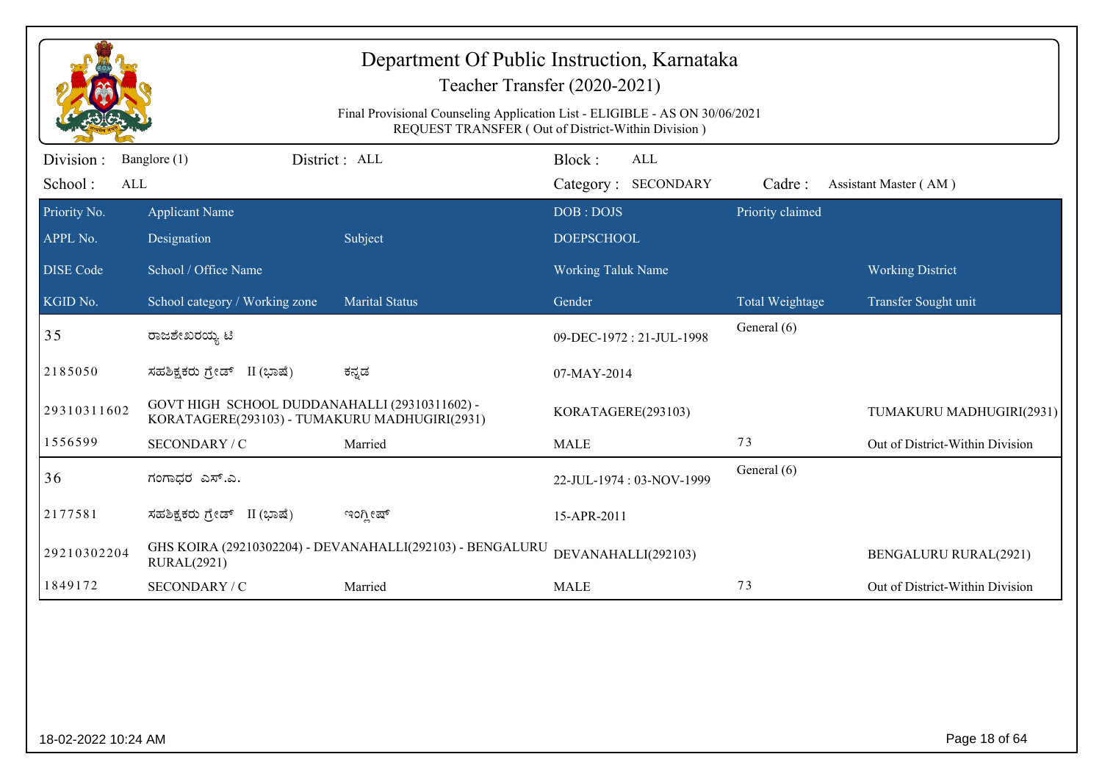|                              | Department Of Public Instruction, Karnataka<br>Teacher Transfer (2020-2021)<br>Final Provisional Counseling Application List - ELIGIBLE - AS ON 30/06/2021 |                                                           |                                                                                            |                                |                                 |  |  |
|------------------------------|------------------------------------------------------------------------------------------------------------------------------------------------------------|-----------------------------------------------------------|--------------------------------------------------------------------------------------------|--------------------------------|---------------------------------|--|--|
| Division :<br>School:<br>ALL | Banglore (1)                                                                                                                                               | District : ALL                                            | REQUEST TRANSFER (Out of District-Within Division)<br>Block:<br>ALL<br>Category: SECONDARY | Cadre:                         | Assistant Master (AM)           |  |  |
| Priority No.<br>APPL No.     | <b>Applicant Name</b><br>Designation                                                                                                                       | Subject                                                   | DOB: DOJS<br><b>DOEPSCHOOL</b>                                                             | Priority claimed               |                                 |  |  |
| <b>DISE</b> Code             | School / Office Name                                                                                                                                       |                                                           | <b>Working Taluk Name</b>                                                                  |                                | <b>Working District</b>         |  |  |
| KGID No.<br>35               | School category / Working zone<br>ರಾಜಶೇಖರಯ್ಯ ಟಿ                                                                                                            | <b>Marital Status</b>                                     | Gender<br>09-DEC-1972: 21-JUL-1998                                                         | Total Weightage<br>General (6) | Transfer Sought unit            |  |  |
| 2185050                      | ಸಹಶಿಕ್ಷಕರು ಗ್ರೇಡ್ II (ಭಾಷೆ)                                                                                                                                | ಕನ್ನಡ                                                     | 07-MAY-2014                                                                                |                                |                                 |  |  |
| 29310311602                  | GOVT HIGH SCHOOL DUDDANAHALLI (29310311602) -<br>KORATAGERE(293103) - TUMAKURU MADHUGIRI(2931)                                                             |                                                           | KORATAGERE(293103)                                                                         |                                | TUMAKURU MADHUGIRI(2931)        |  |  |
| 1556599                      | SECONDARY / C                                                                                                                                              | Married                                                   | <b>MALE</b>                                                                                | 73                             | Out of District-Within Division |  |  |
| 36                           | ಗಂಗಾಧರ ಎಸ್.ಎ.                                                                                                                                              |                                                           | 22-JUL-1974: 03-NOV-1999                                                                   | General (6)                    |                                 |  |  |
| 2177581                      | ಸಹಶಿಕ್ಷಕರು ಗ್ರೇಡ್ II (ಭಾಷೆ)                                                                                                                                | ಇಂಗ್ಲೀಷ್                                                  | 15-APR-2011                                                                                |                                |                                 |  |  |
| 29210302204                  | <b>RURAL(2921)</b>                                                                                                                                         | GHS KOIRA (29210302204) - DEVANAHALLI(292103) - BENGALURU | DEVANAHALLI(292103)                                                                        |                                | <b>BENGALURU RURAL(2921)</b>    |  |  |
| 1849172                      | SECONDARY / C                                                                                                                                              | Married                                                   | <b>MALE</b>                                                                                | 73                             | Out of District-Within Division |  |  |
|                              |                                                                                                                                                            |                                                           |                                                                                            |                                |                                 |  |  |
| 18-02-2022 10:24 AM          |                                                                                                                                                            |                                                           |                                                                                            |                                | Page 18 of 64                   |  |  |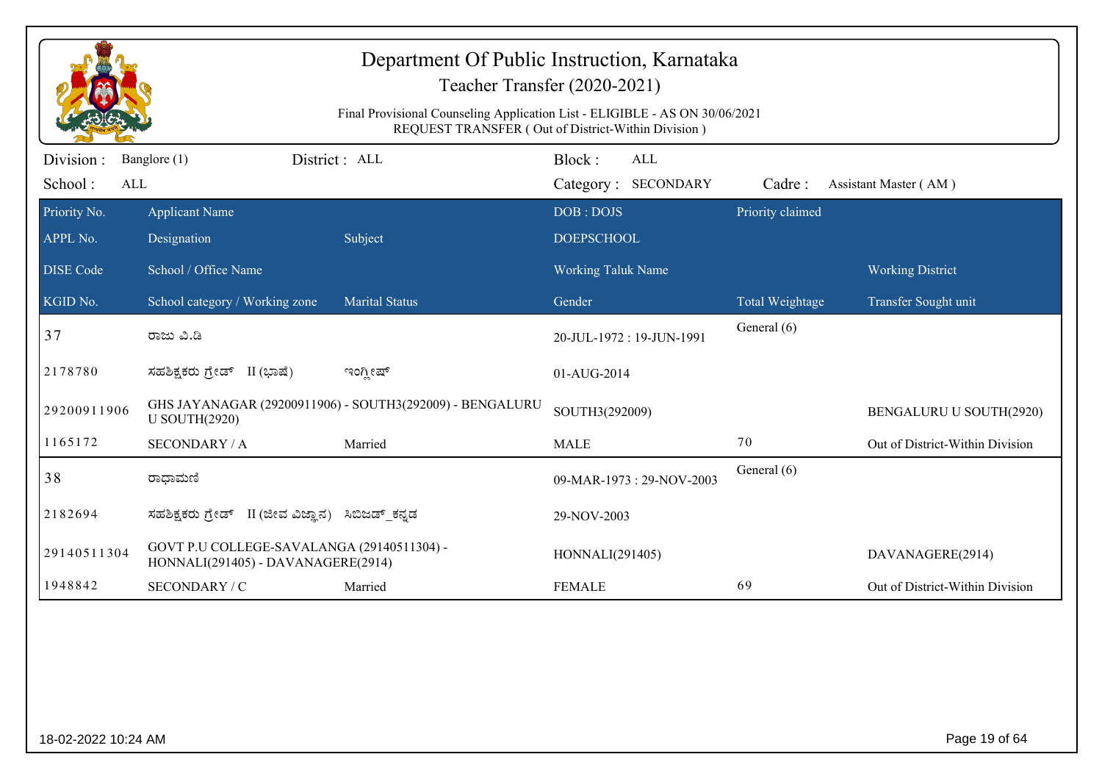| Department Of Public Instruction, Karnataka<br>Teacher Transfer (2020-2021)<br>Final Provisional Counseling Application List - ELIGIBLE - AS ON 30/06/2021<br>REQUEST TRANSFER (Out of District-Within Division) |                                                                                  |                                                          |                                |                            |                  |                                 |  |
|------------------------------------------------------------------------------------------------------------------------------------------------------------------------------------------------------------------|----------------------------------------------------------------------------------|----------------------------------------------------------|--------------------------------|----------------------------|------------------|---------------------------------|--|
| Division :<br>School:<br>ALL                                                                                                                                                                                     | Banglore (1)                                                                     | District : ALL                                           | Block:                         | ALL<br>Category: SECONDARY | Cadre:           | Assistant Master (AM)           |  |
| Priority No.<br>APPL No.                                                                                                                                                                                         | <b>Applicant Name</b><br>Designation                                             | Subject                                                  | DOB: DOJS<br><b>DOEPSCHOOL</b> |                            | Priority claimed |                                 |  |
| <b>DISE Code</b>                                                                                                                                                                                                 | School / Office Name                                                             |                                                          | <b>Working Taluk Name</b>      |                            |                  | <b>Working District</b>         |  |
| KGID No.                                                                                                                                                                                                         | School category / Working zone                                                   | <b>Marital Status</b>                                    | Gender                         |                            | Total Weightage  | Transfer Sought unit            |  |
| 37                                                                                                                                                                                                               | ರಾಜು ವಿ.ಡಿ                                                                       |                                                          |                                | 20-JUL-1972: 19-JUN-1991   | General (6)      |                                 |  |
| 2178780                                                                                                                                                                                                          | ಸಹಶಿಕ್ಷಕರು ಗ್ರೇಡ್ II (ಭಾಷೆ)                                                      | ಇಂಗ್ಲೀಷ್                                                 | 01-AUG-2014                    |                            |                  |                                 |  |
| 29200911906                                                                                                                                                                                                      | <b>U SOUTH(2920)</b>                                                             | GHS JAYANAGAR (29200911906) - SOUTH3(292009) - BENGALURU | SOUTH3(292009)                 |                            |                  | BENGALURU U SOUTH(2920)         |  |
| 1165172                                                                                                                                                                                                          | <b>SECONDARY / A</b>                                                             | Married                                                  | <b>MALE</b>                    |                            | 70               | Out of District-Within Division |  |
| 38                                                                                                                                                                                                               | ರಾಧಾಮಣಿ                                                                          |                                                          |                                | 09-MAR-1973: 29-NOV-2003   | General (6)      |                                 |  |
| 2182694                                                                                                                                                                                                          | ಸಹಶಿಕ್ಷಕರು ಗ್ರೇಡ್ II (ಜೀವ ವಿಜ್ಞಾನ) ಸಿಬಿಜಡ್_ಕನ್ನಡ                                 |                                                          | 29-NOV-2003                    |                            |                  |                                 |  |
| 29140511304                                                                                                                                                                                                      | GOVT P.U COLLEGE-SAVALANGA (29140511304) -<br>HONNALI(291405) - DAVANAGERE(2914) |                                                          | HONNALI(291405)                |                            |                  | DAVANAGERE(2914)                |  |
| 1948842                                                                                                                                                                                                          | SECONDARY / C                                                                    | Married                                                  | <b>FEMALE</b>                  |                            | 69               | Out of District-Within Division |  |
|                                                                                                                                                                                                                  |                                                                                  |                                                          |                                |                            |                  |                                 |  |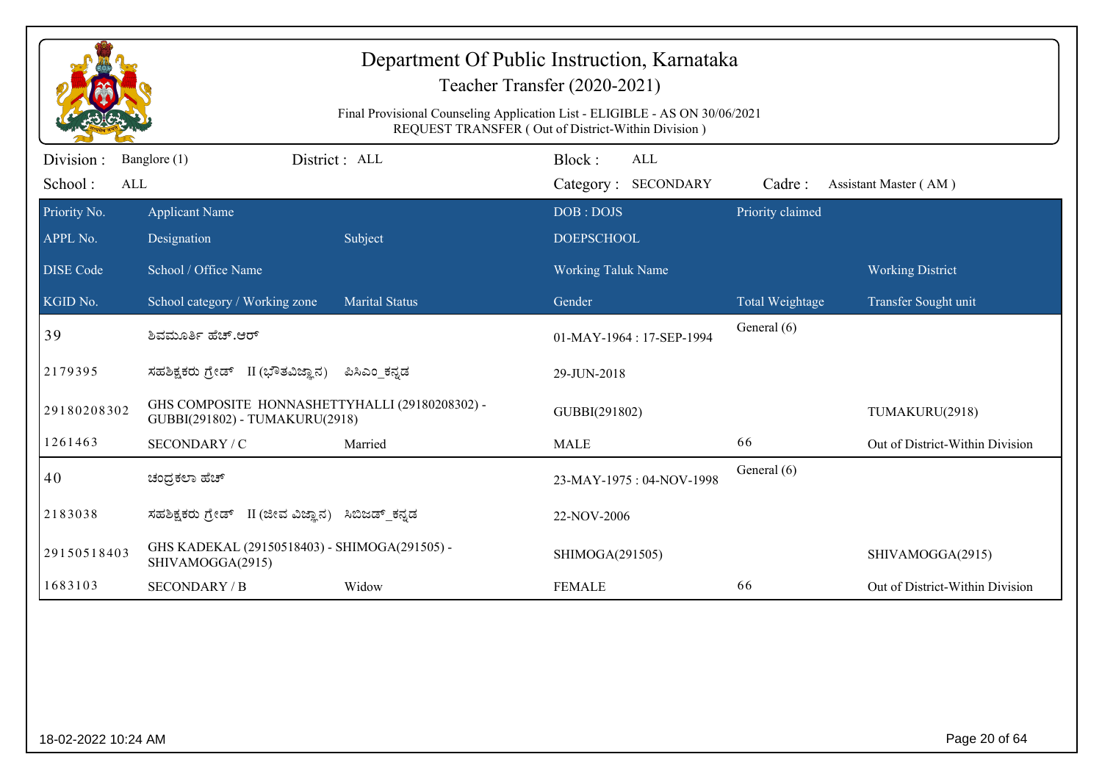|                             | Department Of Public Instruction, Karnataka<br>Teacher Transfer (2020-2021)<br>Final Provisional Counseling Application List - ELIGIBLE - AS ON 30/06/2021<br>REQUEST TRANSFER (Out of District-Within Division) |                       |                                             |                  |                                 |  |  |
|-----------------------------|------------------------------------------------------------------------------------------------------------------------------------------------------------------------------------------------------------------|-----------------------|---------------------------------------------|------------------|---------------------------------|--|--|
| Division:<br>School:<br>ALL | Banglore (1)                                                                                                                                                                                                     | District: ALL         | Block:<br><b>ALL</b><br>Category: SECONDARY | Cadre:           | Assistant Master (AM)           |  |  |
| Priority No.<br>APPL No.    | <b>Applicant Name</b><br>Designation                                                                                                                                                                             | Subject               | DOB: DOJS<br><b>DOEPSCHOOL</b>              | Priority claimed |                                 |  |  |
| <b>DISE Code</b>            | School / Office Name                                                                                                                                                                                             |                       | Working Taluk Name                          |                  | <b>Working District</b>         |  |  |
| KGID No.                    | School category / Working zone                                                                                                                                                                                   | <b>Marital Status</b> | Gender                                      | Total Weightage  | Transfer Sought unit            |  |  |
| 39                          | ಶಿವಮೂರ್ತಿ ಹೆಚ್.ಆರ್                                                                                                                                                                                               |                       | 01-MAY-1964: 17-SEP-1994                    | General (6)      |                                 |  |  |
| 2179395                     | ಸಹಶಿಕ್ಷಕರು ಗ್ರೇಡ್ II (ಭೌತವಿಜ್ಞಾನ)                                                                                                                                                                                | ಪಿಸಿಎಂ_ಕನ್ನಡ          | 29-JUN-2018                                 |                  |                                 |  |  |
| 29180208302                 | GHS COMPOSITE HONNASHETTYHALLI (29180208302) -<br>GUBBI(291802) - TUMAKURU(2918)                                                                                                                                 |                       | GUBBI(291802)                               |                  | TUMAKURU(2918)                  |  |  |
| 1261463                     | SECONDARY / C                                                                                                                                                                                                    | Married               | <b>MALE</b>                                 | 66               | Out of District-Within Division |  |  |
| 40                          | ಚಂದ್ರಕಲಾ ಹೆಚ್                                                                                                                                                                                                    |                       | 23-MAY-1975: 04-NOV-1998                    | General (6)      |                                 |  |  |
| 2183038                     | ಸಹಶಿಕ್ಷಕರು ಗ್ರೇಡ್   II (ಜೀವ ವಿಜ್ಞಾನ)                                                                                                                                                                             | ಸಿಬಿಜಡ್ ಕನ್ನಡ         | 22-NOV-2006                                 |                  |                                 |  |  |
| 29150518403                 | GHS KADEKAL (29150518403) - SHIMOGA(291505) -<br>SHIVAMOGGA(2915)                                                                                                                                                |                       | SHIMOGA(291505)                             |                  | SHIVAMOGGA(2915)                |  |  |
| 1683103                     | <b>SECONDARY / B</b>                                                                                                                                                                                             | Widow                 | <b>FEMALE</b>                               | 66               | Out of District-Within Division |  |  |
|                             |                                                                                                                                                                                                                  |                       |                                             |                  |                                 |  |  |
| 18-02-2022 10:24 AM         |                                                                                                                                                                                                                  |                       |                                             |                  | Page 20 of 64                   |  |  |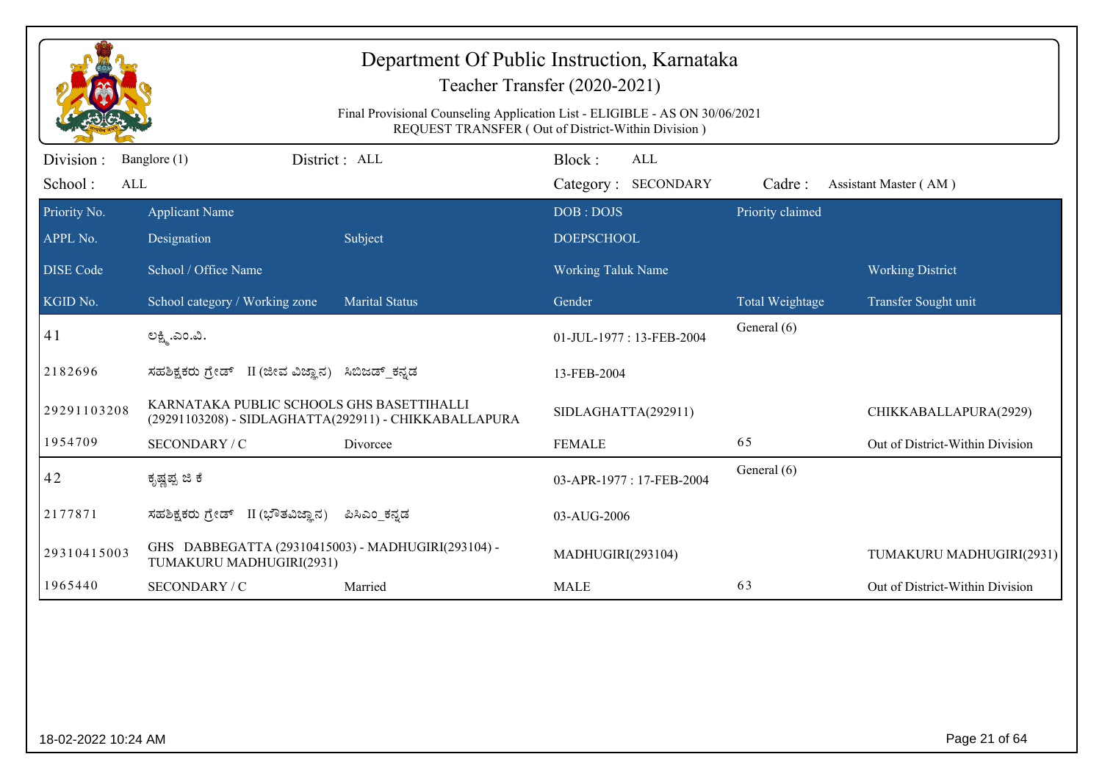|                              | Department Of Public Instruction, Karnataka<br>Teacher Transfer (2020-2021)<br>Final Provisional Counseling Application List - ELIGIBLE - AS ON 30/06/2021<br>REQUEST TRANSFER (Out of District-Within Division) |                                                       |                                                |                  |                                 |  |  |
|------------------------------|------------------------------------------------------------------------------------------------------------------------------------------------------------------------------------------------------------------|-------------------------------------------------------|------------------------------------------------|------------------|---------------------------------|--|--|
| Division:                    | Banglore (1)                                                                                                                                                                                                     | District: ALL                                         | Block:<br>ALL                                  |                  |                                 |  |  |
| School:<br>ALL               |                                                                                                                                                                                                                  |                                                       | Category: SECONDARY                            | Cadre:           | Assistant Master (AM)           |  |  |
| Priority No.                 | <b>Applicant Name</b>                                                                                                                                                                                            |                                                       | DOB: DOJS                                      | Priority claimed |                                 |  |  |
| APPL No.<br><b>DISE Code</b> | Designation<br>School / Office Name                                                                                                                                                                              | Subject                                               | <b>DOEPSCHOOL</b><br><b>Working Taluk Name</b> |                  | <b>Working District</b>         |  |  |
|                              |                                                                                                                                                                                                                  |                                                       |                                                |                  |                                 |  |  |
| KGID No.                     | School category / Working zone                                                                                                                                                                                   | <b>Marital Status</b>                                 | Gender                                         | Total Weightage  | Transfer Sought unit            |  |  |
| 41                           | ಲಕ್ಷ್ತಿ.ಎಂ.ವಿ.                                                                                                                                                                                                   |                                                       | 01-JUL-1977: 13-FEB-2004                       | General (6)      |                                 |  |  |
| 2182696                      | ಸಹಶಿಕ್ಷಕರು ಗ್ರೇಡ್ II (ಜೀವ ವಿಜ್ಞಾನ) ಸಿಬಿಜಡ್ ಕನ್ನಡ                                                                                                                                                                 |                                                       | 13-FEB-2004                                    |                  |                                 |  |  |
| 29291103208                  | KARNATAKA PUBLIC SCHOOLS GHS BASETTIHALLI                                                                                                                                                                        | (29291103208) - SIDLAGHATTA(292911) - CHIKKABALLAPURA | SIDLAGHATTA(292911)                            |                  | CHIKKABALLAPURA(2929)           |  |  |
| 1954709                      | SECONDARY / C                                                                                                                                                                                                    | Divorcee                                              | <b>FEMALE</b>                                  | 65               | Out of District-Within Division |  |  |
| 42                           | ಕೃಷ್ಣಪ್ಪ ಜಿ ಕೆ                                                                                                                                                                                                   |                                                       | 03-APR-1977: 17-FEB-2004                       | General (6)      |                                 |  |  |
| 2177871                      | ಸಹಶಿಕ್ಷಕರು ಗ್ರೇಡ್ II (ಭೌತವಿಜ್ಞಾನ)                                                                                                                                                                                | ಪಿಸಿಎಂ ಕನ್ನಡ                                          | 03-AUG-2006                                    |                  |                                 |  |  |
| 29310415003                  | GHS DABBEGATTA (29310415003) - MADHUGIRI(293104) -<br>TUMAKURU MADHUGIRI(2931)                                                                                                                                   |                                                       | MADHUGIRI(293104)                              |                  | TUMAKURU MADHUGIRI(2931)        |  |  |
| 1965440                      | SECONDARY / C                                                                                                                                                                                                    | Married                                               | <b>MALE</b>                                    | 63               | Out of District-Within Division |  |  |
|                              |                                                                                                                                                                                                                  |                                                       |                                                |                  |                                 |  |  |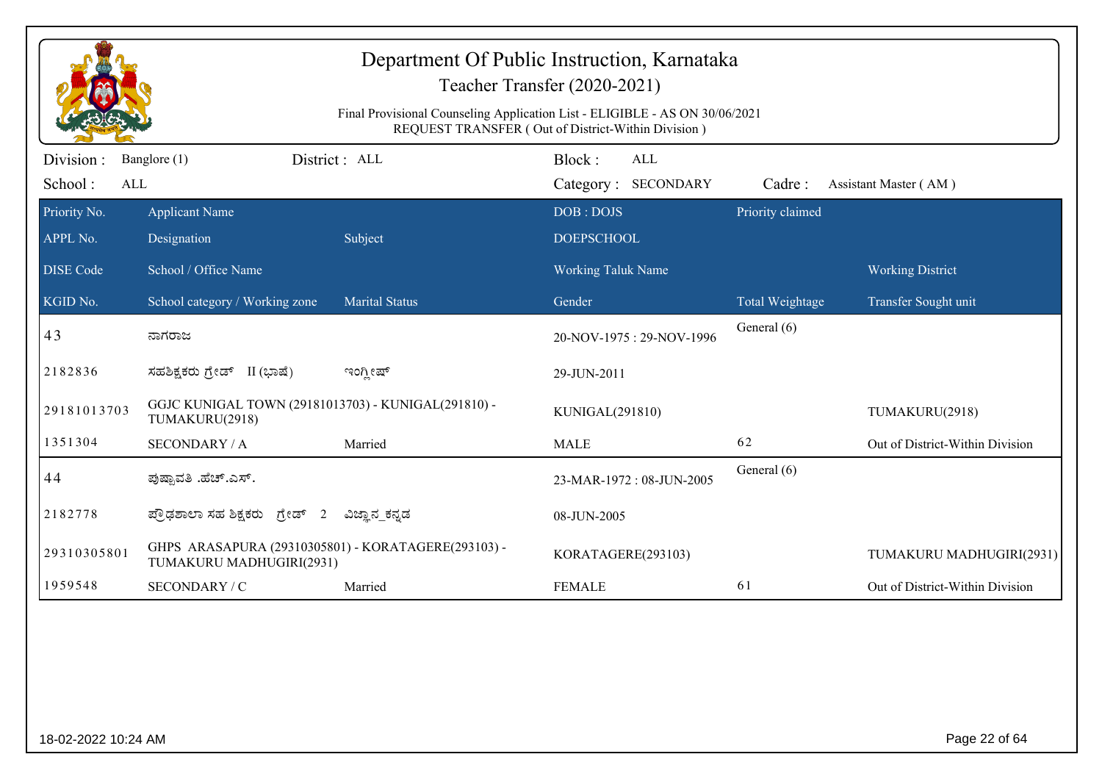|                             | Department Of Public Instruction, Karnataka<br>Teacher Transfer (2020-2021)<br>Final Provisional Counseling Application List - ELIGIBLE - AS ON 30/06/2021<br>REQUEST TRANSFER (Out of District-Within Division) |                       |                                      |                  |                                 |  |  |
|-----------------------------|------------------------------------------------------------------------------------------------------------------------------------------------------------------------------------------------------------------|-----------------------|--------------------------------------|------------------|---------------------------------|--|--|
| Division:<br>School:<br>ALL | Banglore (1)                                                                                                                                                                                                     | District: ALL         | Block:<br>ALL<br>Category: SECONDARY | Cadre:           | Assistant Master (AM)           |  |  |
| Priority No.<br>APPL No.    | <b>Applicant Name</b><br>Designation                                                                                                                                                                             | Subject               | DOB: DOJS<br><b>DOEPSCHOOL</b>       | Priority claimed |                                 |  |  |
| <b>DISE Code</b>            | School / Office Name                                                                                                                                                                                             |                       | <b>Working Taluk Name</b>            |                  | <b>Working District</b>         |  |  |
| KGID No.                    | School category / Working zone                                                                                                                                                                                   | <b>Marital Status</b> | Gender                               | Total Weightage  | Transfer Sought unit            |  |  |
| 43                          | ನಾಗರಾಜ                                                                                                                                                                                                           |                       | 20-NOV-1975: 29-NOV-1996             | General (6)      |                                 |  |  |
| 2182836                     | ಸಹಶಿಕ್ಷಕರು ಗ್ರೇಡ್ II (ಭಾಷೆ)                                                                                                                                                                                      | ಇಂಗ್ಲೀಷ್              | 29-JUN-2011                          |                  |                                 |  |  |
| 29181013703                 | GGJC KUNIGAL TOWN (29181013703) - KUNIGAL(291810) -<br>TUMAKURU(2918)                                                                                                                                            |                       | KUNIGAL(291810)                      |                  | TUMAKURU(2918)                  |  |  |
| 1351304                     | <b>SECONDARY / A</b>                                                                                                                                                                                             | Married               | <b>MALE</b>                          | 62               | Out of District-Within Division |  |  |
| 44                          | ಪುಷ್ಪಾವತಿ .ಹೆಚ್.ಎಸ್.                                                                                                                                                                                             |                       | 23-MAR-1972: 08-JUN-2005             | General (6)      |                                 |  |  |
| 2182778                     | ಪ್ರೌಢಶಾಲಾ ಸಹ ಶಿಕ್ಷಕರು ಗ್ರೇಡ್ 2                                                                                                                                                                                   | ವಿಜ್ಞಾನ_ಕನ್ನಡ         | 08-JUN-2005                          |                  |                                 |  |  |
| 29310305801                 | GHPS ARASAPURA (29310305801) - KORATAGERE(293103) -<br>TUMAKURU MADHUGIRI(2931)                                                                                                                                  |                       | KORATAGERE(293103)                   |                  | TUMAKURU MADHUGIRI(2931)        |  |  |
| 1959548                     | SECONDARY / C                                                                                                                                                                                                    | Married               | <b>FEMALE</b>                        | 61               | Out of District-Within Division |  |  |
|                             |                                                                                                                                                                                                                  |                       |                                      |                  |                                 |  |  |
| 18-02-2022 10:24 AM         |                                                                                                                                                                                                                  |                       |                                      |                  | Page 22 of 64                   |  |  |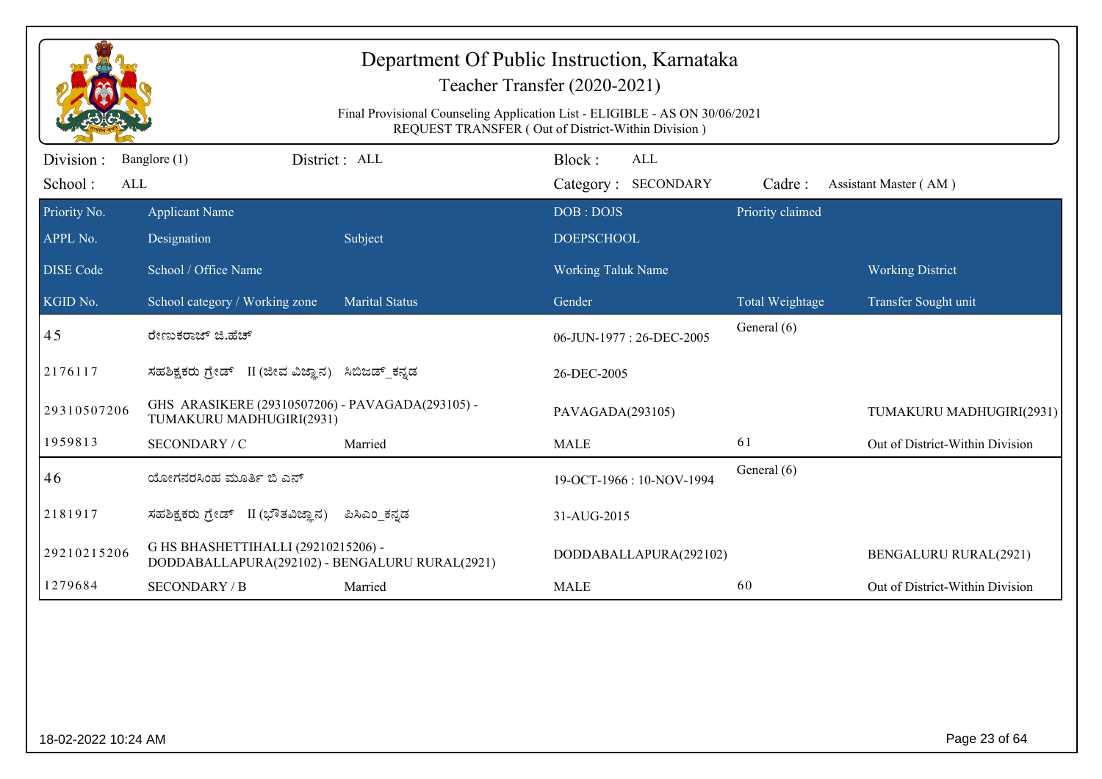|                          | Department Of Public Instruction, Karnataka<br>Teacher Transfer (2020-2021)<br>Final Provisional Counseling Application List - ELIGIBLE - AS ON 30/06/2021<br>REQUEST TRANSFER (Out of District-Within Division) |                       |                                |                  |                                 |  |  |  |
|--------------------------|------------------------------------------------------------------------------------------------------------------------------------------------------------------------------------------------------------------|-----------------------|--------------------------------|------------------|---------------------------------|--|--|--|
| Division:                | Banglore (1)                                                                                                                                                                                                     | District: ALL         | Block:<br>ALL                  |                  |                                 |  |  |  |
| School:<br>ALL           |                                                                                                                                                                                                                  |                       | Category: SECONDARY            | Cadre:           | Assistant Master (AM)           |  |  |  |
| Priority No.<br>APPL No. | <b>Applicant Name</b><br>Designation                                                                                                                                                                             | Subject               | DOB: DOJS<br><b>DOEPSCHOOL</b> | Priority claimed |                                 |  |  |  |
| <b>DISE</b> Code         | School / Office Name                                                                                                                                                                                             |                       | <b>Working Taluk Name</b>      |                  | <b>Working District</b>         |  |  |  |
| KGID No.                 | School category / Working zone                                                                                                                                                                                   | <b>Marital Status</b> | Gender                         | Total Weightage  | Transfer Sought unit            |  |  |  |
| 45                       | ರೇಣುಕರಾಜ್ ಜಿ.ಹೆಚ್                                                                                                                                                                                                |                       | 06-JUN-1977: 26-DEC-2005       | General (6)      |                                 |  |  |  |
| 2176117                  | ಸಹಶಿಕ್ಷಕರು ಗ್ರೇಡ್ II (ಜೀವ ವಿಜ್ಞಾನ)                                                                                                                                                                               | ಸಿಬಿಜಡ್ ಕನ್ನಡ         | 26-DEC-2005                    |                  |                                 |  |  |  |
| 29310507206              | GHS ARASIKERE (29310507206) - PAVAGADA(293105) -<br>TUMAKURU MADHUGIRI(2931)                                                                                                                                     |                       | PAVAGADA(293105)               |                  | TUMAKURU MADHUGIRI(2931)        |  |  |  |
| 1959813                  | SECONDARY / C                                                                                                                                                                                                    | Married               | <b>MALE</b>                    | 61               | Out of District-Within Division |  |  |  |
| 46                       | ಯೋಗನರಸಿಂಹ ಮೂರ್ತಿ ಬಿ ಎನ್                                                                                                                                                                                          |                       | 19-OCT-1966: 10-NOV-1994       | General (6)      |                                 |  |  |  |
| 2181917                  | ಸಹಶಿಕ್ಷಕರು ಗ್ರೇಡ್ II (ಭೌತವಿಜ್ಞಾನ)                                                                                                                                                                                | ಪಿಸಿಎಂ ಕನ್ನಡ          | 31-AUG-2015                    |                  |                                 |  |  |  |
| 29210215206              | G HS BHASHETTIHALLI (29210215206) -<br>DODDABALLAPURA(292102) - BENGALURU RURAL(2921)                                                                                                                            |                       | DODDABALLAPURA(292102)         |                  | <b>BENGALURU RURAL(2921)</b>    |  |  |  |
| 1279684                  | <b>SECONDARY / B</b>                                                                                                                                                                                             | Married               | <b>MALE</b>                    | 60               | Out of District-Within Division |  |  |  |
|                          |                                                                                                                                                                                                                  |                       |                                |                  |                                 |  |  |  |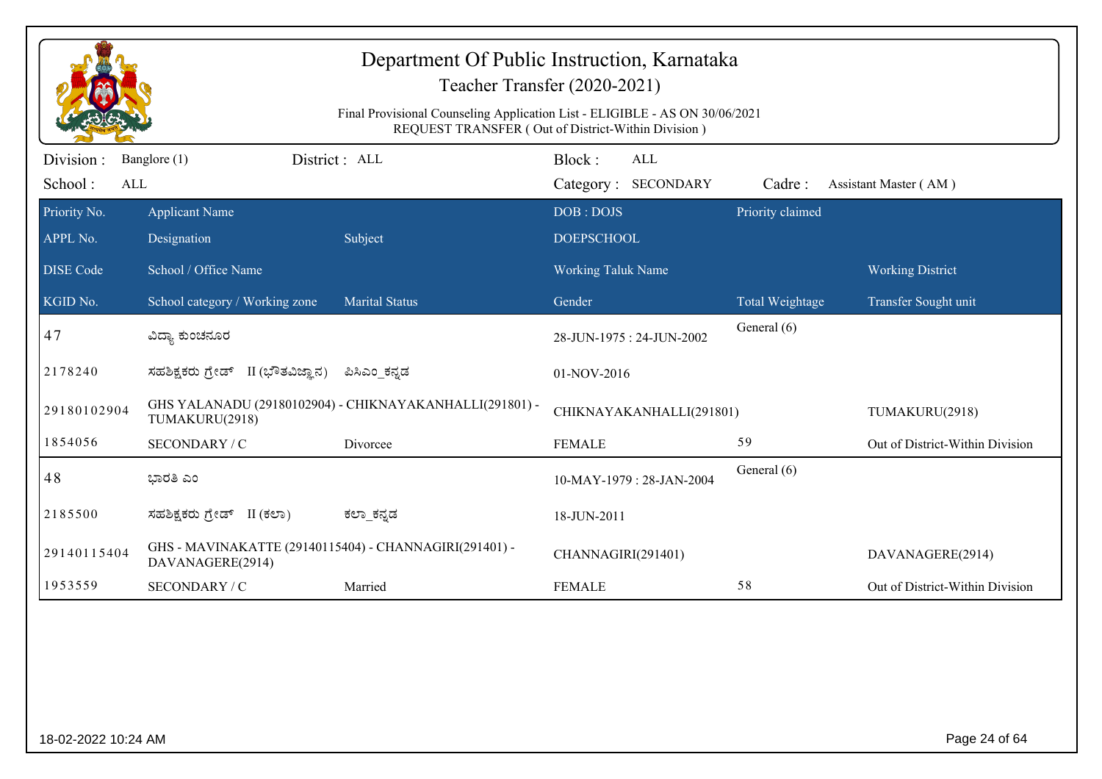|                             | Department Of Public Instruction, Karnataka<br>Teacher Transfer (2020-2021)<br>Final Provisional Counseling Application List - ELIGIBLE - AS ON 30/06/2021<br>REQUEST TRANSFER (Out of District-Within Division) |                                                         |                                             |                  |                                 |  |  |
|-----------------------------|------------------------------------------------------------------------------------------------------------------------------------------------------------------------------------------------------------------|---------------------------------------------------------|---------------------------------------------|------------------|---------------------------------|--|--|
| Division:<br>School:<br>ALL | Banglore (1)                                                                                                                                                                                                     | District : ALL                                          | Block:<br><b>ALL</b><br>Category: SECONDARY | Cadre:           | Assistant Master (AM)           |  |  |
| Priority No.<br>APPL No.    | <b>Applicant Name</b><br>Designation                                                                                                                                                                             | Subject                                                 | DOB: DOJS<br><b>DOEPSCHOOL</b>              | Priority claimed |                                 |  |  |
| <b>DISE Code</b>            | School / Office Name                                                                                                                                                                                             |                                                         | <b>Working Taluk Name</b>                   |                  | <b>Working District</b>         |  |  |
| KGID No.                    | School category / Working zone                                                                                                                                                                                   | <b>Marital Status</b>                                   | Gender                                      | Total Weightage  | Transfer Sought unit            |  |  |
| 47                          | ವಿದ್ಯಾ ಕುಂಚನೂರ                                                                                                                                                                                                   |                                                         | 28-JUN-1975: 24-JUN-2002                    | General (6)      |                                 |  |  |
| 2178240                     | ಸಹಶಿಕ್ಷಕರು ಗ್ರೇಡ್ II (ಭೌತವಿಜ್ಞಾನ)                                                                                                                                                                                | ಪಿಸಿಎಂ ಕನ್ನಡ                                            | 01-NOV-2016                                 |                  |                                 |  |  |
| 29180102904                 | TUMAKURU(2918)                                                                                                                                                                                                   | GHS YALANADU (29180102904) - CHIKNAYAKANHALLI(291801) - | CHIKNAYAKANHALLI(291801)                    |                  | TUMAKURU(2918)                  |  |  |
| 1854056                     | SECONDARY / C                                                                                                                                                                                                    | Divorcee                                                | <b>FEMALE</b>                               | 59               | Out of District-Within Division |  |  |
| 48                          | ಭಾರತಿ ಎಂ                                                                                                                                                                                                         |                                                         | 10-MAY-1979: 28-JAN-2004                    | General (6)      |                                 |  |  |
| 2185500                     | ಸಹಶಿಕ್ಷಕರು ಗ್ರೇಡ್ II (ಕಲಾ)                                                                                                                                                                                       | ಕಲ್_ಕನ್ನಡ                                               | 18-JUN-2011                                 |                  |                                 |  |  |
| 29140115404                 | GHS - MAVINAKATTE (29140115404) - CHANNAGIRI(291401) -<br>DAVANAGERE(2914)                                                                                                                                       |                                                         | CHANNAGIRI(291401)                          |                  | DAVANAGERE(2914)                |  |  |
| 1953559                     | SECONDARY / C                                                                                                                                                                                                    | Married                                                 | <b>FEMALE</b>                               | 58               | Out of District-Within Division |  |  |
|                             |                                                                                                                                                                                                                  |                                                         |                                             |                  |                                 |  |  |
| 18-02-2022 10:24 AM         |                                                                                                                                                                                                                  |                                                         |                                             |                  | Page 24 of 64                   |  |  |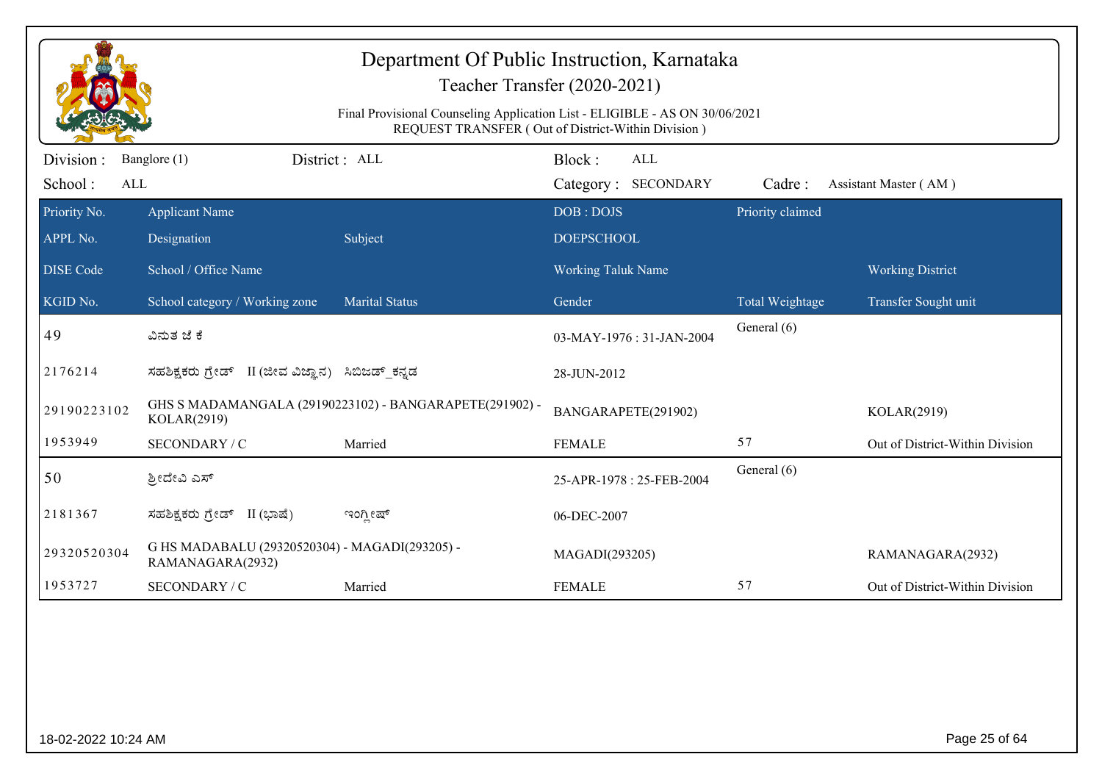|                             |                                                                    | Department Of Public Instruction, Karnataka<br>Final Provisional Counseling Application List - ELIGIBLE - AS ON 30/06/2021<br>REQUEST TRANSFER (Out of District-Within Division) | Teacher Transfer (2020-2021)                |                  |                                 |
|-----------------------------|--------------------------------------------------------------------|----------------------------------------------------------------------------------------------------------------------------------------------------------------------------------|---------------------------------------------|------------------|---------------------------------|
| Division:<br>School:<br>ALL | District: ALL<br>Banglore (1)                                      |                                                                                                                                                                                  | Block:<br><b>ALL</b><br>Category: SECONDARY | Cadre:           | Assistant Master (AM)           |
| Priority No.<br>APPL No.    | <b>Applicant Name</b><br>Designation                               | Subject                                                                                                                                                                          | DOB: DOJS<br><b>DOEPSCHOOL</b>              | Priority claimed |                                 |
| <b>DISE</b> Code            | School / Office Name                                               |                                                                                                                                                                                  | <b>Working Taluk Name</b>                   |                  | <b>Working District</b>         |
| KGID No.                    | School category / Working zone                                     | <b>Marital Status</b>                                                                                                                                                            | Gender                                      | Total Weightage  | Transfer Sought unit            |
| 49                          | ವಿನುತ ಜೆ ಕೆ                                                        |                                                                                                                                                                                  | 03-MAY-1976: 31-JAN-2004                    | General (6)      |                                 |
| 2176214                     | ಸಹಶಿಕ್ಷಕರು ಗ್ರೇಡ್ II (ಜೀವ ವಿಜ್ಞಾನ) ಸಿಬಿಜಡ್_ಕನ್ನಡ                   |                                                                                                                                                                                  | 28-JUN-2012                                 |                  |                                 |
| 29190223102                 | KOLAR(2919)                                                        | GHS S MADAMANGALA (29190223102) - BANGARAPETE(291902) -                                                                                                                          | BANGARAPETE(291902)                         |                  | KOLAR(2919)                     |
| 1953949                     | SECONDARY / C                                                      | Married                                                                                                                                                                          | <b>FEMALE</b>                               | 57               | Out of District-Within Division |
| 50                          | ಶ್ರೀದೇವಿ ಎಸ್                                                       |                                                                                                                                                                                  | 25-APR-1978: 25-FEB-2004                    | General (6)      |                                 |
| 2181367                     | ಸಹಶಿಕ್ಷಕರು ಗ್ರೇಡ್ II (ಭಾಷೆ)                                        | ಇಂಗ್ಲೀಷ್                                                                                                                                                                         | 06-DEC-2007                                 |                  |                                 |
| 29320520304                 | G HS MADABALU (29320520304) - MAGADI(293205) -<br>RAMANAGARA(2932) |                                                                                                                                                                                  | MAGADI(293205)                              |                  | RAMANAGARA(2932)                |
| 1953727                     | SECONDARY / C                                                      | Married                                                                                                                                                                          | <b>FEMALE</b>                               | 57               | Out of District-Within Division |
|                             |                                                                    |                                                                                                                                                                                  |                                             |                  |                                 |
| 18-02-2022 10:24 AM         |                                                                    |                                                                                                                                                                                  |                                             |                  | Page 25 of 64                   |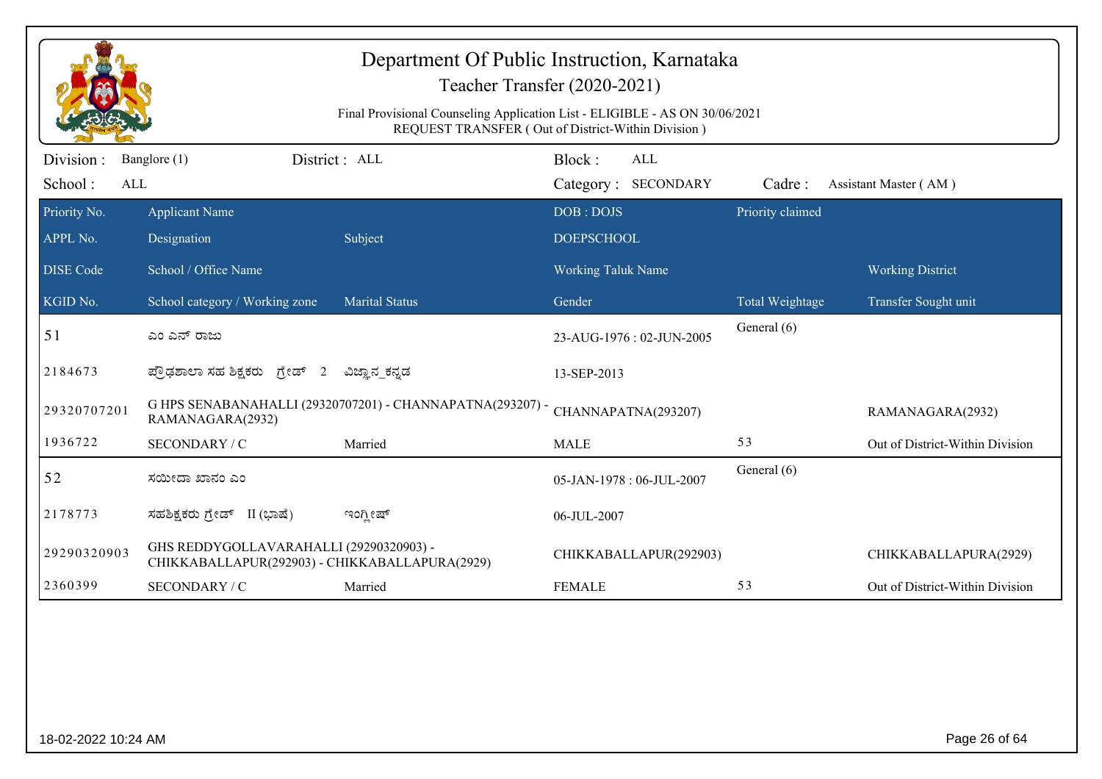|                              |                                                                                           | Department Of Public Instruction, Karnataka<br>Final Provisional Counseling Application List - ELIGIBLE - AS ON 30/06/2021 | Teacher Transfer (2020-2021)<br>REQUEST TRANSFER (Out of District-Within Division) |                  |                                 |
|------------------------------|-------------------------------------------------------------------------------------------|----------------------------------------------------------------------------------------------------------------------------|------------------------------------------------------------------------------------|------------------|---------------------------------|
| Division :<br>School:<br>ALL | Banglore (1)                                                                              | District: ALL                                                                                                              | Block:<br><b>ALL</b><br>Category: SECONDARY                                        | Cadre:           | Assistant Master (AM)           |
| Priority No.<br>APPL No.     | <b>Applicant Name</b><br>Designation                                                      | Subject                                                                                                                    | DOB: DOJS<br><b>DOEPSCHOOL</b>                                                     | Priority claimed |                                 |
| <b>DISE</b> Code             | School / Office Name                                                                      |                                                                                                                            | <b>Working Taluk Name</b>                                                          |                  | <b>Working District</b>         |
| KGID No.                     | School category / Working zone                                                            | <b>Marital Status</b>                                                                                                      | Gender                                                                             | Total Weightage  | Transfer Sought unit            |
| 51                           | ಎಂ ಎನ್ ರಾಜು                                                                               |                                                                                                                            | 23-AUG-1976: 02-JUN-2005                                                           | General (6)      |                                 |
| 2184673                      | ಪ್ರೌಢಶಾಲಾ ಸಹ ಶಿಕ್ಷಕರು ಗ್ರೇಡ್ 2                                                            | ವಿಜ್ಞಾನ_ಕನ್ನಡ                                                                                                              | 13-SEP-2013                                                                        |                  |                                 |
| 29320707201                  | RAMANAGARA(2932)                                                                          | G HPS SENABANAHALLI (29320707201) - CHANNAPATNA(293207) -                                                                  | CHANNAPATNA(293207)                                                                |                  | RAMANAGARA(2932)                |
| 1936722                      | SECONDARY / C                                                                             | Married                                                                                                                    | <b>MALE</b>                                                                        | 53               | Out of District-Within Division |
| 52                           | ಸಯೀದಾ ಖಾನಂ ಎಂ                                                                             |                                                                                                                            | 05-JAN-1978: 06-JUL-2007                                                           | General (6)      |                                 |
| 2178773                      | ಸಹಶಿಕ್ಷಕರು ಗ್ರೇಡ್ II (ಭಾಷೆ)                                                               | ಇಂಗ್ಲೀಷ್                                                                                                                   | 06-JUL-2007                                                                        |                  |                                 |
| 29290320903                  | GHS REDDYGOLLAVARAHALLI (29290320903) -<br>CHIKKABALLAPUR(292903) - CHIKKABALLAPURA(2929) |                                                                                                                            | CHIKKABALLAPUR(292903)                                                             |                  | CHIKKABALLAPURA(2929)           |
| 2360399                      | SECONDARY / C                                                                             | Married                                                                                                                    | <b>FEMALE</b>                                                                      | 53               | Out of District-Within Division |
|                              |                                                                                           |                                                                                                                            |                                                                                    |                  |                                 |
| 18-02-2022 10:24 AM          |                                                                                           |                                                                                                                            |                                                                                    |                  | Page 26 of 64                   |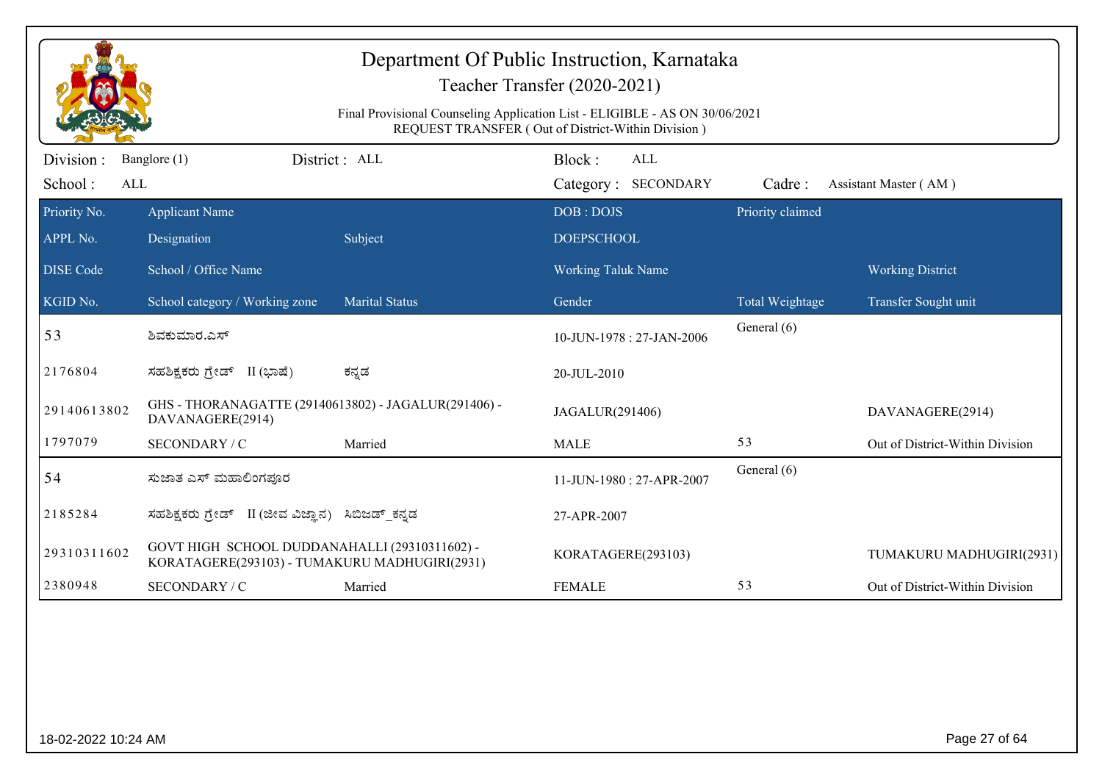| Department Of Public Instruction, Karnataka<br>Teacher Transfer (2020-2021)<br>Final Provisional Counseling Application List - ELIGIBLE - AS ON 30/06/2021<br>REQUEST TRANSFER (Out of District-Within Division) |                                                                                                |                       |                                                |                        |                                 |  |  |
|------------------------------------------------------------------------------------------------------------------------------------------------------------------------------------------------------------------|------------------------------------------------------------------------------------------------|-----------------------|------------------------------------------------|------------------------|---------------------------------|--|--|
| Division :                                                                                                                                                                                                       | Banglore (1)                                                                                   | District : ALL        | Block:<br><b>ALL</b>                           |                        |                                 |  |  |
| School:<br>ALL                                                                                                                                                                                                   |                                                                                                |                       | Category: SECONDARY                            | Cadre:                 | Assistant Master (AM)           |  |  |
| Priority No.<br>APPL No.                                                                                                                                                                                         | <b>Applicant Name</b>                                                                          |                       | DOB: DOJS                                      | Priority claimed       |                                 |  |  |
| <b>DISE</b> Code                                                                                                                                                                                                 | Designation<br>School / Office Name                                                            | Subject               | <b>DOEPSCHOOL</b><br><b>Working Taluk Name</b> |                        | <b>Working District</b>         |  |  |
| KGID No.                                                                                                                                                                                                         | School category / Working zone                                                                 | <b>Marital Status</b> | Gender                                         | <b>Total Weightage</b> | Transfer Sought unit            |  |  |
| 53                                                                                                                                                                                                               | ಶಿವಕುಮಾರ.ಎಸ್                                                                                   |                       | 10-JUN-1978: 27-JAN-2006                       | General (6)            |                                 |  |  |
| 2176804                                                                                                                                                                                                          | ಸಹಶಿಕ್ಷಕರು ಗ್ರೇಡ್ II (ಭಾಷೆ)                                                                    | ಕನ್ನಡ                 | 20-JUL-2010                                    |                        |                                 |  |  |
| 29140613802                                                                                                                                                                                                      | GHS - THORANAGATTE (29140613802) - JAGALUR(291406) -<br>DAVANAGERE(2914)                       |                       | JAGALUR(291406)                                |                        | DAVANAGERE(2914)                |  |  |
| 1797079                                                                                                                                                                                                          | SECONDARY / C                                                                                  | Married               | <b>MALE</b>                                    | 53                     | Out of District-Within Division |  |  |
| 54                                                                                                                                                                                                               | ಸುಜಾತ ಎಸ್ ಮಹಾಲಿಂಗಪೂರ                                                                           |                       | 11-JUN-1980: 27-APR-2007                       | General (6)            |                                 |  |  |
| 2185284                                                                                                                                                                                                          | ಸಹಶಿಕ್ಷಕರು ಗ್ರೇಡ್ II (ಜೀವ ವಿಜ್ಞಾನ) ಸಿಬಿಜಡ್_ಕನ್ನಡ                                               |                       | 27-APR-2007                                    |                        |                                 |  |  |
| 29310311602                                                                                                                                                                                                      | GOVT HIGH SCHOOL DUDDANAHALLI (29310311602) -<br>KORATAGERE(293103) - TUMAKURU MADHUGIRI(2931) |                       | KORATAGERE(293103)                             |                        | TUMAKURU MADHUGIRI(2931)        |  |  |
| 2380948                                                                                                                                                                                                          | SECONDARY / C                                                                                  | Married               | <b>FEMALE</b>                                  | 53                     | Out of District-Within Division |  |  |
|                                                                                                                                                                                                                  |                                                                                                |                       |                                                |                        |                                 |  |  |

18-02-2022 10:24 AM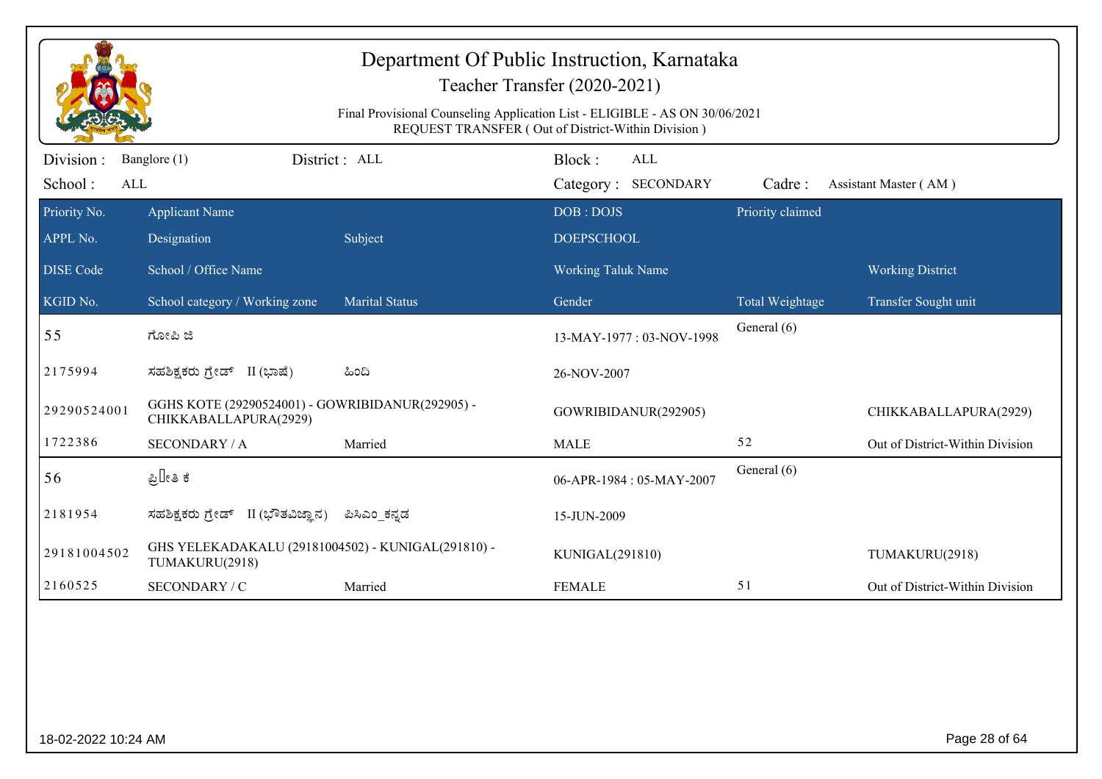| Final Provisional Counseling Application List - ELIGIBLE - AS ON 30/06/2021<br>REQUEST TRANSFER (Out of District-Within Division)<br>Division:<br>District: ALL<br>Block:<br>Banglore (1)<br><b>ALL</b><br>School:<br>Category: SECONDARY<br>ALL<br>Cadre:<br>Assistant Master (AM)<br>Priority claimed<br>Priority No.<br><b>Applicant Name</b><br>DOB: DOJS<br>APPL No.<br>Designation<br>Subject<br><b>DOEPSCHOOL</b><br>School / Office Name<br><b>DISE Code</b><br><b>Working Taluk Name</b><br><b>Working District</b><br>KGID No.<br>School category / Working zone<br><b>Marital Status</b><br>Gender<br>Total Weightage<br>Transfer Sought unit<br>General (6)<br>55<br>ಗೋಪಿ ಜಿ<br>13-MAY-1977: 03-NOV-1998<br>2175994<br>ಸಹಶಿಕ್ಷಕರು ಗ್ರೇಡ್ II (ಭಾಷೆ)<br>ಹಿಂದಿ<br>26-NOV-2007<br>GGHS KOTE (29290524001) - GOWRIBIDANUR(292905) -<br>29290524001<br>GOWRIBIDANUR(292905)<br>CHIKKABALLAPURA(2929)<br>1722386<br>52<br><b>SECONDARY / A</b><br>Married<br><b>MALE</b><br>General (6)<br>ಪ್ರಿ∏ೕತಿ ಕೆ<br>56<br>06-APR-1984: 05-MAY-2007<br>2181954<br>ಸಹಶಿಕ್ಷಕರು ಗ್ರೇಡ್ II (ಭೌತವಿಜ್ಞಾನ)<br>ಪಿಸಿಎಂ ಕನ್ನಡ<br>15-JUN-2009<br>GHS YELEKADAKALU (29181004502) - KUNIGAL(291810) - |             |  |  | Department Of Public Instruction, Karnataka<br>Teacher Transfer (2020-2021) |  |                                 |  |  |
|------------------------------------------------------------------------------------------------------------------------------------------------------------------------------------------------------------------------------------------------------------------------------------------------------------------------------------------------------------------------------------------------------------------------------------------------------------------------------------------------------------------------------------------------------------------------------------------------------------------------------------------------------------------------------------------------------------------------------------------------------------------------------------------------------------------------------------------------------------------------------------------------------------------------------------------------------------------------------------------------------------------------------------------------------------------------------------------------------------------------------------------------------------------------------------|-------------|--|--|-----------------------------------------------------------------------------|--|---------------------------------|--|--|
|                                                                                                                                                                                                                                                                                                                                                                                                                                                                                                                                                                                                                                                                                                                                                                                                                                                                                                                                                                                                                                                                                                                                                                                    |             |  |  |                                                                             |  |                                 |  |  |
|                                                                                                                                                                                                                                                                                                                                                                                                                                                                                                                                                                                                                                                                                                                                                                                                                                                                                                                                                                                                                                                                                                                                                                                    |             |  |  |                                                                             |  |                                 |  |  |
|                                                                                                                                                                                                                                                                                                                                                                                                                                                                                                                                                                                                                                                                                                                                                                                                                                                                                                                                                                                                                                                                                                                                                                                    |             |  |  |                                                                             |  |                                 |  |  |
|                                                                                                                                                                                                                                                                                                                                                                                                                                                                                                                                                                                                                                                                                                                                                                                                                                                                                                                                                                                                                                                                                                                                                                                    |             |  |  |                                                                             |  |                                 |  |  |
|                                                                                                                                                                                                                                                                                                                                                                                                                                                                                                                                                                                                                                                                                                                                                                                                                                                                                                                                                                                                                                                                                                                                                                                    |             |  |  |                                                                             |  |                                 |  |  |
|                                                                                                                                                                                                                                                                                                                                                                                                                                                                                                                                                                                                                                                                                                                                                                                                                                                                                                                                                                                                                                                                                                                                                                                    |             |  |  |                                                                             |  |                                 |  |  |
|                                                                                                                                                                                                                                                                                                                                                                                                                                                                                                                                                                                                                                                                                                                                                                                                                                                                                                                                                                                                                                                                                                                                                                                    |             |  |  |                                                                             |  |                                 |  |  |
|                                                                                                                                                                                                                                                                                                                                                                                                                                                                                                                                                                                                                                                                                                                                                                                                                                                                                                                                                                                                                                                                                                                                                                                    |             |  |  |                                                                             |  |                                 |  |  |
|                                                                                                                                                                                                                                                                                                                                                                                                                                                                                                                                                                                                                                                                                                                                                                                                                                                                                                                                                                                                                                                                                                                                                                                    |             |  |  |                                                                             |  | CHIKKABALLAPURA(2929)           |  |  |
|                                                                                                                                                                                                                                                                                                                                                                                                                                                                                                                                                                                                                                                                                                                                                                                                                                                                                                                                                                                                                                                                                                                                                                                    |             |  |  |                                                                             |  | Out of District-Within Division |  |  |
|                                                                                                                                                                                                                                                                                                                                                                                                                                                                                                                                                                                                                                                                                                                                                                                                                                                                                                                                                                                                                                                                                                                                                                                    |             |  |  |                                                                             |  |                                 |  |  |
|                                                                                                                                                                                                                                                                                                                                                                                                                                                                                                                                                                                                                                                                                                                                                                                                                                                                                                                                                                                                                                                                                                                                                                                    |             |  |  |                                                                             |  |                                 |  |  |
| TUMAKURU(2918)                                                                                                                                                                                                                                                                                                                                                                                                                                                                                                                                                                                                                                                                                                                                                                                                                                                                                                                                                                                                                                                                                                                                                                     | 29181004502 |  |  | KUNIGAL(291810)                                                             |  | TUMAKURU(2918)                  |  |  |
| 2160525<br>51<br>SECONDARY / C<br>Married<br><b>FEMALE</b>                                                                                                                                                                                                                                                                                                                                                                                                                                                                                                                                                                                                                                                                                                                                                                                                                                                                                                                                                                                                                                                                                                                         |             |  |  |                                                                             |  | Out of District-Within Division |  |  |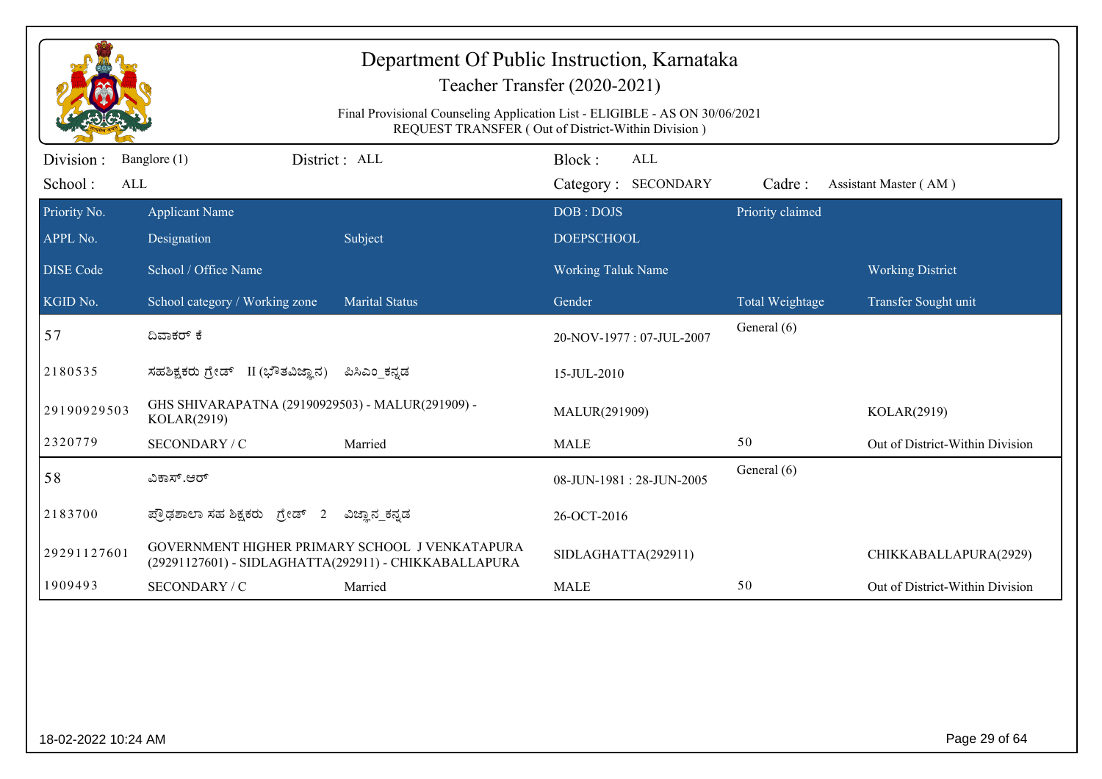|                              | Department Of Public Instruction, Karnataka<br>Teacher Transfer (2020-2021)<br>Final Provisional Counseling Application List - ELIGIBLE - AS ON 30/06/2021<br>REQUEST TRANSFER (Out of District-Within Division) |                                                                                                         |                                |                            |                  |                                 |  |  |
|------------------------------|------------------------------------------------------------------------------------------------------------------------------------------------------------------------------------------------------------------|---------------------------------------------------------------------------------------------------------|--------------------------------|----------------------------|------------------|---------------------------------|--|--|
| Division :<br>School:<br>ALL | Banglore (1)                                                                                                                                                                                                     | District: ALL                                                                                           | Block:                         | ALL<br>Category: SECONDARY | Cadre:           | Assistant Master (AM)           |  |  |
| Priority No.<br>APPL No.     | <b>Applicant Name</b><br>Designation                                                                                                                                                                             | Subject                                                                                                 | DOB: DOJS<br><b>DOEPSCHOOL</b> |                            | Priority claimed |                                 |  |  |
| <b>DISE</b> Code             | School / Office Name                                                                                                                                                                                             |                                                                                                         | <b>Working Taluk Name</b>      |                            |                  | <b>Working District</b>         |  |  |
| KGID No.                     | School category / Working zone                                                                                                                                                                                   | <b>Marital Status</b>                                                                                   | Gender                         |                            | Total Weightage  | Transfer Sought unit            |  |  |
| 57                           | ದಿವಾಕರ್ ಕೆ                                                                                                                                                                                                       |                                                                                                         |                                | 20-NOV-1977: 07-JUL-2007   | General (6)      |                                 |  |  |
| 2180535                      | ಸಹಶಿಕ್ಷಕರು ಗ್ರೇಡ್ II (ಭೌತವಿಜ್ಞಾನ)                                                                                                                                                                                | ಪಿಸಿಎಂ ಕನ್ನಡ                                                                                            | 15-JUL-2010                    |                            |                  |                                 |  |  |
| 29190929503                  | GHS SHIVARAPATNA (29190929503) - MALUR(291909) -<br>KOLAR(2919)                                                                                                                                                  |                                                                                                         | MALUR(291909)                  |                            |                  | KOLAR(2919)                     |  |  |
| 2320779                      | SECONDARY / C                                                                                                                                                                                                    | Married                                                                                                 | <b>MALE</b>                    |                            | 50               | Out of District-Within Division |  |  |
| 58                           | ವಿಕಾಸ್.ಆರ್                                                                                                                                                                                                       |                                                                                                         | 08-JUN-1981: 28-JUN-2005       |                            | General (6)      |                                 |  |  |
| 2183700                      | ಪ್ರೌಢಶಾಲಾ ಸಹ ಶಿಕ್ಷಕರು ಗ್ರೇಡ್ 2                                                                                                                                                                                   | ವಿಜ್ಞಾನ_ಕನ್ನಡ                                                                                           | 26-OCT-2016                    |                            |                  |                                 |  |  |
| 29291127601                  |                                                                                                                                                                                                                  | GOVERNMENT HIGHER PRIMARY SCHOOL J VENKATAPURA<br>(29291127601) - SIDLAGHATTA(292911) - CHIKKABALLAPURA | SIDLAGHATTA(292911)            |                            |                  | CHIKKABALLAPURA(2929)           |  |  |
| 1909493                      | SECONDARY / C                                                                                                                                                                                                    | Married                                                                                                 | <b>MALE</b>                    |                            | 50               | Out of District-Within Division |  |  |
|                              |                                                                                                                                                                                                                  |                                                                                                         |                                |                            |                  |                                 |  |  |
| 18-02-2022 10:24 AM          |                                                                                                                                                                                                                  |                                                                                                         |                                |                            |                  | Page 29 of 64                   |  |  |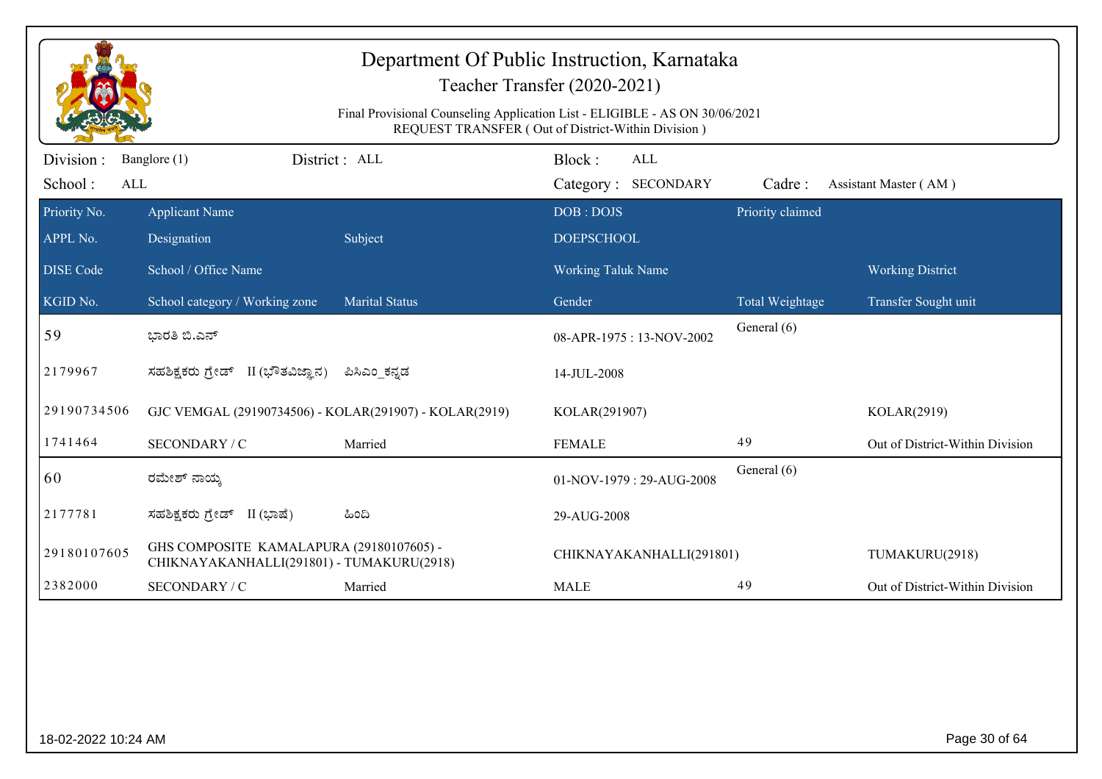| Department Of Public Instruction, Karnataka<br>Teacher Transfer (2020-2021)<br>Final Provisional Counseling Application List - ELIGIBLE - AS ON 30/06/2021<br>REQUEST TRANSFER (Out of District-Within Division) |                                                                                       |                       |                          |                  |                                 |  |  |
|------------------------------------------------------------------------------------------------------------------------------------------------------------------------------------------------------------------|---------------------------------------------------------------------------------------|-----------------------|--------------------------|------------------|---------------------------------|--|--|
| Division:                                                                                                                                                                                                        | Banglore (1)                                                                          | District: ALL         | Block:<br><b>ALL</b>     |                  |                                 |  |  |
| School:<br>ALL                                                                                                                                                                                                   |                                                                                       |                       | Category: SECONDARY      | Cadre:           | Assistant Master (AM)           |  |  |
| Priority No.                                                                                                                                                                                                     | <b>Applicant Name</b>                                                                 |                       | DOB: DOJS                | Priority claimed |                                 |  |  |
| APPL No.                                                                                                                                                                                                         | Designation                                                                           | Subject               | <b>DOEPSCHOOL</b>        |                  |                                 |  |  |
| <b>DISE</b> Code                                                                                                                                                                                                 | School / Office Name                                                                  |                       | Working Taluk Name       |                  | <b>Working District</b>         |  |  |
| KGID No.                                                                                                                                                                                                         | School category / Working zone                                                        | <b>Marital Status</b> | Gender                   | Total Weightage  | Transfer Sought unit            |  |  |
| 59                                                                                                                                                                                                               | ಭಾರತಿ ಬಿ.ಎನ್                                                                          |                       | 08-APR-1975: 13-NOV-2002 | General (6)      |                                 |  |  |
| 2179967                                                                                                                                                                                                          | ಸಹಶಿಕ್ಷಕರು ಗ್ರೇಡ್ II (ಭೌತವಿಜ್ಞಾನ)                                                     | ಪಿಸಿಎಂ ಕನ್ನಡ          | 14-JUL-2008              |                  |                                 |  |  |
| 29190734506                                                                                                                                                                                                      | GJC VEMGAL (29190734506) - KOLAR(291907) - KOLAR(2919)                                |                       | KOLAR(291907)            |                  | KOLAR(2919)                     |  |  |
| 1741464                                                                                                                                                                                                          | SECONDARY / C                                                                         | Married               | <b>FEMALE</b>            | 49               | Out of District-Within Division |  |  |
| 60                                                                                                                                                                                                               | ರಮೇಶ್ ನಾಯ್ತ                                                                           |                       | 01-NOV-1979: 29-AUG-2008 | General (6)      |                                 |  |  |
| 2177781                                                                                                                                                                                                          | ಸಹಶಿಕ್ಷಕರು ಗ್ರೇಡ್ II (ಭಾಷೆ)                                                           | ಹಿಂದಿ                 | 29-AUG-2008              |                  |                                 |  |  |
| 29180107605                                                                                                                                                                                                      | GHS COMPOSITE KAMALAPURA (29180107605) -<br>CHIKNAYAKANHALLI(291801) - TUMAKURU(2918) |                       | CHIKNAYAKANHALLI(291801) |                  | TUMAKURU(2918)                  |  |  |
| 2382000                                                                                                                                                                                                          | SECONDARY / C                                                                         | Married               | <b>MALE</b>              | 49               | Out of District-Within Division |  |  |
|                                                                                                                                                                                                                  |                                                                                       |                       |                          |                  |                                 |  |  |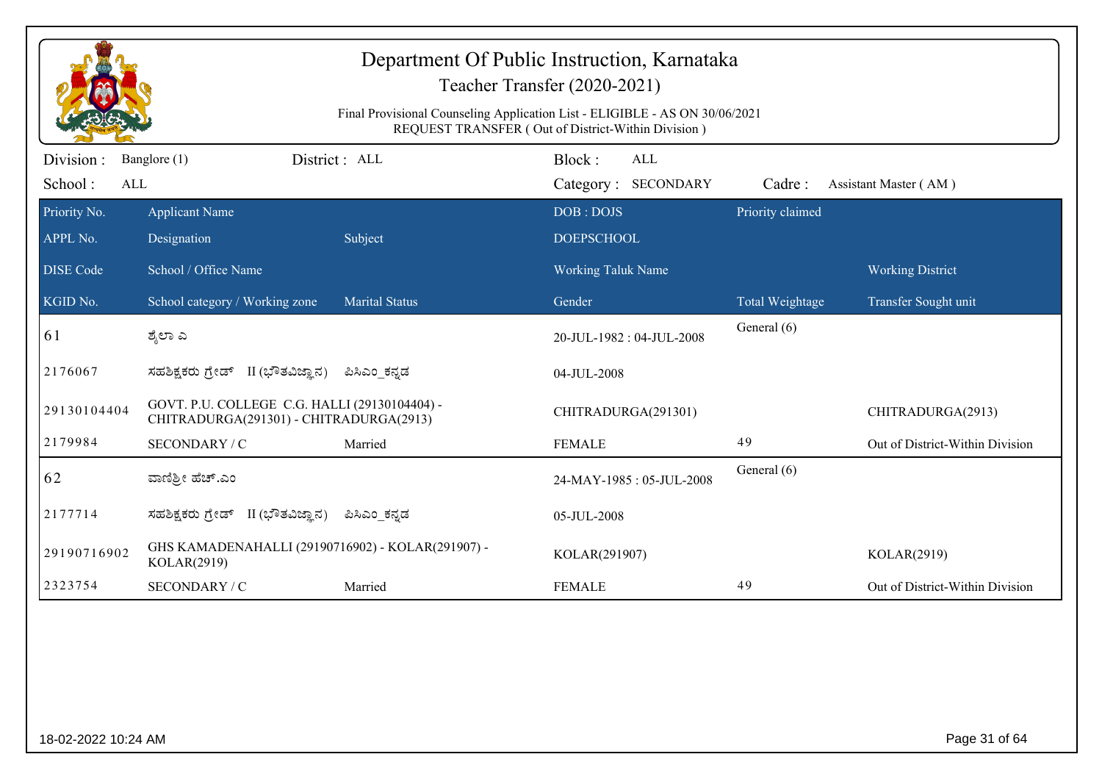| Department Of Public Instruction, Karnataka<br>Teacher Transfer (2020-2021)                                                       |                                                                                          |                       |                                             |                  |                                 |  |  |
|-----------------------------------------------------------------------------------------------------------------------------------|------------------------------------------------------------------------------------------|-----------------------|---------------------------------------------|------------------|---------------------------------|--|--|
| Final Provisional Counseling Application List - ELIGIBLE - AS ON 30/06/2021<br>REQUEST TRANSFER (Out of District-Within Division) |                                                                                          |                       |                                             |                  |                                 |  |  |
| Division:<br>School:<br>ALL                                                                                                       | Banglore (1)                                                                             | District: ALL         | Block:<br><b>ALL</b><br>Category: SECONDARY | Cadre:           | Assistant Master (AM)           |  |  |
| Priority No.                                                                                                                      | <b>Applicant Name</b>                                                                    |                       | DOB: DOJS                                   | Priority claimed |                                 |  |  |
| APPL No.                                                                                                                          | Designation                                                                              | Subject               | <b>DOEPSCHOOL</b>                           |                  |                                 |  |  |
| <b>DISE Code</b>                                                                                                                  | School / Office Name                                                                     |                       | <b>Working Taluk Name</b>                   |                  | <b>Working District</b>         |  |  |
| KGID No.                                                                                                                          | School category / Working zone                                                           | <b>Marital Status</b> | Gender                                      | Total Weightage  | Transfer Sought unit            |  |  |
| 61                                                                                                                                | ಶ್ಮೆಲಾ ಎ                                                                                 |                       | 20-JUL-1982: 04-JUL-2008                    | General (6)      |                                 |  |  |
| 2176067                                                                                                                           | ಸಹಶಿಕ್ಷಕರು ಗ್ರೇಡ್ II (ಭೌತವಿಜ್ಞಾನ)                                                        | ಪಿಸಿಎಂ ಕನ್ನಡ          | 04-JUL-2008                                 |                  |                                 |  |  |
| 29130104404                                                                                                                       | GOVT. P.U. COLLEGE C.G. HALLI (29130104404) -<br>CHITRADURGA(291301) - CHITRADURGA(2913) |                       | CHITRADURGA(291301)                         |                  | CHITRADURGA(2913)               |  |  |
| 2179984                                                                                                                           | SECONDARY / C                                                                            | Married               | <b>FEMALE</b>                               | 49               | Out of District-Within Division |  |  |
| 62                                                                                                                                | ವಾಣಿಶ್ರೀ ಹೆಚ್.ಎಂ                                                                         |                       | 24-MAY-1985: 05-JUL-2008                    | General (6)      |                                 |  |  |
| 2177714                                                                                                                           | ಸಹಶಿಕ್ಷಕರು ಗ್ರೇಡ್ II (ಭೌತವಿಜ್ಞಾನ)                                                        | ಪಿಸಿಎಂ ಕನ್ನಡ          | 05-JUL-2008                                 |                  |                                 |  |  |
| 29190716902                                                                                                                       | GHS KAMADENAHALLI (29190716902) - KOLAR(291907) -<br>KOLAR(2919)                         |                       | KOLAR(291907)                               |                  | KOLAR(2919)                     |  |  |
| 2323754                                                                                                                           | SECONDARY / C                                                                            | Married               | <b>FEMALE</b>                               | 49               | Out of District-Within Division |  |  |
|                                                                                                                                   |                                                                                          |                       |                                             |                  |                                 |  |  |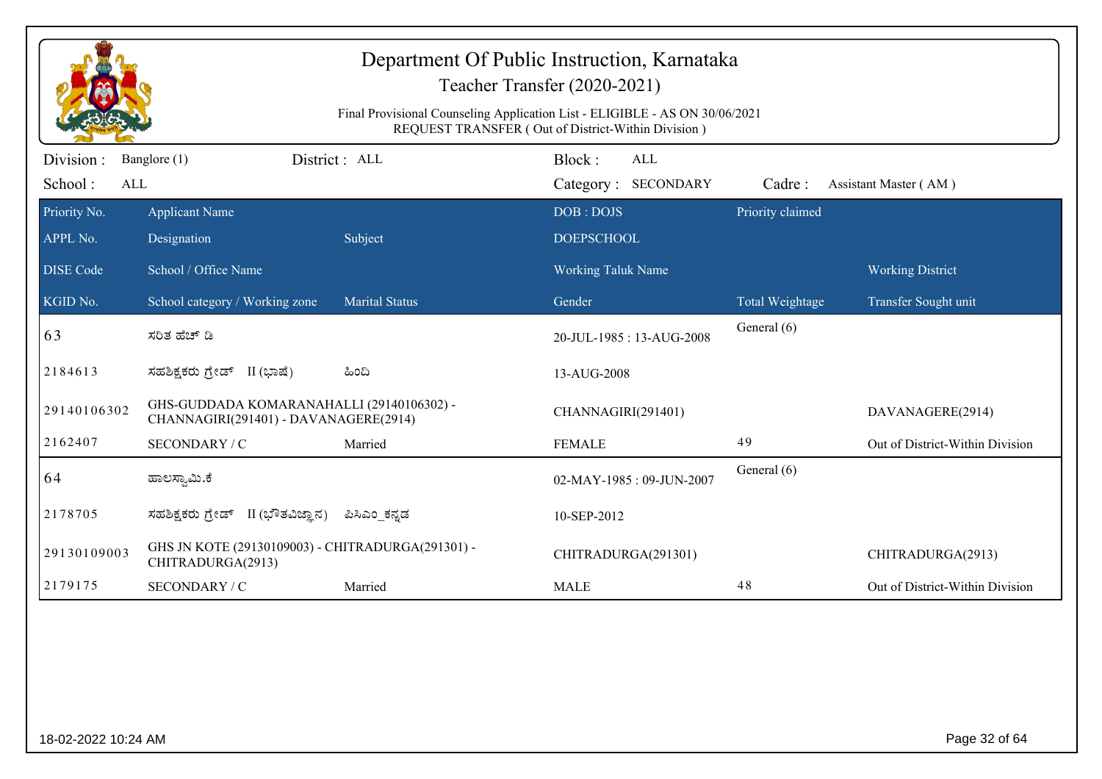| REQUEST TRANSFER (Out of District-Within Division)<br>Division:<br>District: ALL<br>Block:<br>Banglore (1)<br>ALL<br>School:<br>Category: SECONDARY<br>ALL<br>Cadre:<br>Assistant Master (AM)<br>Priority No.<br>Priority claimed<br>DOB: DOJS<br><b>Applicant Name</b><br>APPL No.<br>Designation<br>Subject<br><b>DOEPSCHOOL</b><br>School / Office Name<br><b>DISE Code</b><br><b>Working Taluk Name</b><br><b>Working District</b><br><b>Marital Status</b><br>KGID No.<br>School category / Working zone<br>Gender<br>Total Weightage<br>Transfer Sought unit<br>General (6)<br>63<br>ಸರಿತ ಹೆಚ್ ಡಿ<br>20-JUL-1985: 13-AUG-2008<br>2184613<br>ಸಹಶಿಕ್ಷಕರು ಗ್ರೇಡ್ II (ಭಾಷೆ)<br>ಹಿಂದಿ<br>13-AUG-2008<br>GHS-GUDDADA KOMARANAHALLI (29140106302) -<br>29140106302<br>CHANNAGIRI(291401)<br>DAVANAGERE(2914)<br>CHANNAGIRI(291401) - DAVANAGERE(2914)<br>2162407<br>49<br>SECONDARY / C<br>Married<br><b>FEMALE</b> |                                 |
|--------------------------------------------------------------------------------------------------------------------------------------------------------------------------------------------------------------------------------------------------------------------------------------------------------------------------------------------------------------------------------------------------------------------------------------------------------------------------------------------------------------------------------------------------------------------------------------------------------------------------------------------------------------------------------------------------------------------------------------------------------------------------------------------------------------------------------------------------------------------------------------------------------------------|---------------------------------|
|                                                                                                                                                                                                                                                                                                                                                                                                                                                                                                                                                                                                                                                                                                                                                                                                                                                                                                                    |                                 |
|                                                                                                                                                                                                                                                                                                                                                                                                                                                                                                                                                                                                                                                                                                                                                                                                                                                                                                                    |                                 |
|                                                                                                                                                                                                                                                                                                                                                                                                                                                                                                                                                                                                                                                                                                                                                                                                                                                                                                                    |                                 |
|                                                                                                                                                                                                                                                                                                                                                                                                                                                                                                                                                                                                                                                                                                                                                                                                                                                                                                                    |                                 |
|                                                                                                                                                                                                                                                                                                                                                                                                                                                                                                                                                                                                                                                                                                                                                                                                                                                                                                                    |                                 |
|                                                                                                                                                                                                                                                                                                                                                                                                                                                                                                                                                                                                                                                                                                                                                                                                                                                                                                                    |                                 |
|                                                                                                                                                                                                                                                                                                                                                                                                                                                                                                                                                                                                                                                                                                                                                                                                                                                                                                                    |                                 |
|                                                                                                                                                                                                                                                                                                                                                                                                                                                                                                                                                                                                                                                                                                                                                                                                                                                                                                                    | Out of District-Within Division |
| General (6)<br>64<br>ಹಾಲಸ್ವಾಮಿ.ಕೆ<br>02-MAY-1985: 09-JUN-2007                                                                                                                                                                                                                                                                                                                                                                                                                                                                                                                                                                                                                                                                                                                                                                                                                                                      |                                 |
| 2178705<br>ಸಹಶಿಕ್ಷಕರು ಗ್ರೇಡ್ II (ಭೌತವಿಜ್ಞಾನ)<br>ಪಿಸಿಎಂ_ಕನ್ನಡ<br>10-SEP-2012                                                                                                                                                                                                                                                                                                                                                                                                                                                                                                                                                                                                                                                                                                                                                                                                                                        |                                 |
| GHS JN KOTE (29130109003) - CHITRADURGA(291301) -<br>29130109003<br>CHITRADURGA(291301)<br>CHITRADURGA(2913)<br>CHITRADURGA(2913)                                                                                                                                                                                                                                                                                                                                                                                                                                                                                                                                                                                                                                                                                                                                                                                  |                                 |
| 48<br>2179175<br>SECONDARY / C<br>Married<br><b>MALE</b>                                                                                                                                                                                                                                                                                                                                                                                                                                                                                                                                                                                                                                                                                                                                                                                                                                                           | Out of District-Within Division |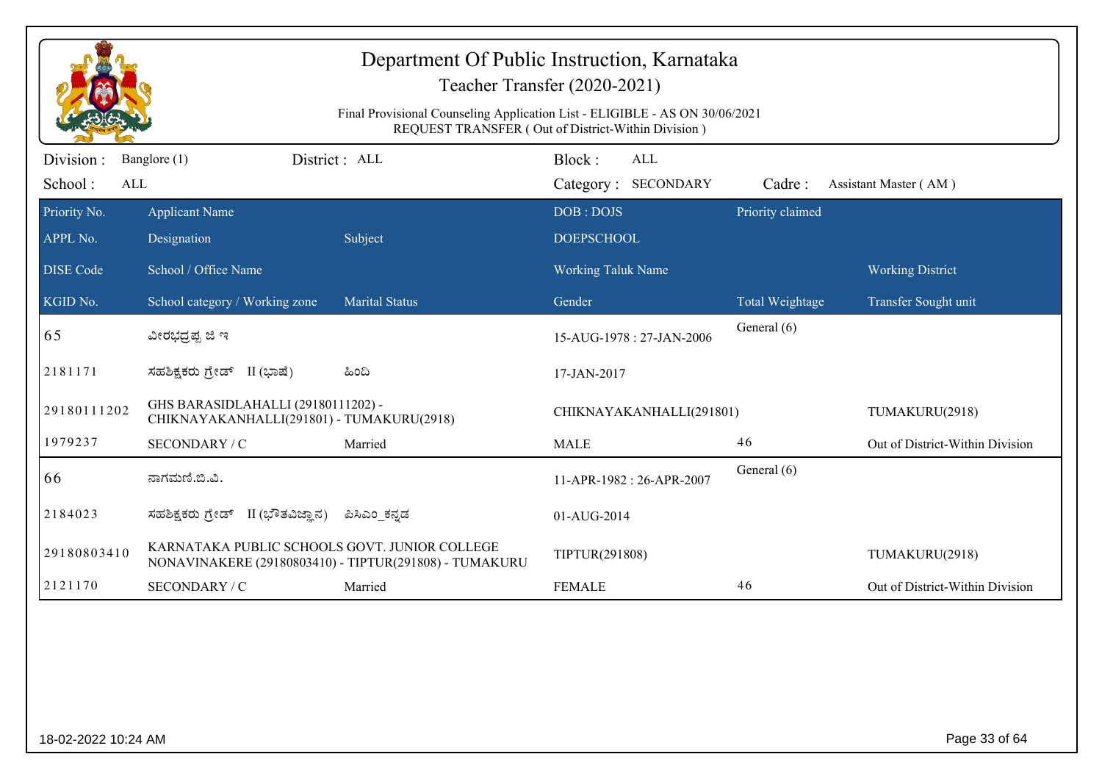|                             | Department Of Public Instruction, Karnataka<br>Teacher Transfer (2020-2021)<br>Final Provisional Counseling Application List - ELIGIBLE - AS ON 30/06/2021<br>REQUEST TRANSFER (Out of District-Within Division) |                                                        |                                      |                        |                                 |  |  |  |
|-----------------------------|------------------------------------------------------------------------------------------------------------------------------------------------------------------------------------------------------------------|--------------------------------------------------------|--------------------------------------|------------------------|---------------------------------|--|--|--|
| Division:<br>School:<br>ALL | Banglore (1)                                                                                                                                                                                                     | District: ALL                                          | Block:<br>ALL<br>Category: SECONDARY | Cadre:                 | Assistant Master (AM)           |  |  |  |
| Priority No.<br>APPL No.    | <b>Applicant Name</b><br>Designation                                                                                                                                                                             | Subject                                                | DOB: DOJS<br><b>DOEPSCHOOL</b>       | Priority claimed       |                                 |  |  |  |
| <b>DISE Code</b>            | School / Office Name                                                                                                                                                                                             |                                                        | Working Taluk Name                   |                        | <b>Working District</b>         |  |  |  |
| KGID No.                    | School category / Working zone                                                                                                                                                                                   | <b>Marital Status</b>                                  | Gender                               | <b>Total Weightage</b> | Transfer Sought unit            |  |  |  |
| 65                          | ವೀರಭದ್ರಪ್ಪ ಜಿ ಇ                                                                                                                                                                                                  |                                                        | 15-AUG-1978: 27-JAN-2006             | General (6)            |                                 |  |  |  |
| 2181171                     | ಸಹಶಿಕ್ಷಕರು ಗ್ರೇಡ್ II (ಭಾಷೆ)                                                                                                                                                                                      | ಹಿಂದಿ                                                  | 17-JAN-2017                          |                        |                                 |  |  |  |
| 29180111202                 | GHS BARASIDLAHALLI (29180111202) -<br>CHIKNAYAKANHALLI(291801) - TUMAKURU(2918)                                                                                                                                  |                                                        | CHIKNAYAKANHALLI(291801)             |                        | TUMAKURU(2918)                  |  |  |  |
| 1979237                     | SECONDARY / C                                                                                                                                                                                                    | Married                                                | <b>MALE</b>                          | 46                     | Out of District-Within Division |  |  |  |
| 66                          | ನಾಗಮಣಿ.ಬಿ.ವಿ.                                                                                                                                                                                                    |                                                        | 11-APR-1982 : 26-APR-2007            | General (6)            |                                 |  |  |  |
| 2184023                     | ಸಹಶಿಕ್ಷಕರು ಗ್ರೇಡ್ II (ಭೌತವಿಜ್ಞಾನ)                                                                                                                                                                                | ಪಿಸಿಎಂ_ಕನ್ನಡ                                           | 01-AUG-2014                          |                        |                                 |  |  |  |
| 29180803410                 | KARNATAKA PUBLIC SCHOOLS GOVT. JUNIOR COLLEGE                                                                                                                                                                    | NONAVINAKERE (29180803410) - TIPTUR(291808) - TUMAKURU | TIPTUR(291808)                       |                        | TUMAKURU(2918)                  |  |  |  |
| 2121170                     | SECONDARY / C                                                                                                                                                                                                    | Married                                                | <b>FEMALE</b>                        | 46                     | Out of District-Within Division |  |  |  |
|                             |                                                                                                                                                                                                                  |                                                        |                                      |                        |                                 |  |  |  |
| 18-02-2022 10:24 AM         |                                                                                                                                                                                                                  |                                                        |                                      |                        | Page 33 of 64                   |  |  |  |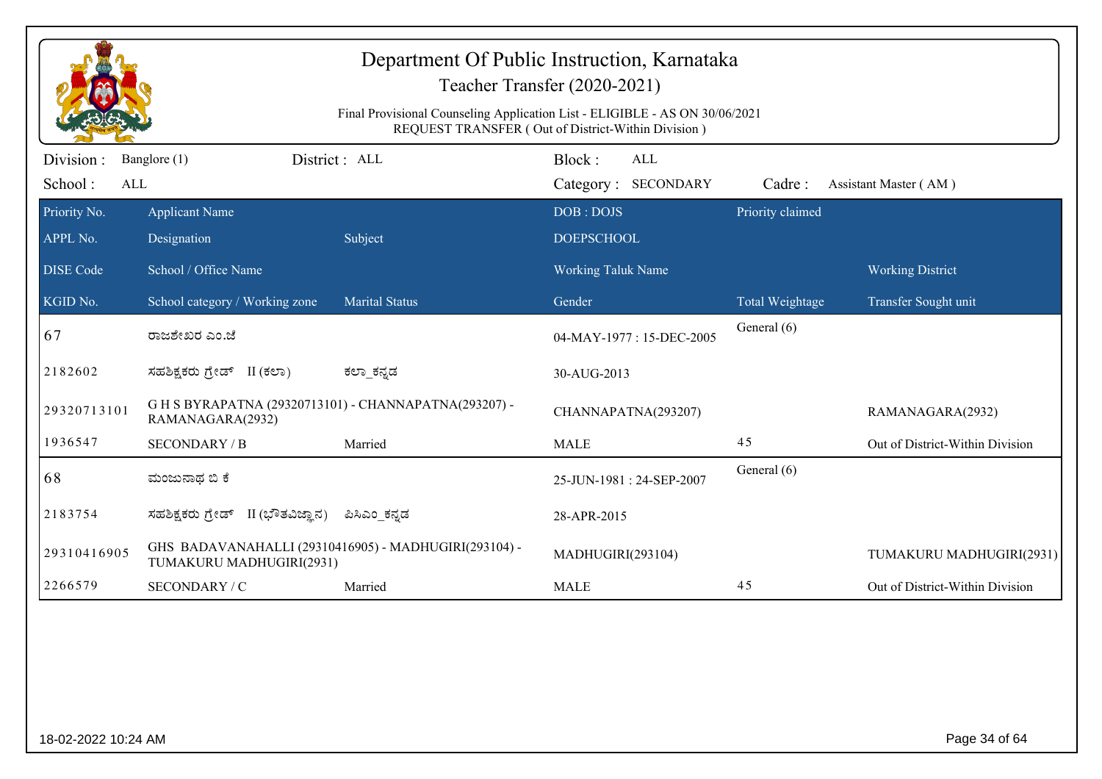|                             |                                                                           | Final Provisional Counseling Application List - ELIGIBLE - AS ON 30/06/2021 | Department Of Public Instruction, Karnataka<br>Teacher Transfer (2020-2021)<br>REQUEST TRANSFER (Out of District-Within Division) |                  |                                 |
|-----------------------------|---------------------------------------------------------------------------|-----------------------------------------------------------------------------|-----------------------------------------------------------------------------------------------------------------------------------|------------------|---------------------------------|
| Division:<br>School:<br>ALL | Banglore (1)                                                              | District: ALL                                                               | Block:<br><b>ALL</b><br>Category: SECONDARY                                                                                       | Cadre:           | Assistant Master (AM)           |
| Priority No.<br>APPL No.    | <b>Applicant Name</b><br>Designation                                      | Subject                                                                     | DOB: DOJS<br><b>DOEPSCHOOL</b>                                                                                                    | Priority claimed |                                 |
| <b>DISE</b> Code            | School / Office Name                                                      |                                                                             | <b>Working Taluk Name</b>                                                                                                         |                  | <b>Working District</b>         |
| KGID No.                    | School category / Working zone                                            | <b>Marital Status</b>                                                       | Gender                                                                                                                            | Total Weightage  | Transfer Sought unit            |
| 67                          | ರಾಜಶೇಖರ ಎಂ.ಜೆ                                                             |                                                                             | 04-MAY-1977: 15-DEC-2005                                                                                                          | General (6)      |                                 |
| 2182602                     | ಸಹಶಿಕ್ಷಕರು ಗ್ರೇಡ್ II (ಕಲಾ)                                                | ಕಲ್_ಕನ್ನಡ                                                                   | 30-AUG-2013                                                                                                                       |                  |                                 |
| 29320713101                 | G H S BYRAPATNA (29320713101) - CHANNAPATNA(293207) -<br>RAMANAGARA(2932) |                                                                             | CHANNAPATNA(293207)                                                                                                               |                  | RAMANAGARA(2932)                |
| 1936547                     | <b>SECONDARY / B</b>                                                      | Married                                                                     | <b>MALE</b>                                                                                                                       | 45               | Out of District-Within Division |
| 68                          | ಮಂಜುನಾಥ ಬಿ ಕೆ                                                             |                                                                             | 25-JUN-1981: 24-SEP-2007                                                                                                          | General (6)      |                                 |
| 2183754                     | ಸಹಶಿಕ್ಷಕರು ಗ್ರೇಡ್ II (ಭೌತವಿಜ್ಞಾನ)                                         | ಪಿಸಿಎಂ ಕನ್ನಡ                                                                | 28-APR-2015                                                                                                                       |                  |                                 |
| 29310416905                 | TUMAKURU MADHUGIRI(2931)                                                  | GHS BADAVANAHALLI (29310416905) - MADHUGIRI(293104) -                       | MADHUGIRI(293104)                                                                                                                 |                  | TUMAKURU MADHUGIRI(2931)        |
| 2266579                     | SECONDARY / C                                                             | Married                                                                     | <b>MALE</b>                                                                                                                       | 45               | Out of District-Within Division |
|                             |                                                                           |                                                                             |                                                                                                                                   |                  |                                 |
| 18-02-2022 10:24 AM         |                                                                           |                                                                             |                                                                                                                                   |                  | Page 34 of 64                   |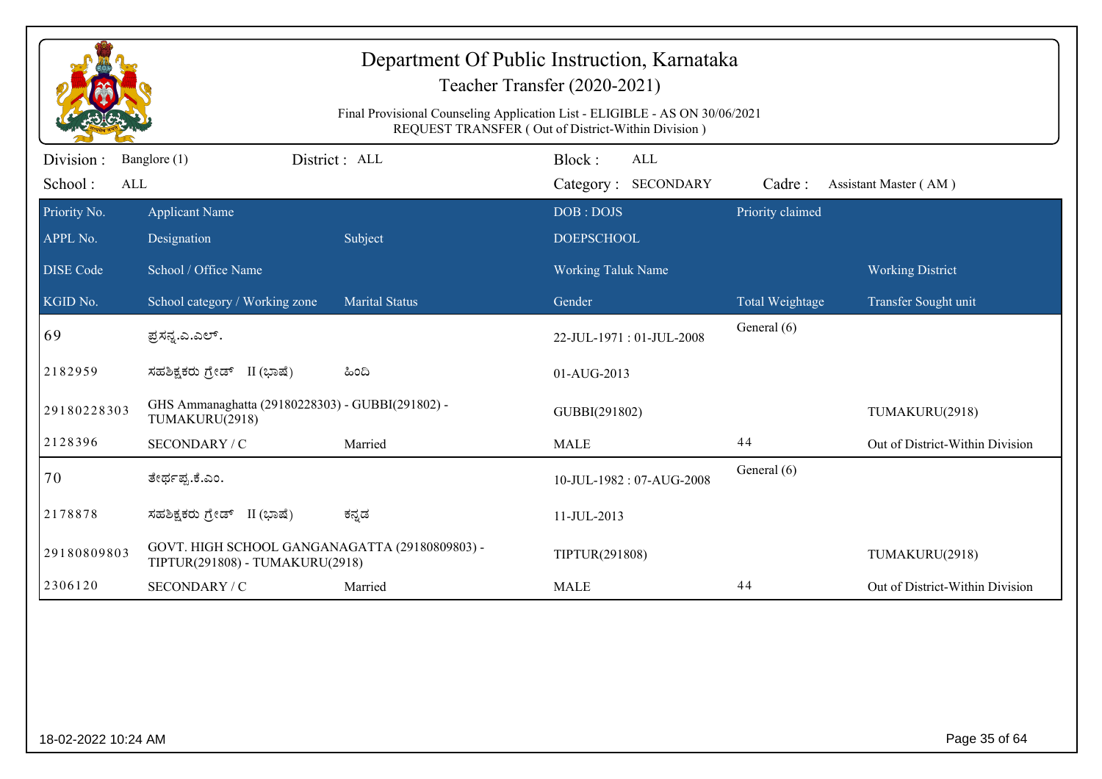|                          |                                                                                   | Final Provisional Counseling Application List - ELIGIBLE - AS ON 30/06/2021 | Department Of Public Instruction, Karnataka<br>Teacher Transfer (2020-2021)<br>REQUEST TRANSFER (Out of District-Within Division) |                  |                                 |
|--------------------------|-----------------------------------------------------------------------------------|-----------------------------------------------------------------------------|-----------------------------------------------------------------------------------------------------------------------------------|------------------|---------------------------------|
| Division :               | Banglore (1)                                                                      | District: ALL                                                               | Block:<br>ALL                                                                                                                     |                  |                                 |
| School:<br>ALL           |                                                                                   |                                                                             | Category: SECONDARY                                                                                                               | Cadre:           | Assistant Master (AM)           |
| Priority No.<br>APPL No. | <b>Applicant Name</b><br>Designation                                              | Subject                                                                     | DOB: DOJS<br><b>DOEPSCHOOL</b>                                                                                                    | Priority claimed |                                 |
| <b>DISE</b> Code         | School / Office Name                                                              |                                                                             | <b>Working Taluk Name</b>                                                                                                         |                  | <b>Working District</b>         |
| KGID No.                 | School category / Working zone                                                    | <b>Marital Status</b>                                                       | Gender                                                                                                                            | Total Weightage  | Transfer Sought unit            |
| 69                       | ಪ್ರಸನ್ವ.ಎ.ಎಲ್.                                                                    |                                                                             | 22-JUL-1971: 01-JUL-2008                                                                                                          | General (6)      |                                 |
| 2182959                  | ಸಹಶಿಕ್ಷಕರು ಗ್ರೇಡ್ II (ಭಾಷೆ)                                                       | ಹಿಂದಿ                                                                       | 01-AUG-2013                                                                                                                       |                  |                                 |
| 29180228303              | GHS Ammanaghatta (29180228303) - GUBBI(291802) -<br>TUMAKURU(2918)                |                                                                             | GUBBI(291802)                                                                                                                     |                  | TUMAKURU(2918)                  |
| 2128396                  | SECONDARY / C                                                                     | Married                                                                     | <b>MALE</b>                                                                                                                       | 44               | Out of District-Within Division |
| 70                       | ತೇರ್ಥಪ್ಪ.ಕೆ.ಎಂ.                                                                   |                                                                             | 10-JUL-1982: 07-AUG-2008                                                                                                          | General (6)      |                                 |
| 2178878                  | ಸಹಶಿಕ್ಷಕರು ಗ್ರೇಡ್ II (ಭಾಷೆ)                                                       | ಕನ್ನಡ                                                                       | 11-JUL-2013                                                                                                                       |                  |                                 |
| 29180809803              | GOVT. HIGH SCHOOL GANGANAGATTA (29180809803) -<br>TIPTUR(291808) - TUMAKURU(2918) |                                                                             | TIPTUR(291808)                                                                                                                    |                  | TUMAKURU(2918)                  |
| 2306120                  | SECONDARY / C                                                                     | Married                                                                     | <b>MALE</b>                                                                                                                       | 44               | Out of District-Within Division |
|                          |                                                                                   |                                                                             |                                                                                                                                   |                  |                                 |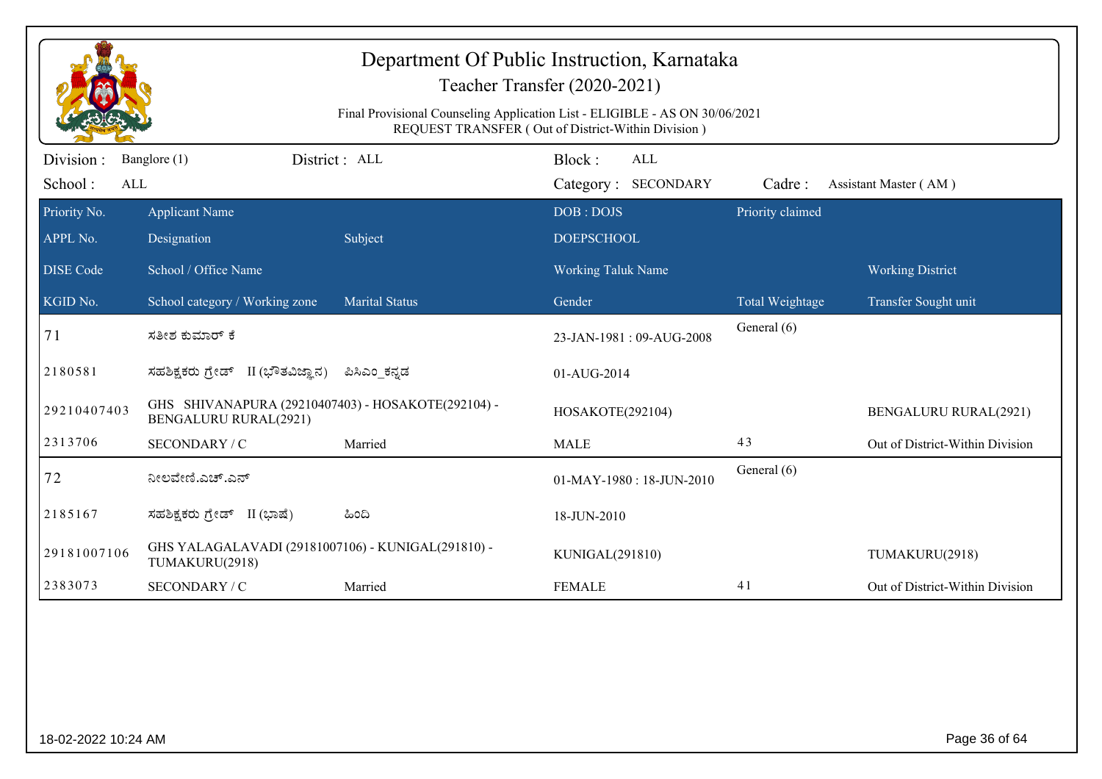|                                                                                                                                   |                                                                                    |                       | Department Of Public Instruction, Karnataka<br>Teacher Transfer (2020-2021) |                                |                                 |  |  |
|-----------------------------------------------------------------------------------------------------------------------------------|------------------------------------------------------------------------------------|-----------------------|-----------------------------------------------------------------------------|--------------------------------|---------------------------------|--|--|
| Final Provisional Counseling Application List - ELIGIBLE - AS ON 30/06/2021<br>REQUEST TRANSFER (Out of District-Within Division) |                                                                                    |                       |                                                                             |                                |                                 |  |  |
| Division:<br>School:<br>ALL                                                                                                       | Banglore (1)                                                                       | District : ALL        | Block:<br><b>ALL</b><br>Category: SECONDARY                                 | Cadre:                         | Assistant Master (AM)           |  |  |
| Priority No.<br>APPL No.                                                                                                          | <b>Applicant Name</b><br>Designation                                               | Subject               | DOB: DOJS<br><b>DOEPSCHOOL</b>                                              | Priority claimed               |                                 |  |  |
| <b>DISE Code</b>                                                                                                                  | School / Office Name                                                               |                       | Working Taluk Name                                                          |                                | <b>Working District</b>         |  |  |
| KGID No.<br>71                                                                                                                    | School category / Working zone<br>ಸತೀಶ ಕುಮಾರ್ ಕೆ                                   | <b>Marital Status</b> | Gender<br>23-JAN-1981: 09-AUG-2008                                          | Total Weightage<br>General (6) | Transfer Sought unit            |  |  |
| 2180581                                                                                                                           | ಸಹಶಿಕ್ಷಕರು ಗ್ರೇಡ್ II (ಭೌತವಿಜ್ಞಾನ)                                                  | ಪಿಸಿಎಂ_ಕನ್ನಡ          | 01-AUG-2014                                                                 |                                |                                 |  |  |
| 29210407403                                                                                                                       | GHS SHIVANAPURA (29210407403) - HOSAKOTE(292104) -<br><b>BENGALURU RURAL(2921)</b> |                       | HOSAKOTE(292104)                                                            |                                | <b>BENGALURU RURAL(2921)</b>    |  |  |
| 2313706                                                                                                                           | SECONDARY / C                                                                      | Married               | <b>MALE</b>                                                                 | 43                             | Out of District-Within Division |  |  |
| 72                                                                                                                                | ನೀಲವೇಣಿ.ಎಚ್.ಎನ್                                                                    |                       | 01-MAY-1980: 18-JUN-2010                                                    | General (6)                    |                                 |  |  |
| 2185167                                                                                                                           | ಸಹಶಿಕ್ಷಕರು ಗ್ರೇಡ್ II (ಭಾಷೆ)                                                        | ಹಿಂದಿ                 | 18-JUN-2010                                                                 |                                |                                 |  |  |
| 29181007106                                                                                                                       | GHS YALAGALAVADI (29181007106) - KUNIGAL(291810) -<br>TUMAKURU(2918)               |                       | KUNIGAL(291810)                                                             |                                | TUMAKURU(2918)                  |  |  |
| 2383073                                                                                                                           | SECONDARY / C                                                                      | Married               | <b>FEMALE</b>                                                               | 41                             | Out of District-Within Division |  |  |
|                                                                                                                                   |                                                                                    |                       |                                                                             |                                |                                 |  |  |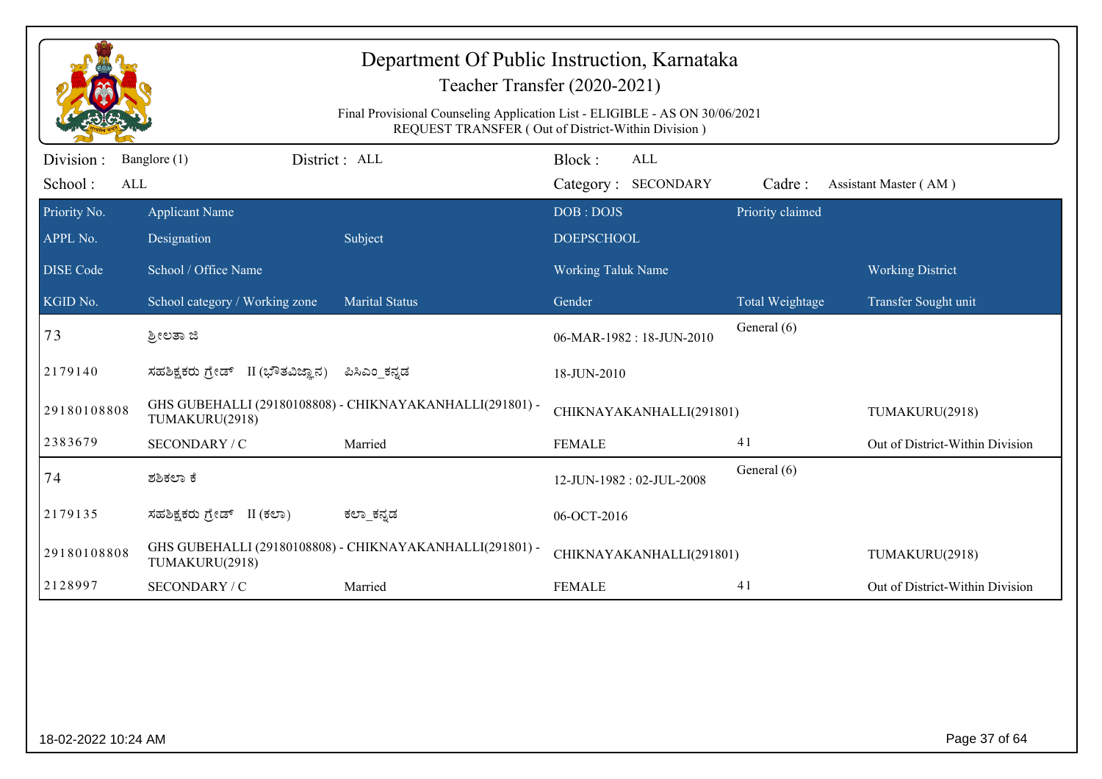|                              | Department Of Public Instruction, Karnataka<br>Teacher Transfer (2020-2021)<br>Final Provisional Counseling Application List - ELIGIBLE - AS ON 30/06/2021<br>REQUEST TRANSFER (Out of District-Within Division) |                                                          |                                             |                  |                                 |  |  |  |
|------------------------------|------------------------------------------------------------------------------------------------------------------------------------------------------------------------------------------------------------------|----------------------------------------------------------|---------------------------------------------|------------------|---------------------------------|--|--|--|
| Division :<br>School:<br>ALL | District: ALL<br>Banglore (1)                                                                                                                                                                                    |                                                          | Block:<br><b>ALL</b><br>Category: SECONDARY | Cadre:           | Assistant Master (AM)           |  |  |  |
| Priority No.<br>APPL No.     | <b>Applicant Name</b><br>Designation                                                                                                                                                                             | Subject                                                  | DOB: DOJS<br><b>DOEPSCHOOL</b>              | Priority claimed |                                 |  |  |  |
| <b>DISE Code</b>             | School / Office Name                                                                                                                                                                                             |                                                          | <b>Working Taluk Name</b>                   |                  | <b>Working District</b>         |  |  |  |
| KGID No.                     | School category / Working zone                                                                                                                                                                                   | <b>Marital Status</b>                                    | Gender                                      | Total Weightage  | Transfer Sought unit            |  |  |  |
| 73                           | ತ್ರೀಲತಾ ಜಿ                                                                                                                                                                                                       |                                                          | 06-MAR-1982: 18-JUN-2010                    | General (6)      |                                 |  |  |  |
| 2179140                      | ಸಹಶಿಕ್ಷಕರು ಗ್ರೇಡ್ II (ಭೌತವಿಜ್ಞಾನ)                                                                                                                                                                                | ಪಿಸಿಎಂ ಕನ್ನಡ                                             | 18-JUN-2010                                 |                  |                                 |  |  |  |
| 29180108808                  | TUMAKURU(2918)                                                                                                                                                                                                   | GHS GUBEHALLI (29180108808) - CHIKNAYAKANHALLI(291801) - | CHIKNAYAKANHALLI(291801)                    |                  | TUMAKURU(2918)                  |  |  |  |
| 2383679                      | SECONDARY / C                                                                                                                                                                                                    | Married                                                  | <b>FEMALE</b>                               | 41               | Out of District-Within Division |  |  |  |
| 74                           | ಶಶಿಕಲಾ ಕೆ                                                                                                                                                                                                        |                                                          | 12-JUN-1982: 02-JUL-2008                    | General (6)      |                                 |  |  |  |
| 2179135                      | ಸಹಶಿಕ್ಷಕರು ಗ್ರೇಡ್ II (ಕಲಾ)                                                                                                                                                                                       | ಕಲ್_ಕನ್ನಡ                                                | 06-OCT-2016                                 |                  |                                 |  |  |  |
| 29180108808                  | TUMAKURU(2918)                                                                                                                                                                                                   | GHS GUBEHALLI (29180108808) - CHIKNAYAKANHALLI(291801) - | CHIKNAYAKANHALLI(291801)                    |                  | TUMAKURU(2918)                  |  |  |  |
| 2128997                      | SECONDARY / C                                                                                                                                                                                                    | Married                                                  | <b>FEMALE</b>                               | 41               | Out of District-Within Division |  |  |  |
|                              |                                                                                                                                                                                                                  |                                                          |                                             |                  |                                 |  |  |  |
| 18-02-2022 10:24 AM          |                                                                                                                                                                                                                  |                                                          |                                             |                  | Page 37 of 64                   |  |  |  |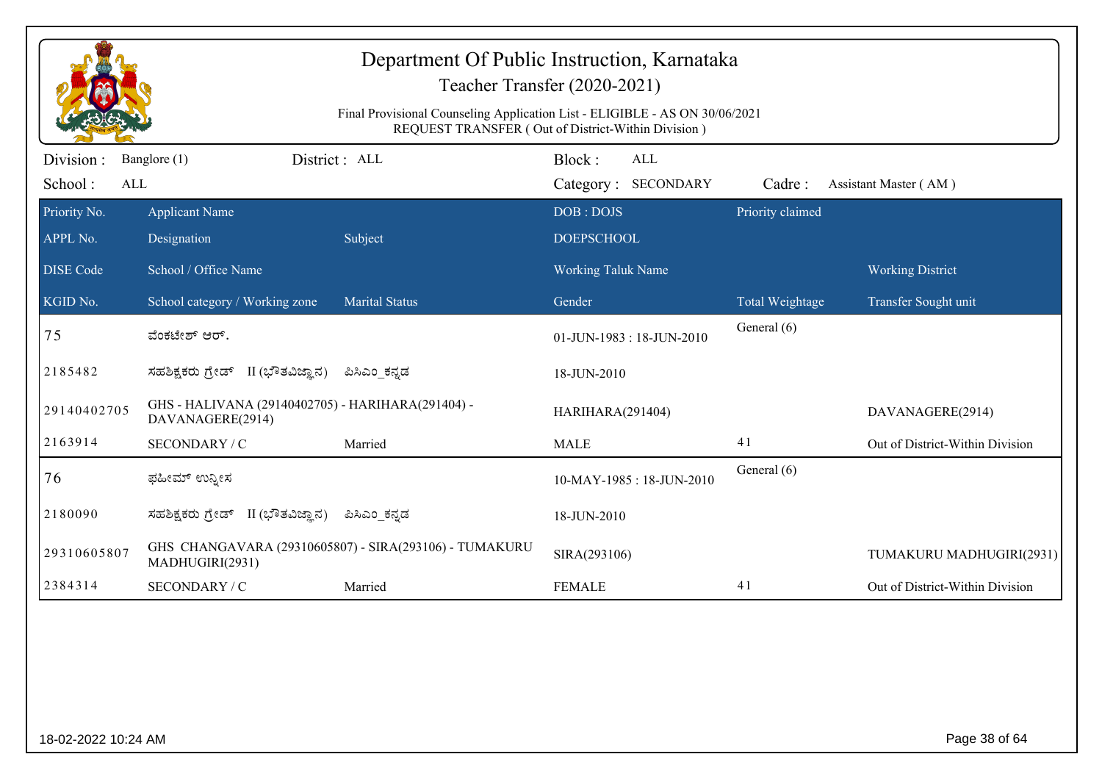|                             |                                                                       | Department Of Public Instruction, Karnataka<br>Final Provisional Counseling Application List - ELIGIBLE - AS ON 30/06/2021 | Teacher Transfer (2020-2021)<br>REQUEST TRANSFER (Out of District-Within Division) |                  |                                 |
|-----------------------------|-----------------------------------------------------------------------|----------------------------------------------------------------------------------------------------------------------------|------------------------------------------------------------------------------------|------------------|---------------------------------|
| Division:<br>School:<br>ALL | Banglore (1)                                                          | District: ALL                                                                                                              | Block:<br><b>ALL</b><br>Category: SECONDARY                                        | Cadre:           | Assistant Master (AM)           |
| Priority No.<br>APPL No.    | <b>Applicant Name</b><br>Designation                                  | Subject                                                                                                                    | DOB: DOJS<br><b>DOEPSCHOOL</b>                                                     | Priority claimed |                                 |
| <b>DISE Code</b>            | School / Office Name                                                  |                                                                                                                            | <b>Working Taluk Name</b>                                                          |                  | <b>Working District</b>         |
| KGID No.                    | School category / Working zone                                        | <b>Marital Status</b>                                                                                                      | Gender                                                                             | Total Weightage  | Transfer Sought unit            |
| 75                          | ವೆಂಕಟೇಶ್ ಆರ್.                                                         |                                                                                                                            | 01-JUN-1983: 18-JUN-2010                                                           | General (6)      |                                 |
| 2185482                     | ಸಹಶಿಕ್ಷಕರು ಗ್ರೇಡ್ II (ಭೌತವಿಜ್ಞಾನ)                                     | ಪಿಸಿಎಂ ಕನ್ನಡ                                                                                                               | 18-JUN-2010                                                                        |                  |                                 |
| 29140402705                 | GHS - HALIVANA (29140402705) - HARIHARA(291404) -<br>DAVANAGERE(2914) |                                                                                                                            | HARIHARA(291404)                                                                   |                  | DAVANAGERE(2914)                |
| 2163914                     | SECONDARY / C                                                         | Married                                                                                                                    | <b>MALE</b>                                                                        | 41               | Out of District-Within Division |
| 76                          | ಫಹೀಮ್ ಉನ್ನೀಸ                                                          |                                                                                                                            | 10-MAY-1985: 18-JUN-2010                                                           | General (6)      |                                 |
| 2180090                     | ಸಹಶಿಕ್ಷಕರು ಗ್ರೇಡ್ II (ಭೌತವಿಜ್ಞಾನ)                                     | ಪಿಸಿಎಂ_ಕನ್ನಡ                                                                                                               | 18-JUN-2010                                                                        |                  |                                 |
| 29310605807                 | MADHUGIRI(2931)                                                       | GHS CHANGAVARA (29310605807) - SIRA(293106) - TUMAKURU                                                                     | SIRA(293106)                                                                       |                  | TUMAKURU MADHUGIRI(2931)        |
| 2384314                     | SECONDARY / C                                                         | Married                                                                                                                    | <b>FEMALE</b>                                                                      | 41               | Out of District-Within Division |
|                             |                                                                       |                                                                                                                            |                                                                                    |                  |                                 |
| 18-02-2022 10:24 AM         |                                                                       |                                                                                                                            |                                                                                    |                  | Page 38 of 64                   |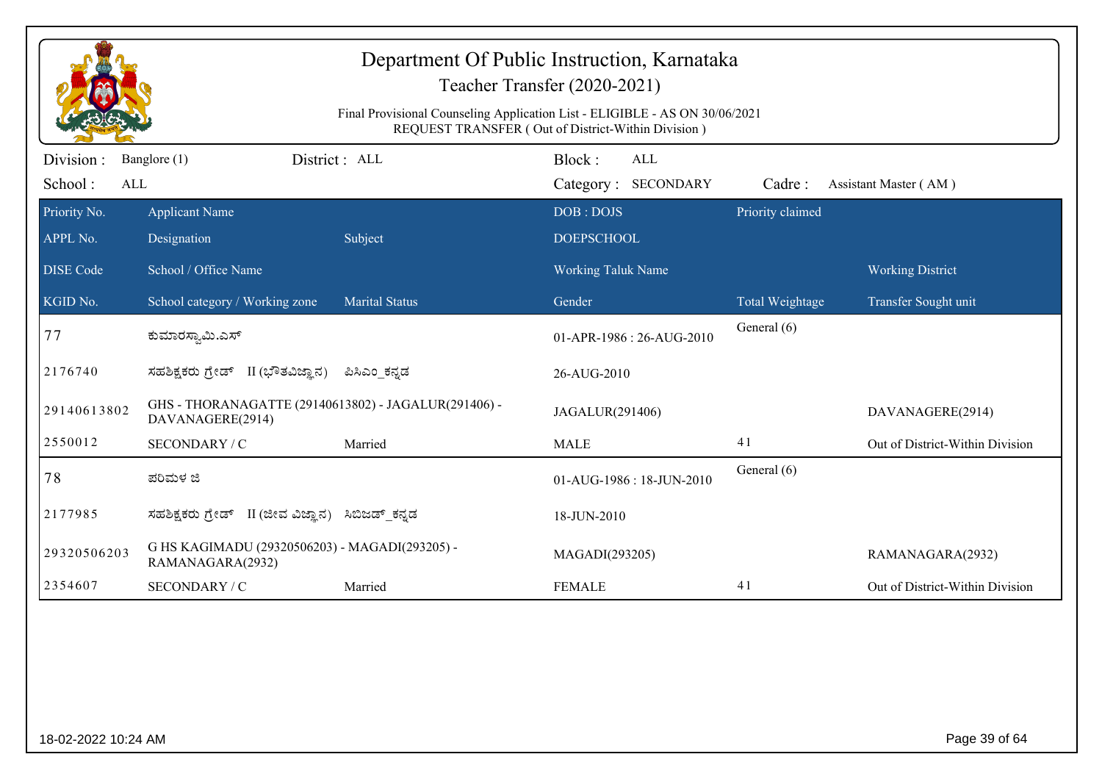|                                                                                                                                   | Teacher Transfer (2020-2021)                                             |                       |                           |                        |                                 |  |  |
|-----------------------------------------------------------------------------------------------------------------------------------|--------------------------------------------------------------------------|-----------------------|---------------------------|------------------------|---------------------------------|--|--|
| Final Provisional Counseling Application List - ELIGIBLE - AS ON 30/06/2021<br>REQUEST TRANSFER (Out of District-Within Division) |                                                                          |                       |                           |                        |                                 |  |  |
| Division :                                                                                                                        | District : ALL<br>Banglore (1)                                           |                       | Block:<br><b>ALL</b>      |                        |                                 |  |  |
| School:<br>ALL                                                                                                                    |                                                                          |                       | Category: SECONDARY       | Cadre:                 | Assistant Master (AM)           |  |  |
| Priority No.                                                                                                                      | <b>Applicant Name</b>                                                    |                       | DOB: DOJS                 | Priority claimed       |                                 |  |  |
| APPL No.                                                                                                                          | Designation                                                              | Subject               | <b>DOEPSCHOOL</b>         |                        |                                 |  |  |
| <b>DISE Code</b>                                                                                                                  | School / Office Name                                                     |                       | <b>Working Taluk Name</b> |                        | <b>Working District</b>         |  |  |
| KGID No.                                                                                                                          | School category / Working zone                                           | <b>Marital Status</b> | Gender                    | <b>Total Weightage</b> | Transfer Sought unit            |  |  |
| 77                                                                                                                                | ಕುಮಾರಸ್ವಾಮಿ.ಎಸ್                                                          |                       | 01-APR-1986 : 26-AUG-2010 | General (6)            |                                 |  |  |
| 2176740                                                                                                                           | ಸಹಶಿಕ್ಷಕರು ಗ್ರೇಡ್ II (ಭೌತವಿಜ್ಞಾನ)                                        | ಪಿಸಿಎಂ ಕನ್ನಡ          | 26-AUG-2010               |                        |                                 |  |  |
| 29140613802                                                                                                                       | GHS - THORANAGATTE (29140613802) - JAGALUR(291406) -<br>DAVANAGERE(2914) |                       | JAGALUR(291406)           |                        | DAVANAGERE(2914)                |  |  |
| 2550012                                                                                                                           | SECONDARY / C                                                            | Married               | <b>MALE</b>               | 41                     | Out of District-Within Division |  |  |
| 78                                                                                                                                | ಪರಿಮಳ ಜಿ                                                                 |                       | 01-AUG-1986: 18-JUN-2010  | General (6)            |                                 |  |  |
| 2177985                                                                                                                           | ಸಹಶಿಕ್ಷಕರು ಗ್ರೇಡ್ II (ಜೀವ ವಿಜ್ಞಾನ)                                       | ಸಿಬಿಜಡ್ ಕನ್ನಡ         | 18-JUN-2010               |                        |                                 |  |  |
| 29320506203                                                                                                                       | G HS KAGIMADU (29320506203) - MAGADI(293205) -<br>RAMANAGARA(2932)       |                       | MAGADI(293205)            |                        | RAMANAGARA(2932)                |  |  |
| 2354607                                                                                                                           | SECONDARY / C                                                            | Married               | <b>FEMALE</b>             | 41                     | Out of District-Within Division |  |  |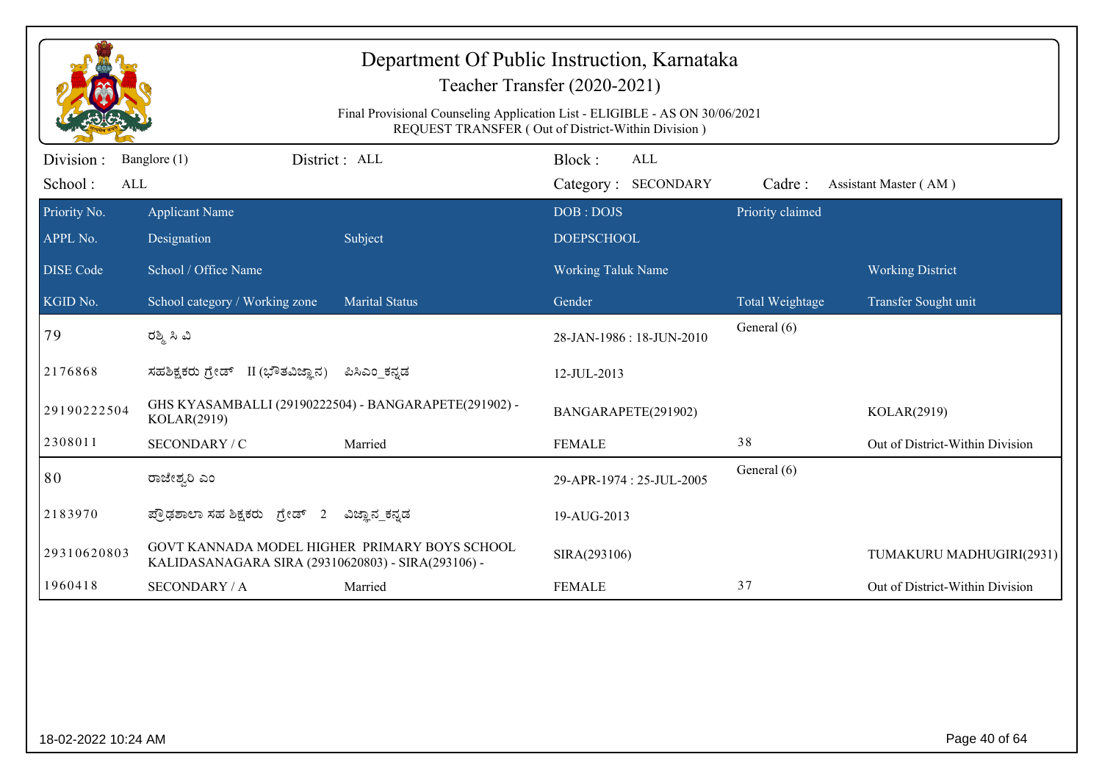|                             | Department Of Public Instruction, Karnataka<br>Teacher Transfer (2020-2021)<br>Final Provisional Counseling Application List - ELIGIBLE - AS ON 30/06/2021<br>REQUEST TRANSFER (Out of District-Within Division) |                       |                                      |                  |                                 |  |  |  |
|-----------------------------|------------------------------------------------------------------------------------------------------------------------------------------------------------------------------------------------------------------|-----------------------|--------------------------------------|------------------|---------------------------------|--|--|--|
| Division:<br>School:<br>ALL | Banglore (1)                                                                                                                                                                                                     | District : ALL        | Block:<br>ALL<br>Category: SECONDARY | Cadre:           | Assistant Master (AM)           |  |  |  |
| Priority No.<br>APPL No.    | <b>Applicant Name</b><br>Designation                                                                                                                                                                             | Subject               | DOB: DOJS<br><b>DOEPSCHOOL</b>       | Priority claimed |                                 |  |  |  |
| <b>DISE Code</b>            | School / Office Name                                                                                                                                                                                             |                       | <b>Working Taluk Name</b>            |                  | <b>Working District</b>         |  |  |  |
| KGID No.                    | School category / Working zone                                                                                                                                                                                   | <b>Marital Status</b> | Gender                               | Total Weightage  | Transfer Sought unit            |  |  |  |
| 79                          | ರಶ್ಮಿ ಸಿ ವಿ                                                                                                                                                                                                      |                       | 28-JAN-1986: 18-JUN-2010             | General (6)      |                                 |  |  |  |
| 2176868                     | ಸಹಶಿಕ್ಷಕರು ಗ್ರೇಡ್ II (ಭೌತವಿಜ್ಞಾನ)                                                                                                                                                                                | ಪಿಸಿಎಂ ಕನ್ನಡ          | 12-JUL-2013                          |                  |                                 |  |  |  |
| 29190222504                 | GHS KYASAMBALLI (29190222504) - BANGARAPETE(291902) -<br>KOLAR(2919)                                                                                                                                             |                       | BANGARAPETE(291902)                  |                  | KOLAR(2919)                     |  |  |  |
| 2308011                     | SECONDARY / C                                                                                                                                                                                                    | Married               | <b>FEMALE</b>                        | 38               | Out of District-Within Division |  |  |  |
| 80                          | ರಾಜೇಶ್ವರಿ ಎಂ                                                                                                                                                                                                     |                       | 29-APR-1974 : 25-JUL-2005            | General (6)      |                                 |  |  |  |
| 2183970                     | ಪ್ರೌಢಶಾಲಾ ಸಹ ಶಿಕ್ಷಕರು ಗ್ರೇಡ್ 2                                                                                                                                                                                   | ವಿಜ್ಞಾನ_ಕನ್ನಡ         | 19-AUG-2013                          |                  |                                 |  |  |  |
| 29310620803                 | GOVT KANNADA MODEL HIGHER PRIMARY BOYS SCHOOL<br>KALIDASANAGARA SIRA (29310620803) - SIRA(293106) -                                                                                                              |                       | SIRA(293106)                         |                  | TUMAKURU MADHUGIRI(2931)        |  |  |  |
| 1960418                     | <b>SECONDARY / A</b>                                                                                                                                                                                             | Married               | <b>FEMALE</b>                        | 37               | Out of District-Within Division |  |  |  |
|                             |                                                                                                                                                                                                                  |                       |                                      |                  |                                 |  |  |  |
| 18-02-2022 10:24 AM         |                                                                                                                                                                                                                  |                       |                                      |                  | Page 40 of 64                   |  |  |  |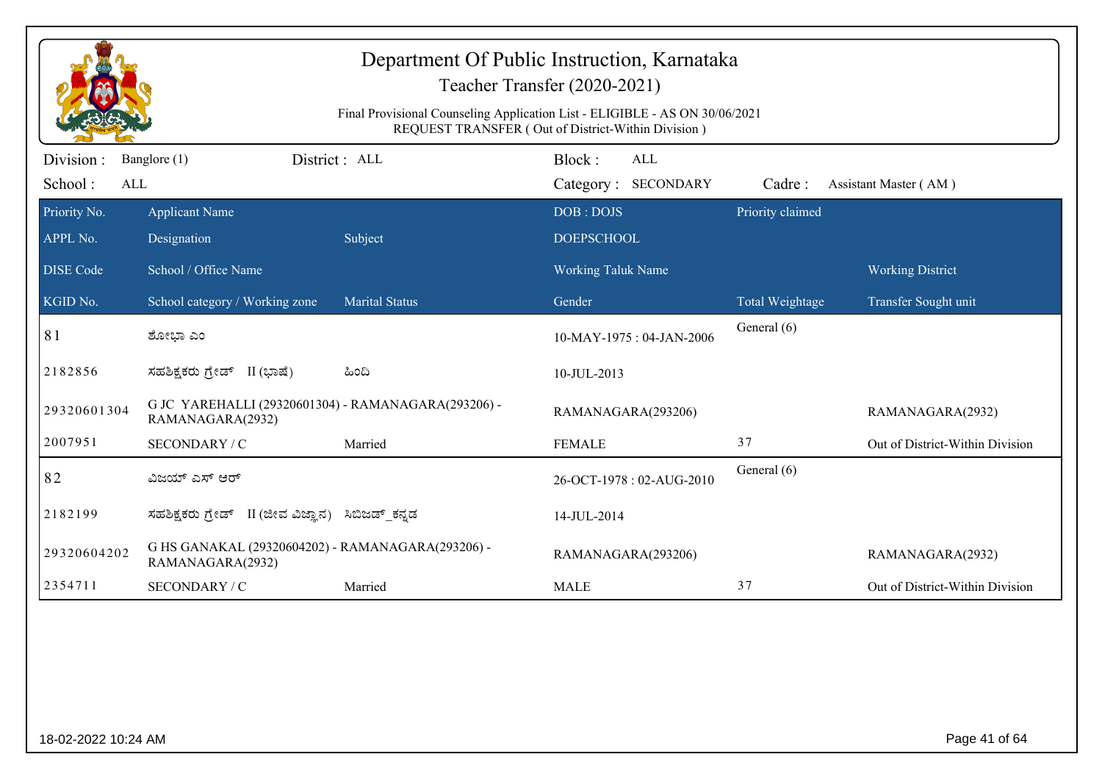|                             | Department Of Public Instruction, Karnataka<br>Teacher Transfer (2020-2021)<br>Final Provisional Counseling Application List - ELIGIBLE - AS ON 30/06/2021<br>REQUEST TRANSFER (Out of District-Within Division) |                       |                                             |                  |                                 |  |  |  |
|-----------------------------|------------------------------------------------------------------------------------------------------------------------------------------------------------------------------------------------------------------|-----------------------|---------------------------------------------|------------------|---------------------------------|--|--|--|
| Division:<br>School:<br>ALL | Banglore (1)                                                                                                                                                                                                     | District : ALL        | Block:<br><b>ALL</b><br>Category: SECONDARY | Cadre:           | Assistant Master (AM)           |  |  |  |
| Priority No.<br>APPL No.    | <b>Applicant Name</b><br>Designation                                                                                                                                                                             | Subject               | DOB: DOJS<br><b>DOEPSCHOOL</b>              | Priority claimed |                                 |  |  |  |
| <b>DISE Code</b>            | School / Office Name                                                                                                                                                                                             |                       | <b>Working Taluk Name</b>                   |                  | <b>Working District</b>         |  |  |  |
| KGID No.                    | School category / Working zone                                                                                                                                                                                   | <b>Marital Status</b> | Gender                                      | Total Weightage  | Transfer Sought unit            |  |  |  |
| 81                          | ಶೋಭಾ ಎಂ                                                                                                                                                                                                          |                       | $10$ -MAY-1975 : 04-JAN-2006                | General (6)      |                                 |  |  |  |
| 2182856                     | ಸಹಶಿಕ್ಷಕರು ಗ್ರೇಡ್ II (ಭಾಷೆ)                                                                                                                                                                                      | ಹಿಂದಿ                 | 10-JUL-2013                                 |                  |                                 |  |  |  |
| 29320601304                 | G JC YAREHALLI (29320601304) - RAMANAGARA(293206) -<br>RAMANAGARA(2932)                                                                                                                                          |                       | RAMANAGARA(293206)                          |                  | RAMANAGARA(2932)                |  |  |  |
| 2007951                     | SECONDARY / C                                                                                                                                                                                                    | Married               | <b>FEMALE</b>                               | 37               | Out of District-Within Division |  |  |  |
| 82                          | ವಿಜಯ್ ಎಸ್ ಆರ್                                                                                                                                                                                                    |                       | 26-OCT-1978: 02-AUG-2010                    | General (6)      |                                 |  |  |  |
| 2182199                     | ಸಹಶಿಕ್ಷಕರು ಗ್ರೇಡ್ II (ಜೀವ ವಿಜ್ಞಾನ)                                                                                                                                                                               | ಸಿಬಿಜಡ್_ಕನ್ನಡ         | 14-JUL-2014                                 |                  |                                 |  |  |  |
| 29320604202                 | G HS GANAKAL (29320604202) - RAMANAGARA(293206) -<br>RAMANAGARA(2932)                                                                                                                                            |                       | RAMANAGARA(293206)                          |                  | RAMANAGARA(2932)                |  |  |  |
| 2354711                     | SECONDARY / C                                                                                                                                                                                                    | Married               | <b>MALE</b>                                 | 37               | Out of District-Within Division |  |  |  |
|                             |                                                                                                                                                                                                                  |                       |                                             |                  |                                 |  |  |  |
| 18-02-2022 10:24 AM         |                                                                                                                                                                                                                  |                       |                                             |                  | Page 41 of 64                   |  |  |  |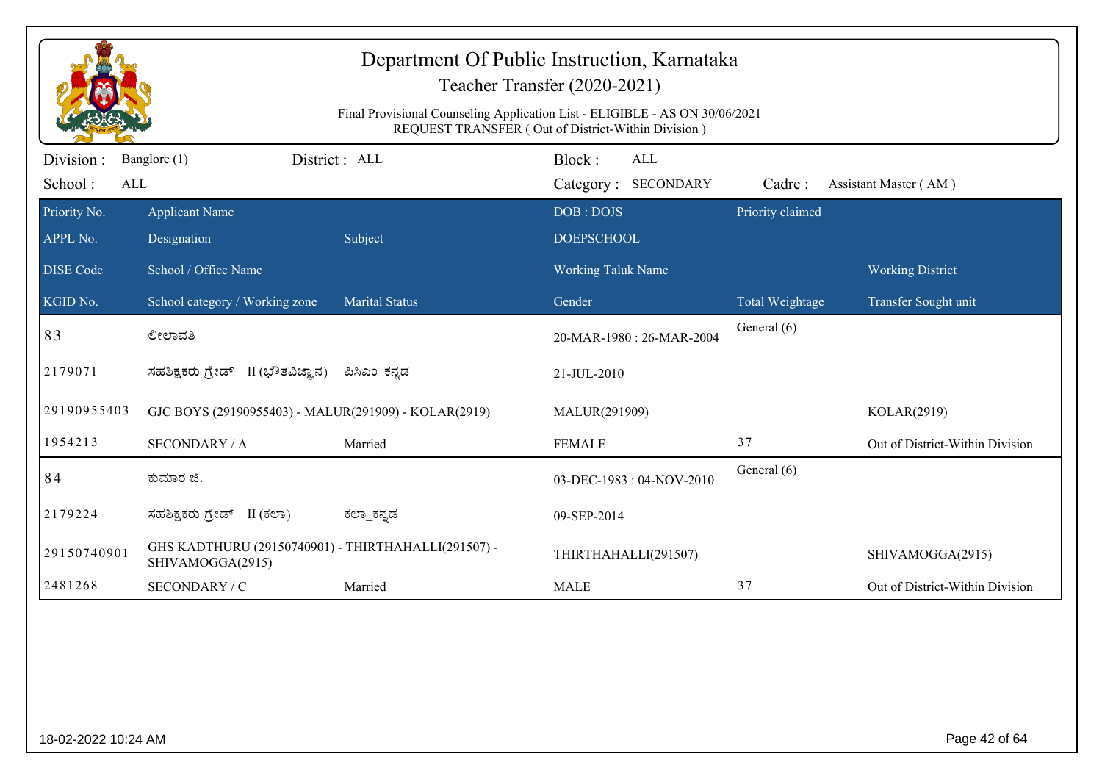|                             |                                                                         | Department Of Public Instruction, Karnataka<br>Teacher Transfer (2020-2021)<br>Final Provisional Counseling Application List - ELIGIBLE - AS ON 30/06/2021<br>REQUEST TRANSFER (Out of District-Within Division) |                                |                                   |                  |                                 |
|-----------------------------|-------------------------------------------------------------------------|------------------------------------------------------------------------------------------------------------------------------------------------------------------------------------------------------------------|--------------------------------|-----------------------------------|------------------|---------------------------------|
| Division:<br>School:<br>ALL | Banglore (1)                                                            | District : ALL                                                                                                                                                                                                   | Block:                         | <b>ALL</b><br>Category: SECONDARY | Cadre:           | Assistant Master (AM)           |
| Priority No.<br>APPL No.    | <b>Applicant Name</b><br>Designation                                    | Subject                                                                                                                                                                                                          | DOB: DOJS<br><b>DOEPSCHOOL</b> |                                   | Priority claimed |                                 |
| <b>DISE</b> Code            | School / Office Name                                                    |                                                                                                                                                                                                                  | Working Taluk Name             |                                   |                  | <b>Working District</b>         |
| KGID No.                    | School category / Working zone                                          | <b>Marital Status</b>                                                                                                                                                                                            | Gender                         |                                   | Total Weightage  | Transfer Sought unit            |
| 83                          | ಲೀಲಾವತಿ                                                                 |                                                                                                                                                                                                                  |                                | 20-MAR-1980: 26-MAR-2004          | General (6)      |                                 |
| 2179071                     | ಸಹಶಿಕ್ಷಕರು ಗ್ರೇಡ್ II (ಭೌತವಿಜ್ಞಾನ)                                       | ಪಿಸಿಎಂ ಕನ್ನಡ                                                                                                                                                                                                     | 21-JUL-2010                    |                                   |                  |                                 |
| 29190955403                 | GJC BOYS (29190955403) - MALUR(291909) - KOLAR(2919)                    |                                                                                                                                                                                                                  | MALUR(291909)                  |                                   |                  | KOLAR(2919)                     |
| 1954213                     | <b>SECONDARY / A</b>                                                    | Married                                                                                                                                                                                                          | <b>FEMALE</b>                  |                                   | 37               | Out of District-Within Division |
| 84                          | ಕುಮಾರ ಜಿ.                                                               |                                                                                                                                                                                                                  |                                | 03-DEC-1983: 04-NOV-2010          | General (6)      |                                 |
| 2179224                     | ಸಹಶಿಕ್ಷಕರು ಗ್ರೇಡ್ II (ಕಲಾ)                                              | ಕಲ್_ಕನ್ನಡ                                                                                                                                                                                                        | 09-SEP-2014                    |                                   |                  |                                 |
| 29150740901                 | GHS KADTHURU (29150740901) - THIRTHAHALLI(291507) -<br>SHIVAMOGGA(2915) |                                                                                                                                                                                                                  | THIRTHAHALLI(291507)           |                                   |                  | SHIVAMOGGA(2915)                |
| 2481268                     | SECONDARY / C                                                           | Married                                                                                                                                                                                                          | <b>MALE</b>                    |                                   | 37               | Out of District-Within Division |
|                             |                                                                         |                                                                                                                                                                                                                  |                                |                                   |                  |                                 |
| 18-02-2022 10:24 AM         |                                                                         |                                                                                                                                                                                                                  |                                |                                   |                  | Page 42 of 64                   |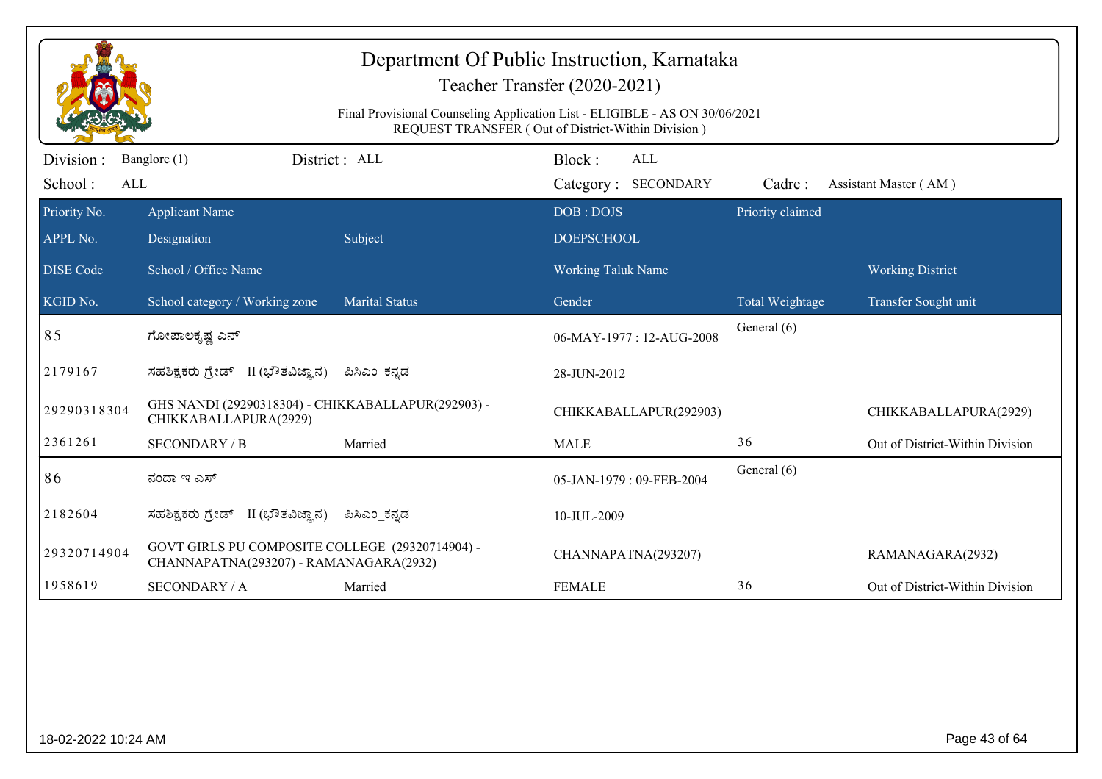| Department Of Public Instruction, Karnataka<br>Teacher Transfer (2020-2021) |                                                                                                                                   |                       |                           |                  |                                 |  |  |  |
|-----------------------------------------------------------------------------|-----------------------------------------------------------------------------------------------------------------------------------|-----------------------|---------------------------|------------------|---------------------------------|--|--|--|
|                                                                             | Final Provisional Counseling Application List - ELIGIBLE - AS ON 30/06/2021<br>REQUEST TRANSFER (Out of District-Within Division) |                       |                           |                  |                                 |  |  |  |
| Division:                                                                   | Banglore (1)                                                                                                                      | District: ALL         | Block:<br><b>ALL</b>      |                  |                                 |  |  |  |
| School:<br>ALL                                                              |                                                                                                                                   |                       | Category: SECONDARY       | Cadre:           | Assistant Master (AM)           |  |  |  |
| Priority No.                                                                | <b>Applicant Name</b>                                                                                                             |                       | DOB: DOJS                 | Priority claimed |                                 |  |  |  |
| APPL No.                                                                    | Designation                                                                                                                       | Subject               | <b>DOEPSCHOOL</b>         |                  |                                 |  |  |  |
| <b>DISE Code</b>                                                            | School / Office Name                                                                                                              |                       | <b>Working Taluk Name</b> |                  | <b>Working District</b>         |  |  |  |
| KGID No.                                                                    | School category / Working zone                                                                                                    | <b>Marital Status</b> | Gender                    | Total Weightage  | Transfer Sought unit            |  |  |  |
| 85                                                                          | ಗೋಪಾಲಕೃಷ್ಣ ಎನ್                                                                                                                    |                       | 06-MAY-1977: 12-AUG-2008  | General (6)      |                                 |  |  |  |
| 2179167                                                                     | ಸಹಶಿಕ್ಷಕರು ಗ್ರೇಡ್ II (ಭೌತವಿಜ್ಞಾನ)                                                                                                 | ಪಿಸಿಎಂ ಕನ್ನಡ          | 28-JUN-2012               |                  |                                 |  |  |  |
| 29290318304                                                                 | GHS NANDI (29290318304) - CHIKKABALLAPUR(292903) -<br>CHIKKABALLAPURA(2929)                                                       |                       | CHIKKABALLAPUR(292903)    |                  | CHIKKABALLAPURA(2929)           |  |  |  |
| 2361261                                                                     | <b>SECONDARY / B</b>                                                                                                              | Married               | <b>MALE</b>               | 36               | Out of District-Within Division |  |  |  |
| 86                                                                          | ನಂದಾ ಇ ಎಸ್                                                                                                                        |                       | 05-JAN-1979: 09-FEB-2004  | General (6)      |                                 |  |  |  |
| 2182604                                                                     | ಸಹಶಿಕ್ಷಕರು ಗ್ರೇಡ್ II (ಭೌತವಿಜ್ಞಾನ)                                                                                                 | ಪಿಸಿಎಂ ಕನ್ನಡ          | 10-JUL-2009               |                  |                                 |  |  |  |
| 29320714904                                                                 | GOVT GIRLS PU COMPOSITE COLLEGE (29320714904) -<br>CHANNAPATNA(293207) - RAMANAGARA(2932)                                         |                       | CHANNAPATNA(293207)       |                  | RAMANAGARA(2932)                |  |  |  |
| 1958619                                                                     | <b>SECONDARY / A</b>                                                                                                              | Married               | <b>FEMALE</b>             | 36               | Out of District-Within Division |  |  |  |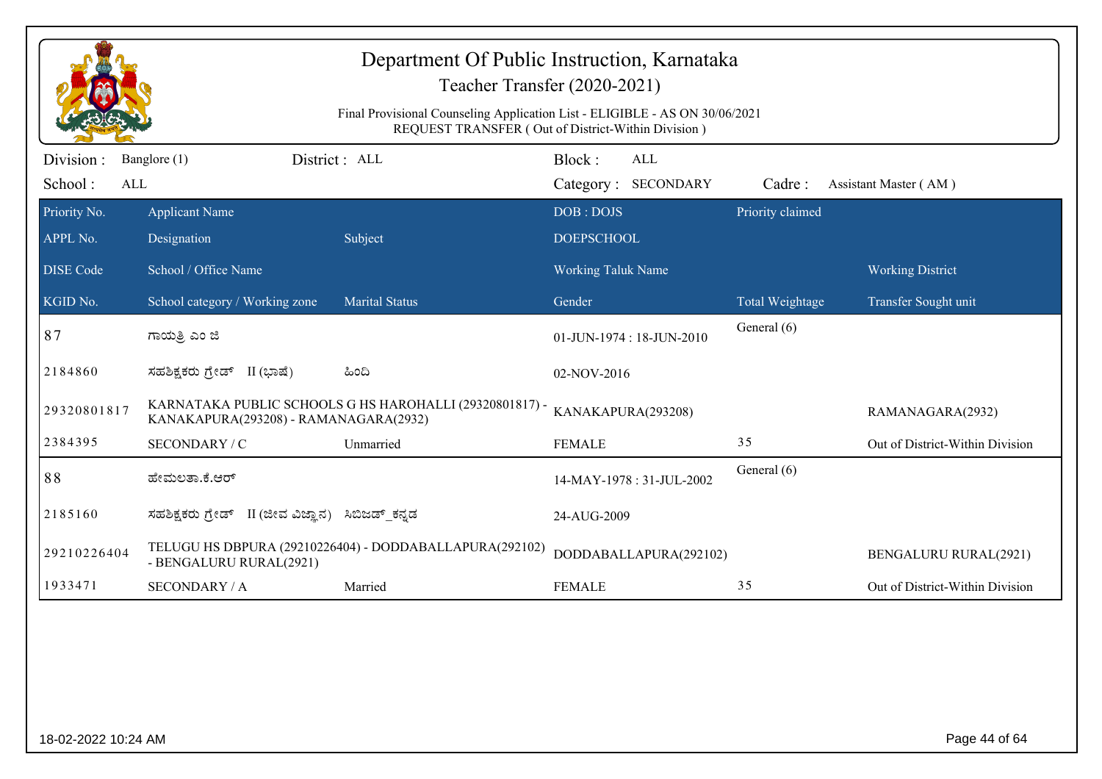|                              | Department Of Public Instruction, Karnataka<br>Teacher Transfer (2020-2021)<br>Final Provisional Counseling Application List - ELIGIBLE - AS ON 30/06/2021<br>REQUEST TRANSFER (Out of District-Within Division) |                                                         |                                             |                  |                                 |  |  |  |
|------------------------------|------------------------------------------------------------------------------------------------------------------------------------------------------------------------------------------------------------------|---------------------------------------------------------|---------------------------------------------|------------------|---------------------------------|--|--|--|
| Division :<br>School:<br>ALL | District: ALL<br>Banglore (1)                                                                                                                                                                                    |                                                         | Block:<br><b>ALL</b><br>Category: SECONDARY | Cadre:           | Assistant Master (AM)           |  |  |  |
| Priority No.<br>APPL No.     | <b>Applicant Name</b><br>Designation                                                                                                                                                                             | Subject                                                 | DOB: DOJS<br><b>DOEPSCHOOL</b>              | Priority claimed |                                 |  |  |  |
| <b>DISE Code</b>             | School / Office Name                                                                                                                                                                                             |                                                         | <b>Working Taluk Name</b>                   |                  | <b>Working District</b>         |  |  |  |
| KGID No.                     | School category / Working zone                                                                                                                                                                                   | <b>Marital Status</b>                                   | Gender                                      | Total Weightage  | Transfer Sought unit            |  |  |  |
| 87                           | ಗಾಯತ್ರಿ ಎಂ ಜಿ                                                                                                                                                                                                    |                                                         | 01-JUN-1974: 18-JUN-2010                    | General (6)      |                                 |  |  |  |
| 2184860                      | ಸಹಶಿಕ್ಷಕರು ಗ್ರೇಡ್ II (ಭಾಷೆ)                                                                                                                                                                                      | ಹಿಂದಿ                                                   | 02-NOV-2016                                 |                  |                                 |  |  |  |
| 29320801817                  | KANAKAPURA(293208) - RAMANAGARA(2932)                                                                                                                                                                            | KARNATAKA PUBLIC SCHOOLS G HS HAROHALLI (29320801817) - | KANAKAPURA(293208)                          |                  | RAMANAGARA(2932)                |  |  |  |
| 2384395                      | SECONDARY / C                                                                                                                                                                                                    | Unmarried                                               | <b>FEMALE</b>                               | 35               | Out of District-Within Division |  |  |  |
| 88                           | ಹೇಮಲತಾ.ಕೆ.ಆರ್                                                                                                                                                                                                    |                                                         | 14-MAY-1978: 31-JUL-2002                    | General (6)      |                                 |  |  |  |
| 2185160                      | ಸಹಶಿಕ್ಷಕರು ಗ್ರೇಡ್ II (ಜೀವ ವಿಜ್ಞಾನ)                                                                                                                                                                               | ಸಿಬಿಜಡ್_ಕನ್ನಡ                                           | 24-AUG-2009                                 |                  |                                 |  |  |  |
| 29210226404                  | - BENGALURU RURAL(2921)                                                                                                                                                                                          | TELUGU HS DBPURA (29210226404) - DODDABALLAPURA(292102) | DODDABALLAPURA(292102)                      |                  | <b>BENGALURU RURAL(2921)</b>    |  |  |  |
| 1933471                      | <b>SECONDARY / A</b>                                                                                                                                                                                             | Married                                                 | <b>FEMALE</b>                               | 35               | Out of District-Within Division |  |  |  |
|                              |                                                                                                                                                                                                                  |                                                         |                                             |                  |                                 |  |  |  |
| 18-02-2022 10:24 AM          |                                                                                                                                                                                                                  |                                                         |                                             |                  | Page 44 of 64                   |  |  |  |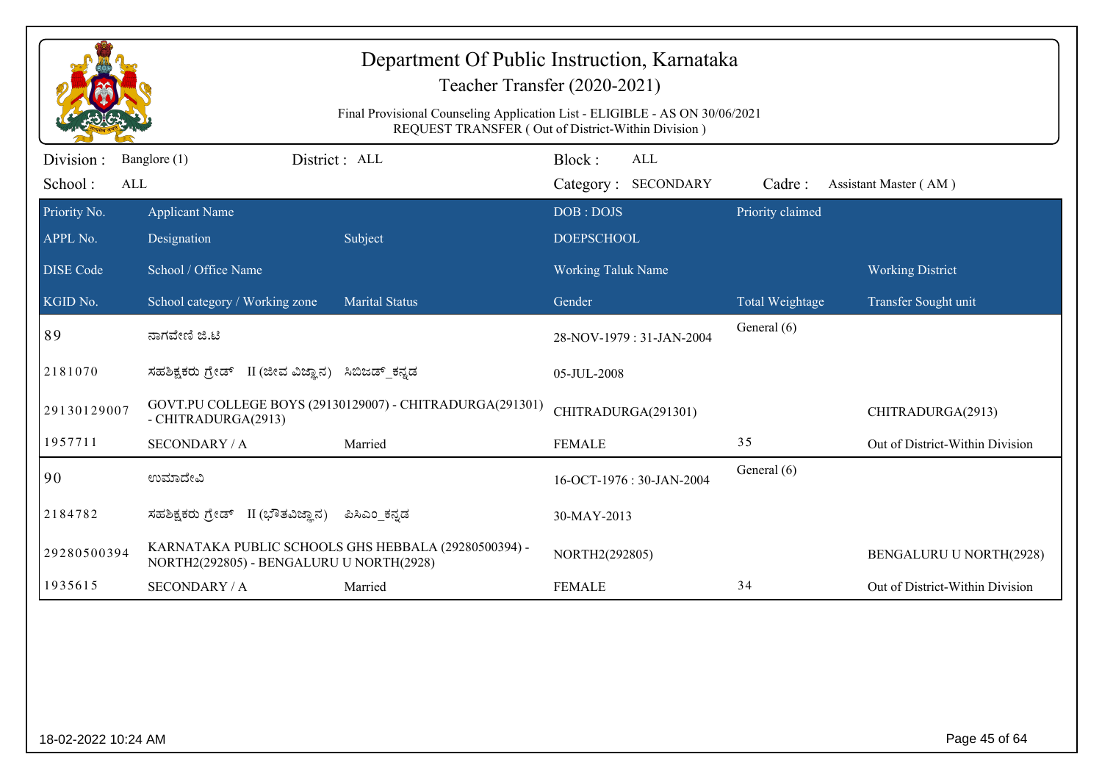|                             | Department Of Public Instruction, Karnataka<br>Teacher Transfer (2020-2021)<br>Final Provisional Counseling Application List - ELIGIBLE - AS ON 30/06/2021<br>REQUEST TRANSFER (Out of District-Within Division) |                                                          |                                |                                   |                  |                                 |  |  |
|-----------------------------|------------------------------------------------------------------------------------------------------------------------------------------------------------------------------------------------------------------|----------------------------------------------------------|--------------------------------|-----------------------------------|------------------|---------------------------------|--|--|
| Division:<br>School:<br>ALL | Banglore (1)                                                                                                                                                                                                     | District: ALL                                            | Block:                         | <b>ALL</b><br>Category: SECONDARY | Cadre:           | Assistant Master (AM)           |  |  |
| Priority No.<br>APPL No.    | <b>Applicant Name</b><br>Designation                                                                                                                                                                             | Subject                                                  | DOB: DOJS<br><b>DOEPSCHOOL</b> |                                   | Priority claimed |                                 |  |  |
| <b>DISE Code</b>            | School / Office Name                                                                                                                                                                                             |                                                          | <b>Working Taluk Name</b>      |                                   |                  | <b>Working District</b>         |  |  |
| KGID No.                    | School category / Working zone                                                                                                                                                                                   | <b>Marital Status</b>                                    | Gender                         |                                   | Total Weightage  | Transfer Sought unit            |  |  |
| 89                          | ನಾಗವೇಣಿ ಜಿ.ಟಿ                                                                                                                                                                                                    |                                                          |                                | 28-NOV-1979: 31-JAN-2004          | General (6)      |                                 |  |  |
| 2181070                     | ಸಹಶಿಕ್ಷಕರು ಗ್ರೇಡ್ II (ಜೀವ ವಿಜ್ಞಾನ) ಸಿಬಿಜಡ್ ಕನ್ನಡ                                                                                                                                                                 |                                                          | 05-JUL-2008                    |                                   |                  |                                 |  |  |
| 29130129007                 | - CHITRADURGA(2913)                                                                                                                                                                                              | GOVT.PU COLLEGE BOYS (29130129007) - CHITRADURGA(291301) | CHITRADURGA(291301)            |                                   |                  | CHITRADURGA(2913)               |  |  |
| 1957711                     | <b>SECONDARY / A</b>                                                                                                                                                                                             | Married                                                  | <b>FEMALE</b>                  |                                   | 35               | Out of District-Within Division |  |  |
| 90                          | ಉಮಾದೇವಿ                                                                                                                                                                                                          |                                                          |                                | 16-OCT-1976: 30-JAN-2004          | General (6)      |                                 |  |  |
| 2184782                     | ಸಹಶಿಕ್ಷಕರು ಗ್ರೇಡ್ II (ಭೌತವಿಜ್ಞಾನ)                                                                                                                                                                                | ಪಿಸಿಎಂ_ಕನ್ನಡ                                             | 30-MAY-2013                    |                                   |                  |                                 |  |  |
| 29280500394                 | NORTH2(292805) - BENGALURU U NORTH(2928)                                                                                                                                                                         | KARNATAKA PUBLIC SCHOOLS GHS HEBBALA (29280500394) -     | NORTH2(292805)                 |                                   |                  | <b>BENGALURU U NORTH(2928)</b>  |  |  |
| 1935615                     | <b>SECONDARY / A</b>                                                                                                                                                                                             | Married                                                  | <b>FEMALE</b>                  |                                   | 34               | Out of District-Within Division |  |  |
|                             |                                                                                                                                                                                                                  |                                                          |                                |                                   |                  |                                 |  |  |
| 18-02-2022 10:24 AM         |                                                                                                                                                                                                                  |                                                          |                                |                                   |                  | Page 45 of 64                   |  |  |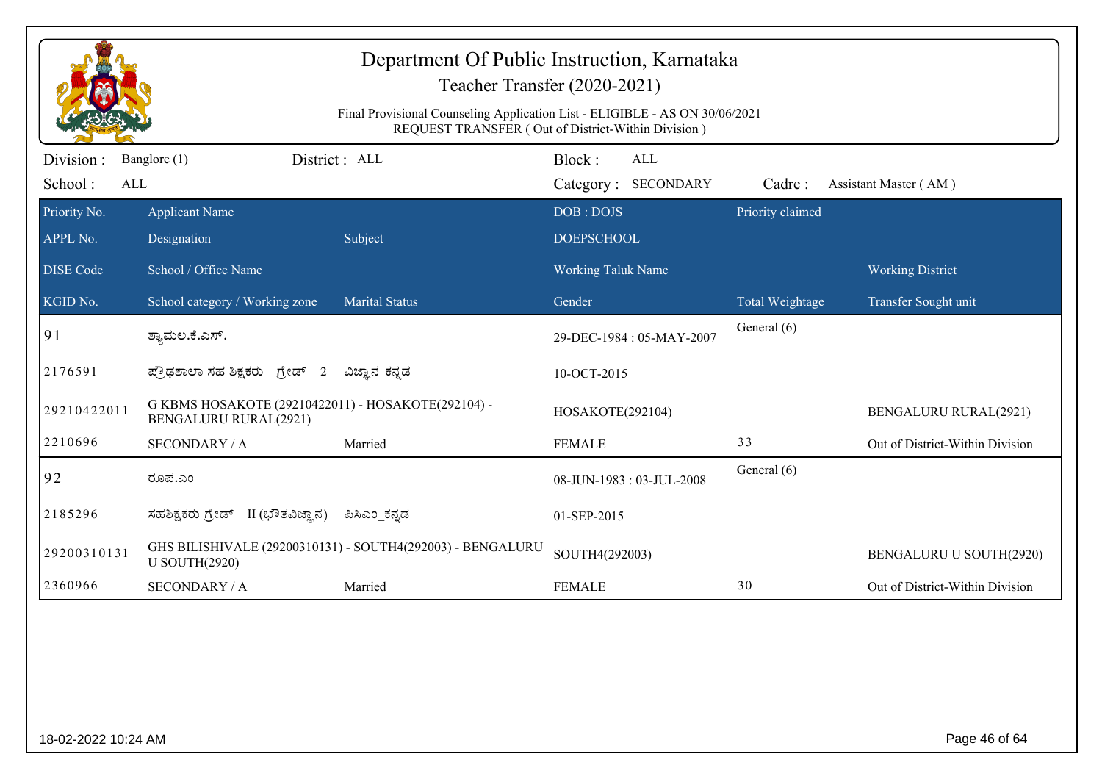|                             | Department Of Public Instruction, Karnataka<br>Teacher Transfer (2020-2021)<br>Final Provisional Counseling Application List - ELIGIBLE - AS ON 30/06/2021<br>REQUEST TRANSFER (Out of District-Within Division) |                                                            |                                             |                  |                                 |  |  |  |
|-----------------------------|------------------------------------------------------------------------------------------------------------------------------------------------------------------------------------------------------------------|------------------------------------------------------------|---------------------------------------------|------------------|---------------------------------|--|--|--|
| Division:<br>School:<br>ALL | Banglore (1)                                                                                                                                                                                                     | District: ALL                                              | Block:<br><b>ALL</b><br>Category: SECONDARY | Cadre:           | Assistant Master (AM)           |  |  |  |
| Priority No.<br>APPL No.    | <b>Applicant Name</b><br>Designation                                                                                                                                                                             | Subject                                                    | DOB: DOJS<br><b>DOEPSCHOOL</b>              | Priority claimed |                                 |  |  |  |
| <b>DISE Code</b>            | School / Office Name                                                                                                                                                                                             |                                                            | <b>Working Taluk Name</b>                   |                  | <b>Working District</b>         |  |  |  |
| KGID No.                    | School category / Working zone                                                                                                                                                                                   | <b>Marital Status</b>                                      | Gender                                      | Total Weightage  | Transfer Sought unit            |  |  |  |
| 91                          | ಶ್ಯಾಮಲ.ಕೆ.ಎಸ್.                                                                                                                                                                                                   |                                                            | 29-DEC-1984: 05-MAY-2007                    | General (6)      |                                 |  |  |  |
| 2176591                     | ಪ್ರೌಢಶಾಲಾ ಸಹ ಶಿಕ್ಷಕರು ಗ್ರೇಡ್ 2                                                                                                                                                                                   | ವಿಜ್ಞಾನ_ಕನ್ನಡ                                              | 10-OCT-2015                                 |                  |                                 |  |  |  |
| 29210422011                 | G KBMS HOSAKOTE (29210422011) - HOSAKOTE(292104) -<br><b>BENGALURU RURAL(2921)</b>                                                                                                                               |                                                            | HOSAKOTE(292104)                            |                  | <b>BENGALURU RURAL(2921)</b>    |  |  |  |
| 2210696                     | <b>SECONDARY / A</b>                                                                                                                                                                                             | Married                                                    | <b>FEMALE</b>                               | 33               | Out of District-Within Division |  |  |  |
| 92                          | ರೂಪ.ಎಂ                                                                                                                                                                                                           |                                                            | 08-JUN-1983: 03-JUL-2008                    | General (6)      |                                 |  |  |  |
| 2185296                     | ಸಹಶಿಕ್ಷಕರು ಗ್ರೇಡ್ II (ಭೌತವಿಜ್ಞಾನ)                                                                                                                                                                                | ಪಿಸಿಎಂ ಕನ್ನಡ                                               | 01-SEP-2015                                 |                  |                                 |  |  |  |
| 29200310131                 | <b>U SOUTH(2920)</b>                                                                                                                                                                                             | GHS BILISHIVALE (29200310131) - SOUTH4(292003) - BENGALURU | SOUTH4(292003)                              |                  | BENGALURU U SOUTH(2920)         |  |  |  |
| 2360966                     | <b>SECONDARY / A</b>                                                                                                                                                                                             | Married                                                    | <b>FEMALE</b>                               | 30               | Out of District-Within Division |  |  |  |
|                             |                                                                                                                                                                                                                  |                                                            |                                             |                  |                                 |  |  |  |
| 18-02-2022 10:24 AM         |                                                                                                                                                                                                                  |                                                            |                                             |                  | Page 46 of 64                   |  |  |  |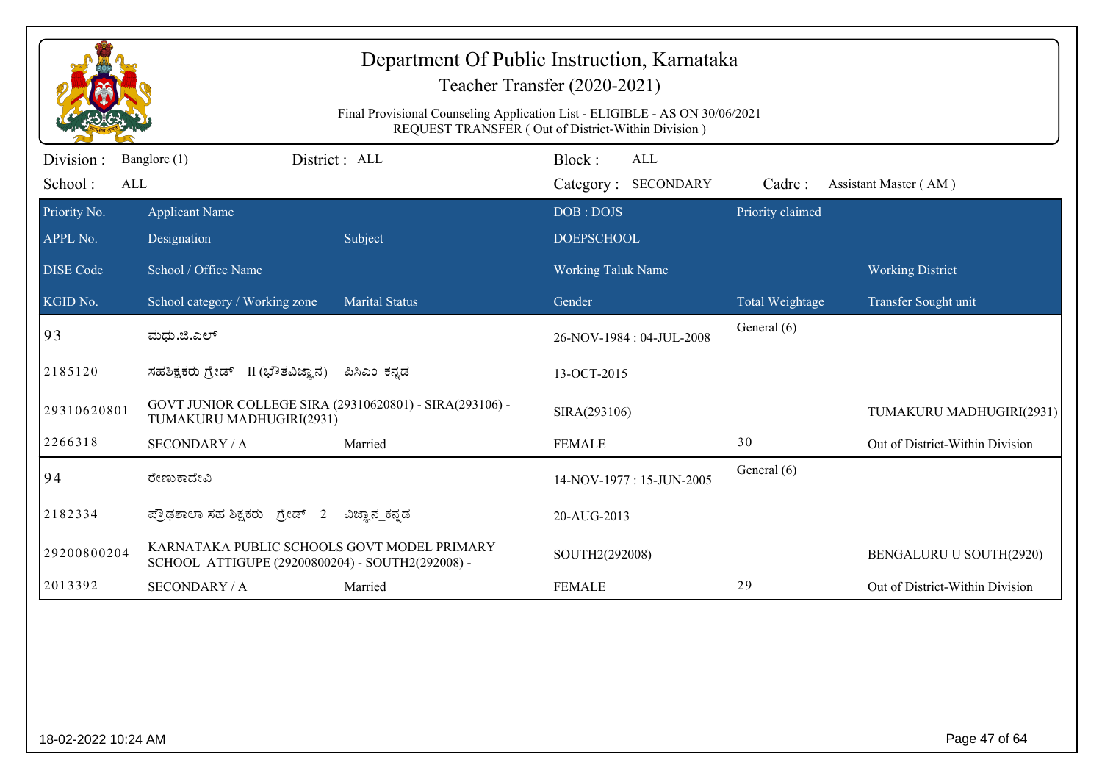|                             |                                                                                                 | Final Provisional Counseling Application List - ELIGIBLE - AS ON 30/06/2021 | Department Of Public Instruction, Karnataka<br>Teacher Transfer (2020-2021)<br>REQUEST TRANSFER (Out of District-Within Division) |                        |                                 |
|-----------------------------|-------------------------------------------------------------------------------------------------|-----------------------------------------------------------------------------|-----------------------------------------------------------------------------------------------------------------------------------|------------------------|---------------------------------|
| Division:<br>School:<br>ALL | Banglore (1)                                                                                    | District: ALL                                                               | Block:<br>ALL<br>Category: SECONDARY                                                                                              | Cadre:                 | Assistant Master (AM)           |
| Priority No.<br>APPL No.    | <b>Applicant Name</b><br>Designation                                                            | Subject                                                                     | DOB: DOJS<br><b>DOEPSCHOOL</b>                                                                                                    | Priority claimed       |                                 |
| <b>DISE Code</b>            | School / Office Name                                                                            |                                                                             | Working Taluk Name                                                                                                                |                        | <b>Working District</b>         |
| KGID No.                    | School category / Working zone                                                                  | <b>Marital Status</b>                                                       | Gender                                                                                                                            | <b>Total Weightage</b> | Transfer Sought unit            |
| 93                          | ಮಧು.ಜಿ.ಎಲ್                                                                                      |                                                                             | 26-NOV-1984: 04-JUL-2008                                                                                                          | General (6)            |                                 |
| 2185120                     | ಸಹಶಿಕ್ಷಕರು ಗ್ರೇಡ್ II (ಭೌತವಿಜ್ಞಾನ)                                                               | ಪಿಸಿಎಂ ಕನ್ನಡ                                                                | 13-OCT-2015                                                                                                                       |                        |                                 |
| 29310620801                 | GOVT JUNIOR COLLEGE SIRA (29310620801) - SIRA(293106) -<br>TUMAKURU MADHUGIRI(2931)             |                                                                             | SIRA(293106)                                                                                                                      |                        | TUMAKURU MADHUGIRI(2931)        |
| 2266318                     | <b>SECONDARY / A</b>                                                                            | Married                                                                     | <b>FEMALE</b>                                                                                                                     | 30                     | Out of District-Within Division |
| 94                          | ರೇಣುಕಾದೇವಿ                                                                                      |                                                                             | 14-NOV-1977: 15-JUN-2005                                                                                                          | General (6)            |                                 |
| 2182334                     | ಪ್ರೌಢಶಾಲಾ ಸಹ ಶಿಕ್ಷಕರು ಗ್ರೇಡ್ 2                                                                  | ವಿಜ್ಞಾನ_ಕನ್ನಡ                                                               | 20-AUG-2013                                                                                                                       |                        |                                 |
| 29200800204                 | KARNATAKA PUBLIC SCHOOLS GOVT MODEL PRIMARY<br>SCHOOL ATTIGUPE (29200800204) - SOUTH2(292008) - |                                                                             | SOUTH2(292008)                                                                                                                    |                        | BENGALURU U SOUTH(2920)         |
| 2013392                     | <b>SECONDARY / A</b>                                                                            | Married                                                                     | <b>FEMALE</b>                                                                                                                     | 29                     | Out of District-Within Division |
|                             |                                                                                                 |                                                                             |                                                                                                                                   |                        |                                 |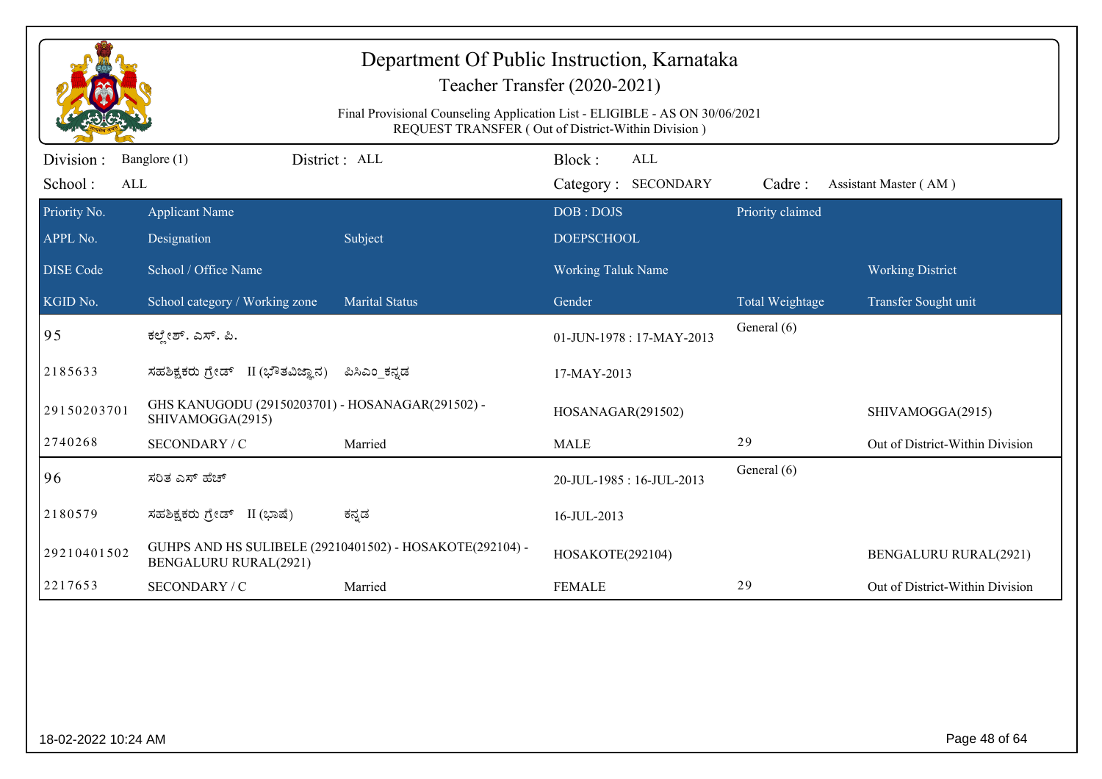|                             | Department Of Public Instruction, Karnataka<br>Teacher Transfer (2020-2021)<br>Final Provisional Counseling Application List - ELIGIBLE - AS ON 30/06/2021<br>REQUEST TRANSFER (Out of District-Within Division) |                                                          |                                             |                  |                                 |  |  |  |
|-----------------------------|------------------------------------------------------------------------------------------------------------------------------------------------------------------------------------------------------------------|----------------------------------------------------------|---------------------------------------------|------------------|---------------------------------|--|--|--|
| Division:<br>School:<br>ALL | Banglore (1)                                                                                                                                                                                                     | District: ALL                                            | Block:<br><b>ALL</b><br>Category: SECONDARY | Cadre:           | Assistant Master (AM)           |  |  |  |
| Priority No.<br>APPL No.    | <b>Applicant Name</b><br>Designation                                                                                                                                                                             | Subject                                                  | DOB: DOJS<br><b>DOEPSCHOOL</b>              | Priority claimed |                                 |  |  |  |
| <b>DISE Code</b>            | School / Office Name                                                                                                                                                                                             |                                                          | Working Taluk Name                          |                  | <b>Working District</b>         |  |  |  |
| KGID No.                    | School category / Working zone                                                                                                                                                                                   | <b>Marital Status</b>                                    | Gender                                      | Total Weightage  | Transfer Sought unit            |  |  |  |
| 95                          | ಕಲ್ತೇಶ್. ಎಸ್. ಪಿ.                                                                                                                                                                                                |                                                          | 01-JUN-1978: 17-MAY-2013                    | General (6)      |                                 |  |  |  |
| 2185633                     | ಸಹಶಿಕ್ಷಕರು ಗ್ರೇಡ್ II (ಭೌತವಿಜ್ಞಾನ)                                                                                                                                                                                | ಪಿಸಿಎಂ_ಕನ್ನಡ                                             | 17-MAY-2013                                 |                  |                                 |  |  |  |
| 29150203701                 | GHS KANUGODU (29150203701) - HOSANAGAR(291502) -<br>SHIVAMOGGA(2915)                                                                                                                                             |                                                          | HOSANAGAR(291502)                           |                  | SHIVAMOGGA(2915)                |  |  |  |
| 2740268                     | SECONDARY / C                                                                                                                                                                                                    | Married                                                  | <b>MALE</b>                                 | 29               | Out of District-Within Division |  |  |  |
| 96                          | ಸರಿತ ಎಸ್ ಹೆಚ್                                                                                                                                                                                                    |                                                          | 20-JUL-1985: 16-JUL-2013                    | General (6)      |                                 |  |  |  |
| 2180579                     | ಸಹಶಿಕ್ಷಕರು ಗ್ರೇಡ್ II (ಭಾಷೆ)                                                                                                                                                                                      | ಕನ್ನಡ                                                    | 16-JUL-2013                                 |                  |                                 |  |  |  |
| 29210401502                 | <b>BENGALURU RURAL(2921)</b>                                                                                                                                                                                     | GUHPS AND HS SULIBELE (29210401502) - HOSAKOTE(292104) - | HOSAKOTE(292104)                            |                  | <b>BENGALURU RURAL(2921)</b>    |  |  |  |
| 2217653                     | SECONDARY / C                                                                                                                                                                                                    | Married                                                  | <b>FEMALE</b>                               | 29               | Out of District-Within Division |  |  |  |
|                             |                                                                                                                                                                                                                  |                                                          |                                             |                  |                                 |  |  |  |
| 18-02-2022 10:24 AM         |                                                                                                                                                                                                                  |                                                          |                                             |                  | Page 48 of 64                   |  |  |  |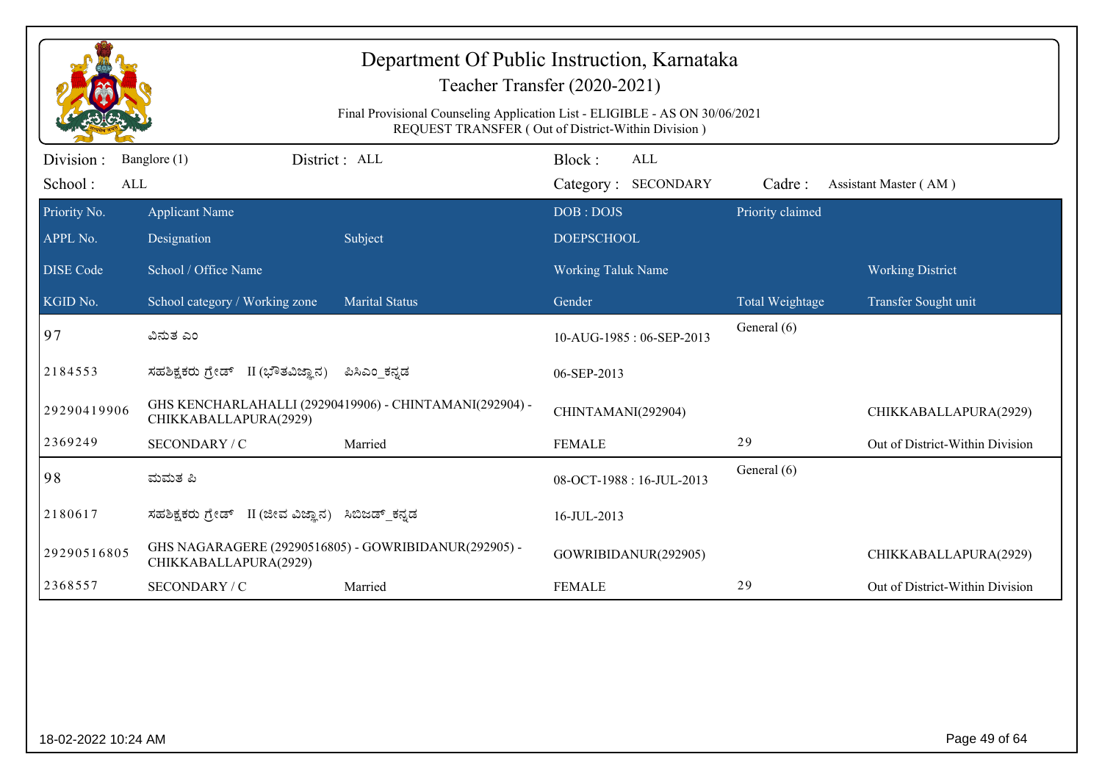|                             | Department Of Public Instruction, Karnataka<br>Teacher Transfer (2020-2021)<br>Final Provisional Counseling Application List - ELIGIBLE - AS ON 30/06/2021<br>REQUEST TRANSFER (Out of District-Within Division) |                                                         |                                             |                  |                                 |  |  |
|-----------------------------|------------------------------------------------------------------------------------------------------------------------------------------------------------------------------------------------------------------|---------------------------------------------------------|---------------------------------------------|------------------|---------------------------------|--|--|
| Division:<br>School:<br>ALL | Banglore (1)                                                                                                                                                                                                     | District: ALL                                           | Block:<br><b>ALL</b><br>Category: SECONDARY | Cadre:           | Assistant Master (AM)           |  |  |
| Priority No.<br>APPL No.    | <b>Applicant Name</b><br>Designation                                                                                                                                                                             | Subject                                                 | DOB: DOJS<br><b>DOEPSCHOOL</b>              | Priority claimed |                                 |  |  |
| <b>DISE Code</b>            | School / Office Name                                                                                                                                                                                             |                                                         | <b>Working Taluk Name</b>                   |                  | <b>Working District</b>         |  |  |
| KGID No.                    | School category / Working zone                                                                                                                                                                                   | <b>Marital Status</b>                                   | Gender                                      | Total Weightage  | Transfer Sought unit            |  |  |
| 97                          | ವಿನುತ ಎಂ                                                                                                                                                                                                         |                                                         | 10-AUG-1985: 06-SEP-2013                    | General (6)      |                                 |  |  |
| 2184553                     | ಸಹಶಿಕ್ಷಕರು ಗ್ರೇಡ್ II (ಭೌತವಿಜ್ಞಾನ)                                                                                                                                                                                | ಪಿಸಿಎಂ ಕನ್ನಡ                                            | 06-SEP-2013                                 |                  |                                 |  |  |
| 29290419906                 | CHIKKABALLAPURA(2929)                                                                                                                                                                                            | GHS KENCHARLAHALLI (29290419906) - CHINTAMANI(292904) - | CHINTAMANI(292904)                          |                  | CHIKKABALLAPURA(2929)           |  |  |
| 2369249                     | SECONDARY / C                                                                                                                                                                                                    | Married                                                 | <b>FEMALE</b>                               | 29               | Out of District-Within Division |  |  |
| 98                          | ಮಮತ ಪಿ                                                                                                                                                                                                           |                                                         | 08-OCT-1988: 16-JUL-2013                    | General (6)      |                                 |  |  |
| 2180617                     | ಸಹಶಿಕ್ಷಕರು ಗ್ರೇಡ್ II (ಜೀವ ವಿಜ್ಞಾನ)                                                                                                                                                                               | ಸಿಬಿಜಡ್_ಕನ್ನಡ                                           | 16-JUL-2013                                 |                  |                                 |  |  |
| 29290516805                 | GHS NAGARAGERE (29290516805) - GOWRIBIDANUR(292905) -<br>CHIKKABALLAPURA(2929)                                                                                                                                   |                                                         | GOWRIBIDANUR(292905)                        |                  | CHIKKABALLAPURA(2929)           |  |  |
| 2368557                     | SECONDARY / C                                                                                                                                                                                                    | Married                                                 | <b>FEMALE</b>                               | 29               | Out of District-Within Division |  |  |
|                             |                                                                                                                                                                                                                  |                                                         |                                             |                  |                                 |  |  |
| 18-02-2022 10:24 AM         |                                                                                                                                                                                                                  |                                                         |                                             |                  | Page 49 of 64                   |  |  |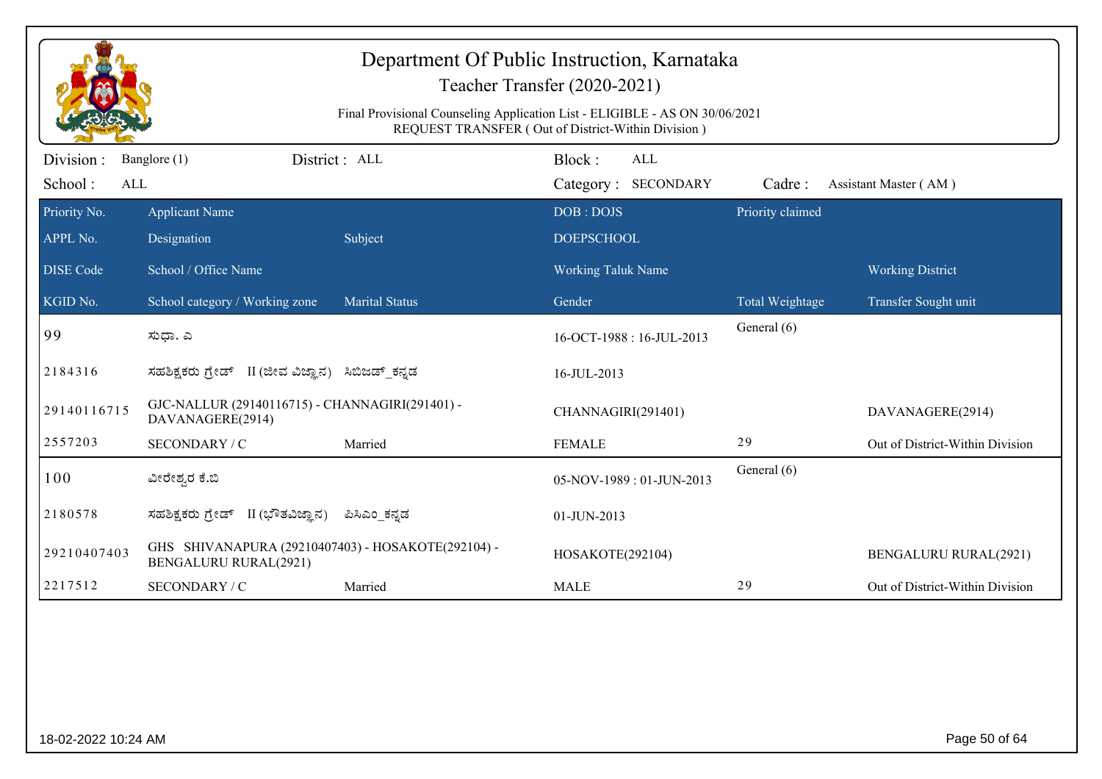|                             | Department Of Public Instruction, Karnataka<br>Teacher Transfer (2020-2021)<br>Final Provisional Counseling Application List - ELIGIBLE - AS ON 30/06/2021<br>REQUEST TRANSFER (Out of District-Within Division) |                       |                                             |                  |                                 |  |  |
|-----------------------------|------------------------------------------------------------------------------------------------------------------------------------------------------------------------------------------------------------------|-----------------------|---------------------------------------------|------------------|---------------------------------|--|--|
| Division:<br>School:<br>ALL | Banglore (1)                                                                                                                                                                                                     | District: ALL         | Block:<br><b>ALL</b><br>Category: SECONDARY | Cadre:           | Assistant Master (AM)           |  |  |
| Priority No.<br>APPL No.    | <b>Applicant Name</b><br>Designation                                                                                                                                                                             | Subject               | DOB: DOJS<br><b>DOEPSCHOOL</b>              | Priority claimed |                                 |  |  |
| <b>DISE Code</b>            | School / Office Name                                                                                                                                                                                             |                       | <b>Working Taluk Name</b>                   |                  | <b>Working District</b>         |  |  |
| KGID No.                    | School category / Working zone                                                                                                                                                                                   | <b>Marital Status</b> | Gender                                      | Total Weightage  | Transfer Sought unit            |  |  |
| 99                          | ಸುಧಾ. ಎ                                                                                                                                                                                                          |                       | 16-OCT-1988: 16-JUL-2013                    | General (6)      |                                 |  |  |
| 2184316                     | ಸಹಶಿಕ್ಷಕರು ಗ್ರೇಡ್ II (ಜೀವ ವಿಜ್ಞಾನ) ಸಿಬಿಜಡ್ ಕನ್ನಡ                                                                                                                                                                 |                       | 16-JUL-2013                                 |                  |                                 |  |  |
| 29140116715                 | GJC-NALLUR (29140116715) - CHANNAGIRI(291401) -<br>DAVANAGERE(2914)                                                                                                                                              |                       | CHANNAGIRI(291401)                          |                  | DAVANAGERE(2914)                |  |  |
| 2557203                     | SECONDARY / C                                                                                                                                                                                                    | Married               | <b>FEMALE</b>                               | 29               | Out of District-Within Division |  |  |
| 100                         | ವೀರೇಶ್ವರ ಕೆ.ಬಿ                                                                                                                                                                                                   |                       | 05-NOV-1989: 01-JUN-2013                    | General (6)      |                                 |  |  |
| 2180578                     | ಸಹಶಿಕ್ಷಕರು ಗ್ರೇಡ್ II (ಭೌತವಿಜ್ಞಾನ)                                                                                                                                                                                | ಪಿಸಿಎಂ_ಕನ್ನಡ          | 01-JUN-2013                                 |                  |                                 |  |  |
| 29210407403                 | GHS SHIVANAPURA (29210407403) - HOSAKOTE(292104) -<br><b>BENGALURU RURAL(2921)</b>                                                                                                                               |                       | HOSAKOTE(292104)                            |                  | <b>BENGALURU RURAL(2921)</b>    |  |  |
| 2217512                     | SECONDARY / C                                                                                                                                                                                                    | Married               | <b>MALE</b>                                 | 29               | Out of District-Within Division |  |  |
|                             |                                                                                                                                                                                                                  |                       |                                             |                  |                                 |  |  |
| 18-02-2022 10:24 AM         |                                                                                                                                                                                                                  |                       |                                             |                  | Page 50 of 64                   |  |  |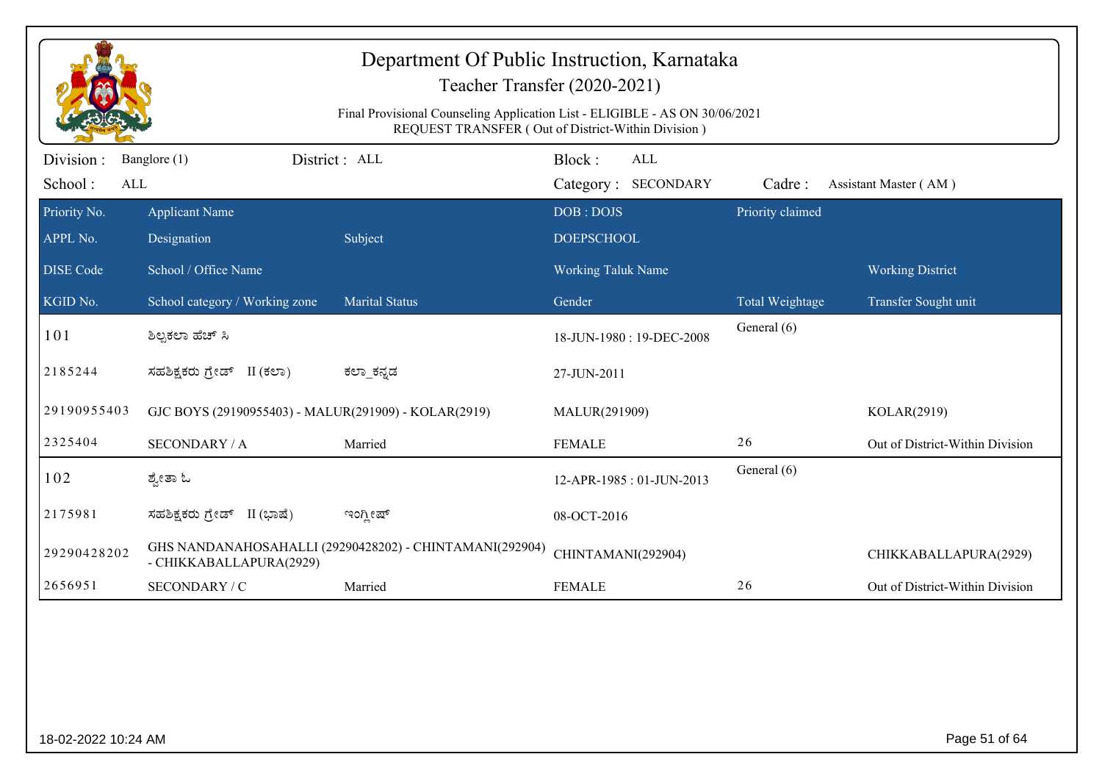|                             | Department Of Public Instruction, Karnataka<br>Teacher Transfer (2020-2021)<br>Final Provisional Counseling Application List - ELIGIBLE - AS ON 30/06/2021<br>REQUEST TRANSFER (Out of District-Within Division) |                                                         |                                             |                  |                                 |  |  |
|-----------------------------|------------------------------------------------------------------------------------------------------------------------------------------------------------------------------------------------------------------|---------------------------------------------------------|---------------------------------------------|------------------|---------------------------------|--|--|
| Division:<br>School:<br>ALL | Banglore (1)                                                                                                                                                                                                     | District: ALL                                           | Block:<br><b>ALL</b><br>Category: SECONDARY | Cadre:           | Assistant Master (AM)           |  |  |
| Priority No.<br>APPL No.    | <b>Applicant Name</b><br>Designation                                                                                                                                                                             | Subject                                                 | DOB: DOJS<br><b>DOEPSCHOOL</b>              | Priority claimed |                                 |  |  |
| <b>DISE Code</b>            | School / Office Name                                                                                                                                                                                             |                                                         | <b>Working Taluk Name</b>                   |                  | <b>Working District</b>         |  |  |
| KGID No.                    | School category / Working zone                                                                                                                                                                                   | <b>Marital Status</b>                                   | Gender                                      | Total Weightage  | Transfer Sought unit            |  |  |
| 101                         | ಶಿಲ್ಪಕಲಾ ಹೆಚ್ ಸಿ                                                                                                                                                                                                 |                                                         | 18-JUN-1980: 19-DEC-2008                    | General (6)      |                                 |  |  |
| 2185244                     | ಸಹಶಿಕ್ಷಕರು ಗ್ರೇಡ್ II (ಕಲಾ)                                                                                                                                                                                       | ಕಲ್_ಕನ್ನಡ                                               | 27-JUN-2011                                 |                  |                                 |  |  |
| 29190955403                 | GJC BOYS (29190955403) - MALUR(291909) - KOLAR(2919)                                                                                                                                                             |                                                         | MALUR(291909)                               |                  | KOLAR(2919)                     |  |  |
| 2325404                     | <b>SECONDARY / A</b>                                                                                                                                                                                             | Married                                                 | <b>FEMALE</b>                               | 26               | Out of District-Within Division |  |  |
| 102                         | ಶ್ವೇತಾ ಓ                                                                                                                                                                                                         |                                                         | 12-APR-1985: 01-JUN-2013                    | General (6)      |                                 |  |  |
| 2175981                     | ಸಹಶಿಕ್ಷಕರು ಗ್ರೇಡ್ II (ಭಾಷೆ)                                                                                                                                                                                      | ಇಂಗ್ಲೀಷ್                                                | 08-OCT-2016                                 |                  |                                 |  |  |
| 29290428202                 | - CHIKKABALLAPURA(2929)                                                                                                                                                                                          | GHS NANDANAHOSAHALLI (29290428202) - CHINTAMANI(292904) | CHINTAMANI(292904)                          |                  | CHIKKABALLAPURA(2929)           |  |  |
| 2656951                     | SECONDARY / C                                                                                                                                                                                                    | Married                                                 | <b>FEMALE</b>                               | 26               | Out of District-Within Division |  |  |
|                             |                                                                                                                                                                                                                  |                                                         |                                             |                  |                                 |  |  |
| 18-02-2022 10:24 AM         |                                                                                                                                                                                                                  |                                                         |                                             |                  | Page 51 of 64                   |  |  |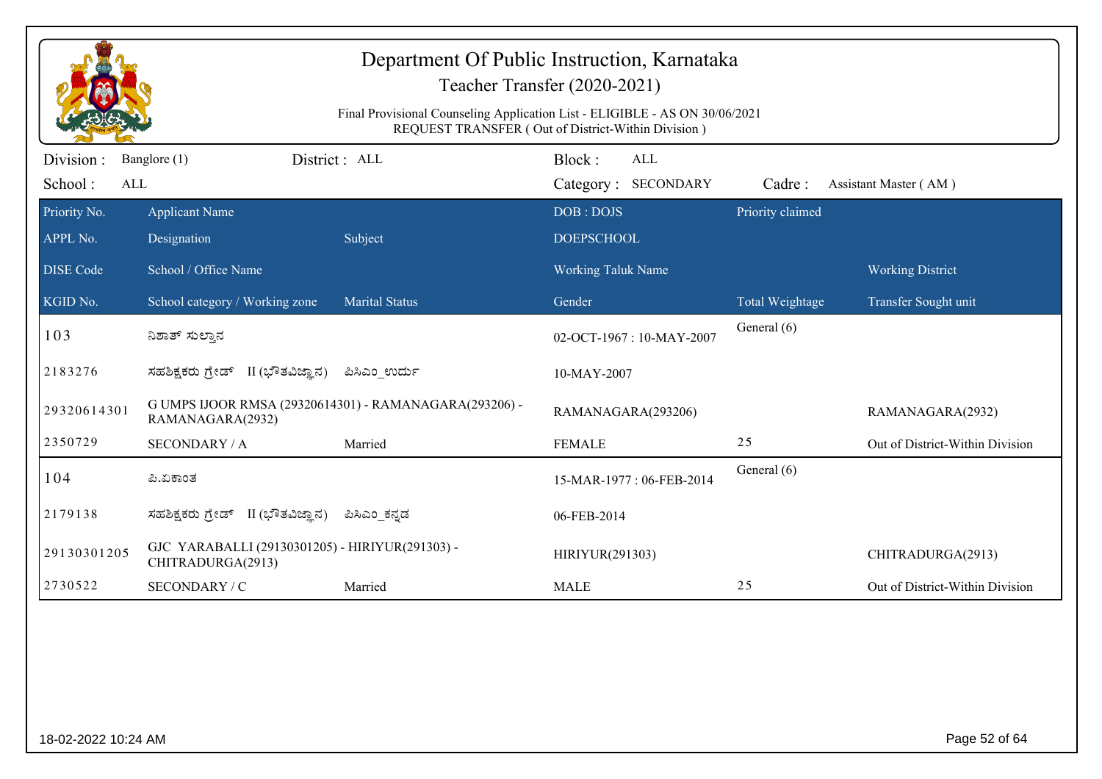|                             |                                                                            |                                                                             | Department Of Public Instruction, Karnataka<br>Teacher Transfer (2020-2021) |                  |                                 |
|-----------------------------|----------------------------------------------------------------------------|-----------------------------------------------------------------------------|-----------------------------------------------------------------------------|------------------|---------------------------------|
|                             |                                                                            | Final Provisional Counseling Application List - ELIGIBLE - AS ON 30/06/2021 | REQUEST TRANSFER (Out of District-Within Division)                          |                  |                                 |
| Division:<br>School:<br>ALL | Banglore (1)                                                               | District: ALL                                                               | Block:<br><b>ALL</b><br>Category: SECONDARY                                 | Cadre:           | Assistant Master (AM)           |
| Priority No.<br>APPL No.    | <b>Applicant Name</b><br>Designation                                       | Subject                                                                     | DOB: DOJS<br><b>DOEPSCHOOL</b>                                              | Priority claimed |                                 |
| <b>DISE Code</b>            | School / Office Name                                                       |                                                                             | <b>Working Taluk Name</b>                                                   |                  | <b>Working District</b>         |
| KGID No.                    | School category / Working zone                                             | <b>Marital Status</b>                                                       | Gender                                                                      | Total Weightage  | Transfer Sought unit            |
| 103                         | ನಿಶಾತ್ ಸುಲ್ತಾನ                                                             |                                                                             | 02-OCT-1967: 10-MAY-2007                                                    | General (6)      |                                 |
| 2183276                     | ಸಹಶಿಕ್ಷಕರು ಗ್ರೇಡ್ II (ಭೌತವಿಜ್ಞಾನ)                                          | ಪಿಸಿಎಂ ಉರ್ದು                                                                | 10-MAY-2007                                                                 |                  |                                 |
| 29320614301                 | G UMPS IJOOR RMSA (29320614301) - RAMANAGARA(293206) -<br>RAMANAGARA(2932) |                                                                             | RAMANAGARA(293206)                                                          |                  | RAMANAGARA(2932)                |
| 2350729                     | <b>SECONDARY / A</b>                                                       | Married                                                                     | <b>FEMALE</b>                                                               | 25               | Out of District-Within Division |
| 104                         | ಪಿ.ಏಕಾಂತ                                                                   |                                                                             | 15-MAR-1977: 06-FEB-2014                                                    | General (6)      |                                 |
| 2179138                     | ಸಹಶಿಕ್ಷಕರು ಗ್ರೇಡ್ II (ಭೌತವಿಜ್ಞಾನ)                                          | ಪಿಸಿಎಂ_ಕನ್ನಡ                                                                | 06-FEB-2014                                                                 |                  |                                 |
| 29130301205                 | GJC YARABALLI (29130301205) - HIRIYUR(291303) -<br>CHITRADURGA(2913)       |                                                                             | HIRIYUR(291303)                                                             |                  | CHITRADURGA(2913)               |
| 2730522                     | SECONDARY / C                                                              | Married                                                                     | <b>MALE</b>                                                                 | 25               | Out of District-Within Division |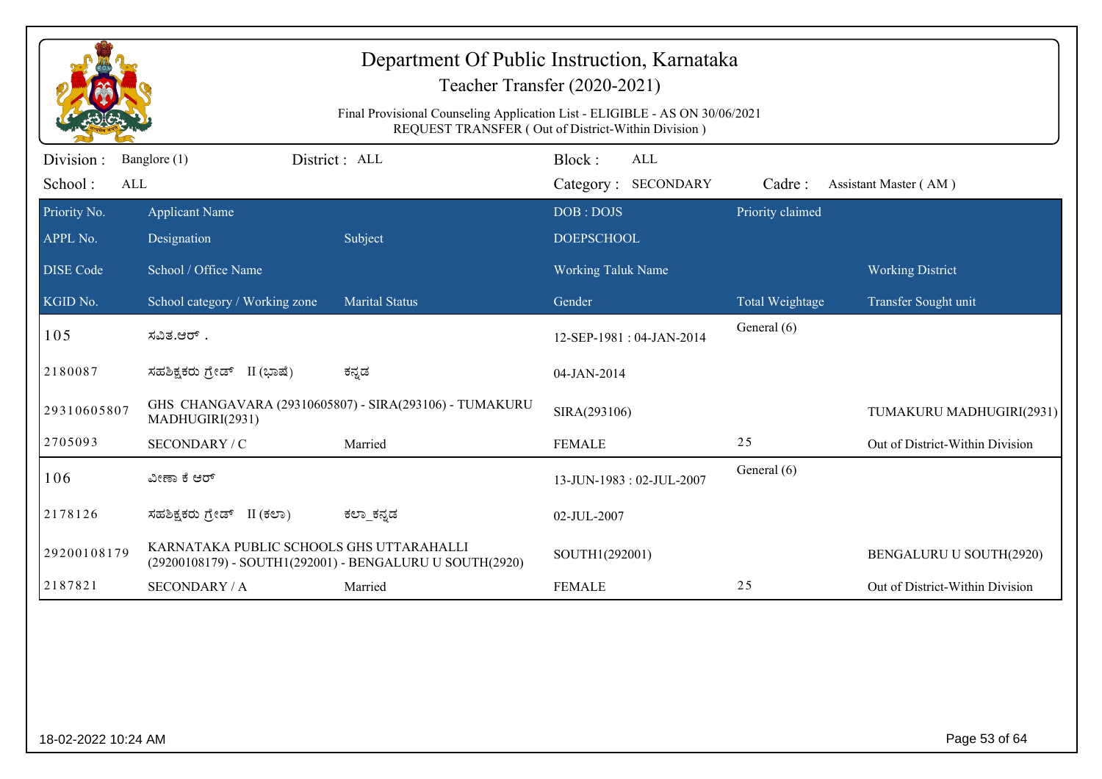|                             |                                          | Department Of Public Instruction, Karnataka<br>Final Provisional Counseling Application List - ELIGIBLE - AS ON 30/06/2021 | Teacher Transfer (2020-2021)<br>REQUEST TRANSFER (Out of District-Within Division) |                  |                                 |
|-----------------------------|------------------------------------------|----------------------------------------------------------------------------------------------------------------------------|------------------------------------------------------------------------------------|------------------|---------------------------------|
| Division:<br>School:<br>ALL | Banglore (1)                             | District : ALL                                                                                                             | Block:<br>ALL<br>Category: SECONDARY                                               | Cadre:           | Assistant Master (AM)           |
| Priority No.<br>APPL No.    | <b>Applicant Name</b><br>Designation     | Subject                                                                                                                    | DOB: DOJS<br><b>DOEPSCHOOL</b>                                                     | Priority claimed |                                 |
| <b>DISE Code</b>            | School / Office Name                     |                                                                                                                            | <b>Working Taluk Name</b>                                                          |                  | <b>Working District</b>         |
| KGID No.                    | School category / Working zone           | <b>Marital Status</b>                                                                                                      | Gender                                                                             | Total Weightage  | Transfer Sought unit            |
| 105                         | ಸವಿತ.ಆರ್ .                               |                                                                                                                            | 12-SEP-1981: 04-JAN-2014                                                           | General (6)      |                                 |
| 2180087                     | ಸಹಶಿಕ್ಷಕರು ಗ್ರೇಡ್ II (ಭಾಷೆ)              | ಕನ್ನಡ                                                                                                                      | 04-JAN-2014                                                                        |                  |                                 |
| 29310605807                 | MADHUGIRI(2931)                          | GHS CHANGAVARA (29310605807) - SIRA(293106) - TUMAKURU                                                                     | SIRA(293106)                                                                       |                  | TUMAKURU MADHUGIRI(2931)        |
| 2705093                     | SECONDARY / C                            | Married                                                                                                                    | <b>FEMALE</b>                                                                      | 25               | Out of District-Within Division |
| 106                         | ವೀಣಾ ಕೆ ಆರ್                              |                                                                                                                            | 13-JUN-1983: 02-JUL-2007                                                           | General (6)      |                                 |
| 2178126                     | ಸಹಶಿಕ್ಷಕರು ಗ್ರೇಡ್ II (ಕಲಾ)               | ಕಲ್_ಕನ್ನಡ                                                                                                                  | 02-JUL-2007                                                                        |                  |                                 |
| 29200108179                 | KARNATAKA PUBLIC SCHOOLS GHS UTTARAHALLI | (29200108179) - SOUTH1(292001) - BENGALURU U SOUTH(2920)                                                                   | SOUTH1(292001)                                                                     |                  | <b>BENGALURU U SOUTH(2920)</b>  |
| 2187821                     | <b>SECONDARY / A</b>                     | Married                                                                                                                    | <b>FEMALE</b>                                                                      | 25               | Out of District-Within Division |
|                             |                                          |                                                                                                                            |                                                                                    |                  |                                 |
| 18-02-2022 10:24 AM         |                                          |                                                                                                                            |                                                                                    |                  | Page 53 of 64                   |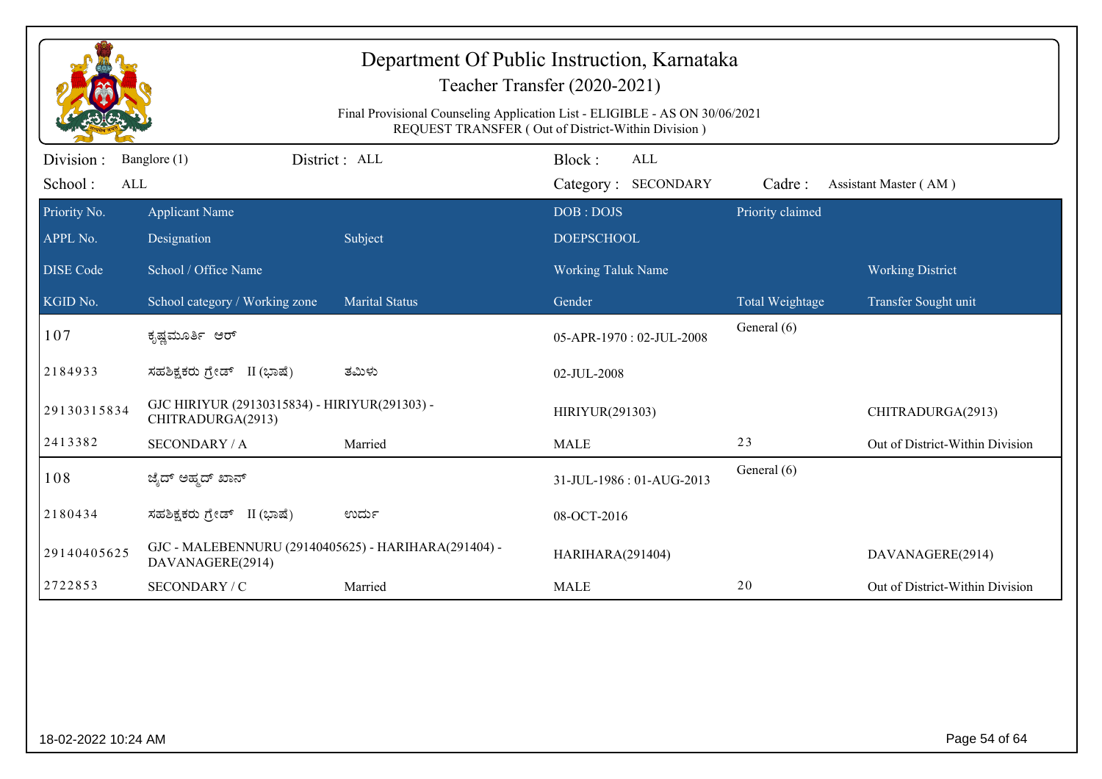|                             |                                                                          |                                                                             | Department Of Public Instruction, Karnataka<br>Teacher Transfer (2020-2021) |                  |                                 |
|-----------------------------|--------------------------------------------------------------------------|-----------------------------------------------------------------------------|-----------------------------------------------------------------------------|------------------|---------------------------------|
|                             |                                                                          | Final Provisional Counseling Application List - ELIGIBLE - AS ON 30/06/2021 | REQUEST TRANSFER (Out of District-Within Division)                          |                  |                                 |
| Division:<br>School:<br>ALL | Banglore (1)                                                             | District: ALL                                                               | Block:<br>ALL<br>Category: SECONDARY                                        | Cadre:           | Assistant Master (AM)           |
| Priority No.                | <b>Applicant Name</b>                                                    |                                                                             | DOB: DOJS                                                                   | Priority claimed |                                 |
| APPL No.                    | Designation                                                              | Subject                                                                     | <b>DOEPSCHOOL</b>                                                           |                  |                                 |
| <b>DISE Code</b>            | School / Office Name                                                     |                                                                             | <b>Working Taluk Name</b>                                                   |                  | <b>Working District</b>         |
| KGID No.                    | School category / Working zone                                           | <b>Marital Status</b>                                                       | Gender                                                                      | Total Weightage  | Transfer Sought unit            |
| 107                         | ಕೃಷ್ಣಮೂರ್ತಿ ಆರ್                                                          |                                                                             | 05-APR-1970: 02-JUL-2008                                                    | General (6)      |                                 |
| 2184933                     | ಸಹಶಿಕ್ಷಕರು ಗ್ರೇಡ್ II (ಭಾಷೆ)                                              | ತಮಿಳು                                                                       | 02-JUL-2008                                                                 |                  |                                 |
| 29130315834                 | GJC HIRIYUR (29130315834) - HIRIYUR(291303) -<br>CHITRADURGA(2913)       |                                                                             | HIRIYUR(291303)                                                             |                  | CHITRADURGA(2913)               |
| 2413382                     | <b>SECONDARY / A</b>                                                     | Married                                                                     | <b>MALE</b>                                                                 | 23               | Out of District-Within Division |
| 108                         | ಜ್ಶೆದ್ ಅಹ್ಮದ್ ಖಾನ್                                                       |                                                                             | 31-JUL-1986: 01-AUG-2013                                                    | General (6)      |                                 |
| 2180434                     | ಸಹಶಿಕ್ಷಕರು ಗ್ರೇಡ್ II (ಭಾಷೆ)                                              | ಉರ್ದು                                                                       | 08-OCT-2016                                                                 |                  |                                 |
| 29140405625                 | GJC - MALEBENNURU (29140405625) - HARIHARA(291404) -<br>DAVANAGERE(2914) |                                                                             | HARIHARA(291404)                                                            |                  | DAVANAGERE(2914)                |
| 2722853                     | SECONDARY / C                                                            | Married                                                                     | <b>MALE</b>                                                                 | 20               | Out of District-Within Division |
|                             |                                                                          |                                                                             |                                                                             |                  |                                 |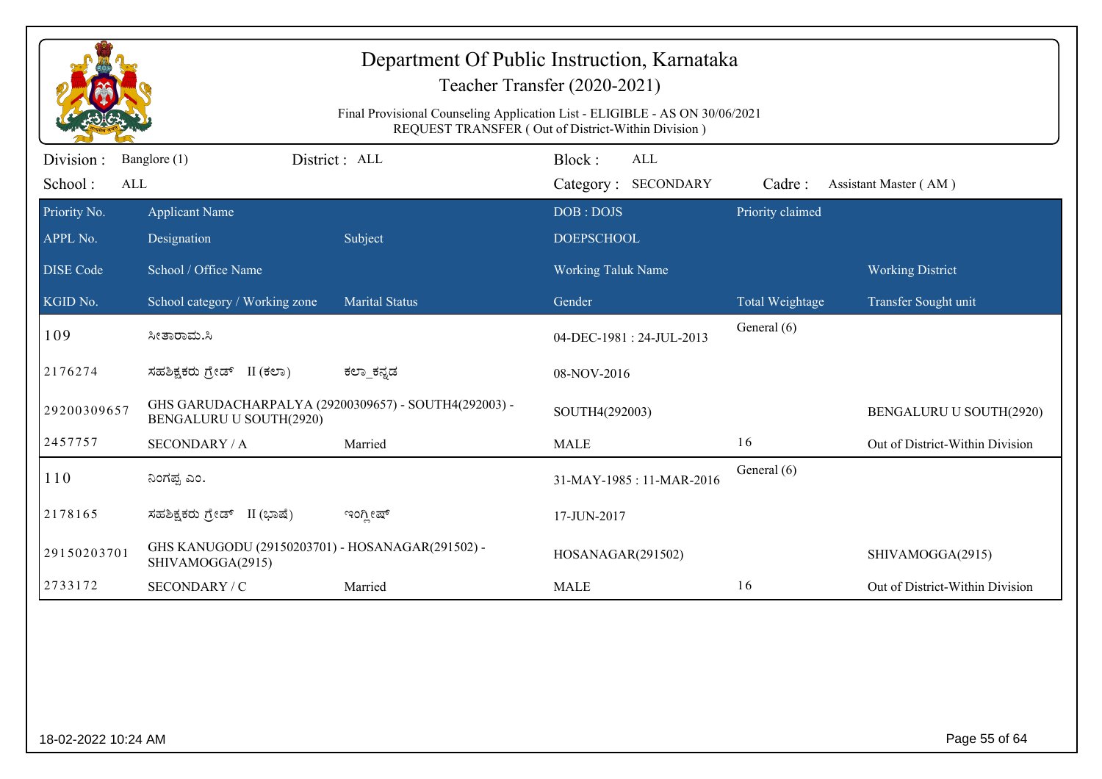|                              | Department Of Public Instruction, Karnataka<br>Teacher Transfer (2020-2021)<br>Final Provisional Counseling Application List - ELIGIBLE - AS ON 30/06/2021<br>REQUEST TRANSFER (Out of District-Within Division) |                       |                                      |                                |                                 |  |
|------------------------------|------------------------------------------------------------------------------------------------------------------------------------------------------------------------------------------------------------------|-----------------------|--------------------------------------|--------------------------------|---------------------------------|--|
| Division :<br>School:<br>ALL | Banglore (1)                                                                                                                                                                                                     | District: ALL         | Block:<br>ALL<br>Category: SECONDARY | Cadre:                         | Assistant Master (AM)           |  |
| Priority No.<br>APPL No.     | <b>Applicant Name</b><br>Designation                                                                                                                                                                             | Subject               | DOB: DOJS<br><b>DOEPSCHOOL</b>       | Priority claimed               |                                 |  |
| <b>DISE Code</b>             | School / Office Name                                                                                                                                                                                             |                       | <b>Working Taluk Name</b>            |                                | <b>Working District</b>         |  |
| KGID No.                     | School category / Working zone                                                                                                                                                                                   | <b>Marital Status</b> | Gender                               | Total Weightage<br>General (6) | Transfer Sought unit            |  |
| 109                          | ಸೀತಾರಾಮ.ಸಿ                                                                                                                                                                                                       |                       | 04-DEC-1981: 24-JUL-2013             |                                |                                 |  |
| 2176274                      | ಸಹಶಿಕ್ಷಕರು ಗ್ರೇಡ್ II (ಕಲಾ)                                                                                                                                                                                       | ಕಲ್_ಕನ್ನಡ             | 08-NOV-2016                          |                                |                                 |  |
| 29200309657                  | GHS GARUDACHARPALYA (29200309657) - SOUTH4(292003) -<br>BENGALURU U SOUTH(2920)                                                                                                                                  |                       | SOUTH4(292003)                       |                                | BENGALURU U SOUTH(2920)         |  |
| 2457757                      | <b>SECONDARY / A</b>                                                                                                                                                                                             | Married               | <b>MALE</b>                          | 16                             | Out of District-Within Division |  |
| 110                          | ನಿಂಗಪ್ಪ ಎಂ.                                                                                                                                                                                                      |                       | 31-MAY-1985: 11-MAR-2016             | General (6)                    |                                 |  |
| 2178165                      | ಸಹಶಿಕ್ಷಕರು ಗ್ರೇಡ್<br>II (ಭಾಷೆ)                                                                                                                                                                                   | ಇಂಗ್ಲೀಷ್              | 17-JUN-2017                          |                                |                                 |  |
| 29150203701                  | GHS KANUGODU (29150203701) - HOSANAGAR(291502) -<br>SHIVAMOGGA(2915)                                                                                                                                             |                       | HOSANAGAR(291502)                    |                                | SHIVAMOGGA(2915)                |  |
| 2733172                      | SECONDARY / C                                                                                                                                                                                                    | Married               | <b>MALE</b>                          | 16                             | Out of District-Within Division |  |
|                              |                                                                                                                                                                                                                  |                       |                                      |                                |                                 |  |
| 18-02-2022 10:24 AM          |                                                                                                                                                                                                                  |                       |                                      |                                | Page 55 of 64                   |  |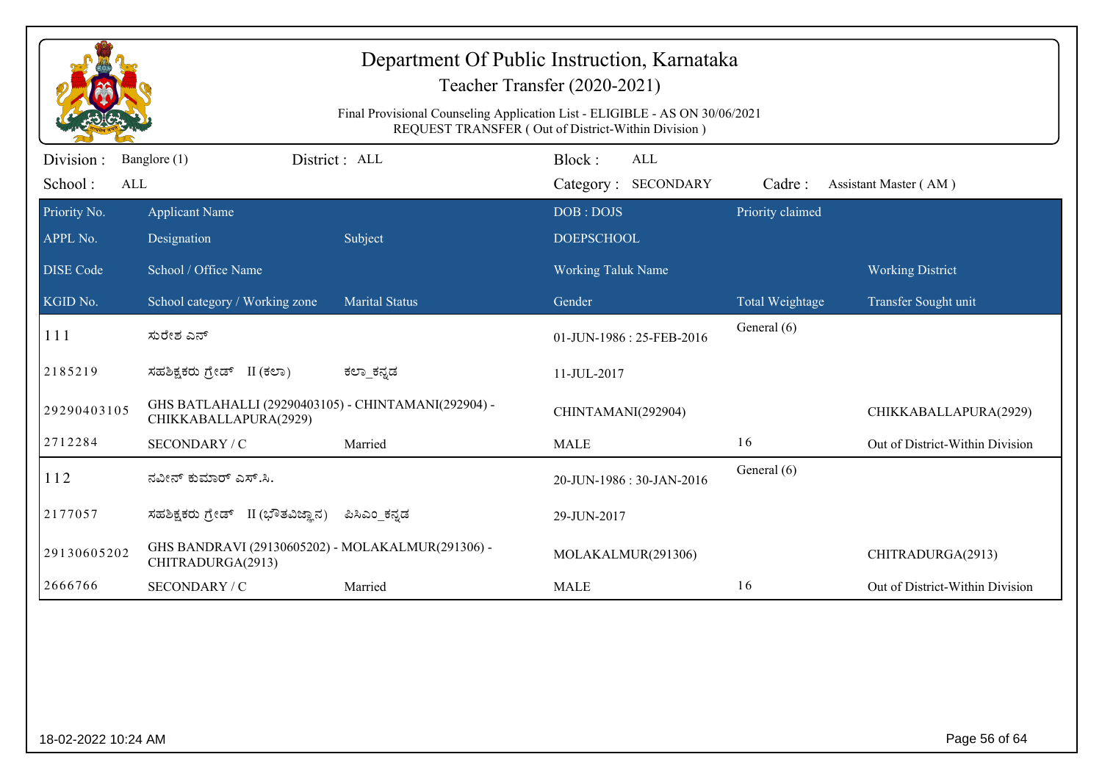| Teacher Transfer (2020-2021)<br>Final Provisional Counseling Application List - ELIGIBLE - AS ON 30/06/2021<br>REQUEST TRANSFER (Out of District-Within Division) |                                                                              |                       |                                             |                  |                                                 |
|-------------------------------------------------------------------------------------------------------------------------------------------------------------------|------------------------------------------------------------------------------|-----------------------|---------------------------------------------|------------------|-------------------------------------------------|
| Division:<br>School:<br>ALL                                                                                                                                       | Banglore (1)                                                                 | District : ALL        | Block:<br><b>ALL</b><br>Category: SECONDARY | Cadre:           | Assistant Master (AM)                           |
| Priority No.<br>APPL No.                                                                                                                                          | <b>Applicant Name</b><br>Designation                                         | Subject               | DOB: DOJS<br><b>DOEPSCHOOL</b>              | Priority claimed |                                                 |
| <b>DISE Code</b><br>KGID No.                                                                                                                                      | School / Office Name<br>School category / Working zone                       | <b>Marital Status</b> | Working Taluk Name<br>Gender                | Total Weightage  | <b>Working District</b><br>Transfer Sought unit |
| 111                                                                                                                                                               | ಸುರೇಶ ಎನ್                                                                    |                       | 01-JUN-1986: 25-FEB-2016                    | General (6)      |                                                 |
| 2185219                                                                                                                                                           | ಸಹಶಿಕ್ಷಕರು ಗ್ರೇಡ್ II (ಕಲಾ)                                                   | ಕಲಾ ಕನ್ನಡ             | 11-JUL-2017                                 |                  |                                                 |
| 29290403105                                                                                                                                                       | GHS BATLAHALLI (29290403105) - CHINTAMANI(292904) -<br>CHIKKABALLAPURA(2929) |                       | CHINTAMANI(292904)                          |                  | CHIKKABALLAPURA(2929)                           |
| 2712284                                                                                                                                                           | SECONDARY / C                                                                | Married               | <b>MALE</b>                                 | 16               | Out of District-Within Division                 |
| 112                                                                                                                                                               | ನವೀನ್ ಕುಮಾರ್ ಎಸ್.ಸಿ.                                                         |                       | 20-JUN-1986: 30-JAN-2016                    | General (6)      |                                                 |
| 2177057                                                                                                                                                           | ಸಹಶಿಕ್ಷಕರು ಗ್ರೇಡ್ II (ಭೌತವಿಜ್ಞಾನ)                                            | ಪಿಸಿಎಂ ಕನ್ನಡ          | 29-JUN-2017                                 |                  |                                                 |
| 29130605202                                                                                                                                                       | GHS BANDRAVI (29130605202) - MOLAKALMUR(291306) -<br>CHITRADURGA(2913)       |                       | MOLAKALMUR(291306)                          |                  | CHITRADURGA(2913)                               |
| 2666766                                                                                                                                                           | SECONDARY / C                                                                | Married               | <b>MALE</b>                                 | 16               | Out of District-Within Division                 |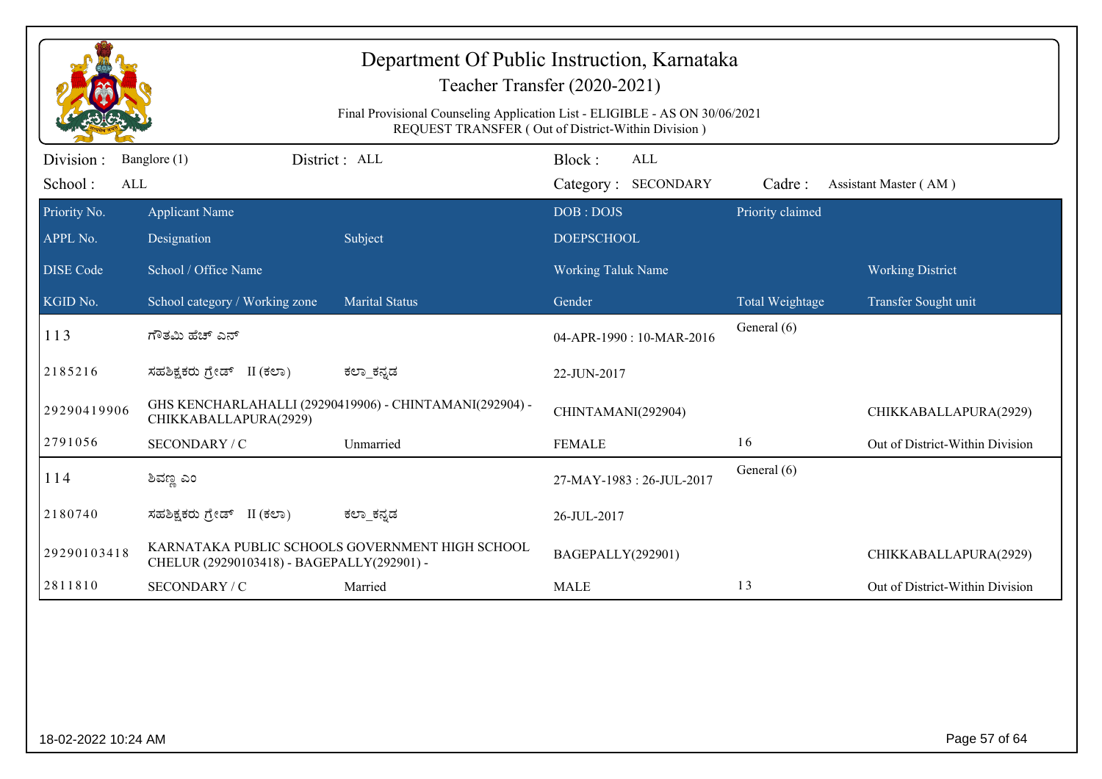|                              | Department Of Public Instruction, Karnataka<br>Teacher Transfer (2020-2021)<br>Final Provisional Counseling Application List - ELIGIBLE - AS ON 30/06/2021<br>REQUEST TRANSFER (Out of District-Within Division) |                                                         |                                      |                                |                                 |  |  |
|------------------------------|------------------------------------------------------------------------------------------------------------------------------------------------------------------------------------------------------------------|---------------------------------------------------------|--------------------------------------|--------------------------------|---------------------------------|--|--|
| Division :<br>School:<br>ALL | Banglore (1)                                                                                                                                                                                                     | District : ALL                                          | Block:<br>ALL<br>Category: SECONDARY | Cadre:                         | Assistant Master (AM)           |  |  |
| Priority No.<br>APPL No.     | <b>Applicant Name</b><br>Designation                                                                                                                                                                             | Subject                                                 | DOB: DOJS<br><b>DOEPSCHOOL</b>       | Priority claimed               |                                 |  |  |
| <b>DISE Code</b>             | School / Office Name                                                                                                                                                                                             |                                                         | <b>Working Taluk Name</b>            |                                | <b>Working District</b>         |  |  |
| KGID No.<br>113              | School category / Working zone<br>ಗೌತಮಿ ಹೆಚ್ ಎನ್                                                                                                                                                                 | <b>Marital Status</b>                                   | Gender<br>04-APR-1990 : 10-MAR-2016  | Total Weightage<br>General (6) | Transfer Sought unit            |  |  |
| 2185216                      | ಸಹಶಿಕ್ಷಕರು ಗ್ರೇಡ್ II (ಕಲಾ)                                                                                                                                                                                       | ಕಲ್_ಕನ್ನಡ                                               | 22-JUN-2017                          |                                |                                 |  |  |
| 29290419906                  | CHIKKABALLAPURA(2929)                                                                                                                                                                                            | GHS KENCHARLAHALLI (29290419906) - CHINTAMANI(292904) - | CHINTAMANI(292904)                   |                                | CHIKKABALLAPURA(2929)           |  |  |
| 2791056                      | SECONDARY / C                                                                                                                                                                                                    | Unmarried                                               | <b>FEMALE</b>                        | 16                             | Out of District-Within Division |  |  |
| 114                          | ಶಿವಣ್ಣ ಎಂ                                                                                                                                                                                                        |                                                         | 27-MAY-1983: 26-JUL-2017             | General (6)                    |                                 |  |  |
| 2180740                      | ಸಹಶಿಕ್ಷಕರು ಗ್ರೇಡ್ II (ಕಲಾ)                                                                                                                                                                                       | ಕಲ್_ಕನ್ನಡ                                               | 26-JUL-2017                          |                                |                                 |  |  |
| 29290103418                  | CHELUR (29290103418) - BAGEPALLY(292901) -                                                                                                                                                                       | KARNATAKA PUBLIC SCHOOLS GOVERNMENT HIGH SCHOOL         | BAGEPALLY(292901)                    |                                | CHIKKABALLAPURA(2929)           |  |  |
| 2811810                      | SECONDARY / C                                                                                                                                                                                                    | Married                                                 | <b>MALE</b>                          | 13                             | Out of District-Within Division |  |  |
|                              |                                                                                                                                                                                                                  |                                                         |                                      |                                |                                 |  |  |
| 18-02-2022 10:24 AM          |                                                                                                                                                                                                                  |                                                         |                                      |                                | Page 57 of 64                   |  |  |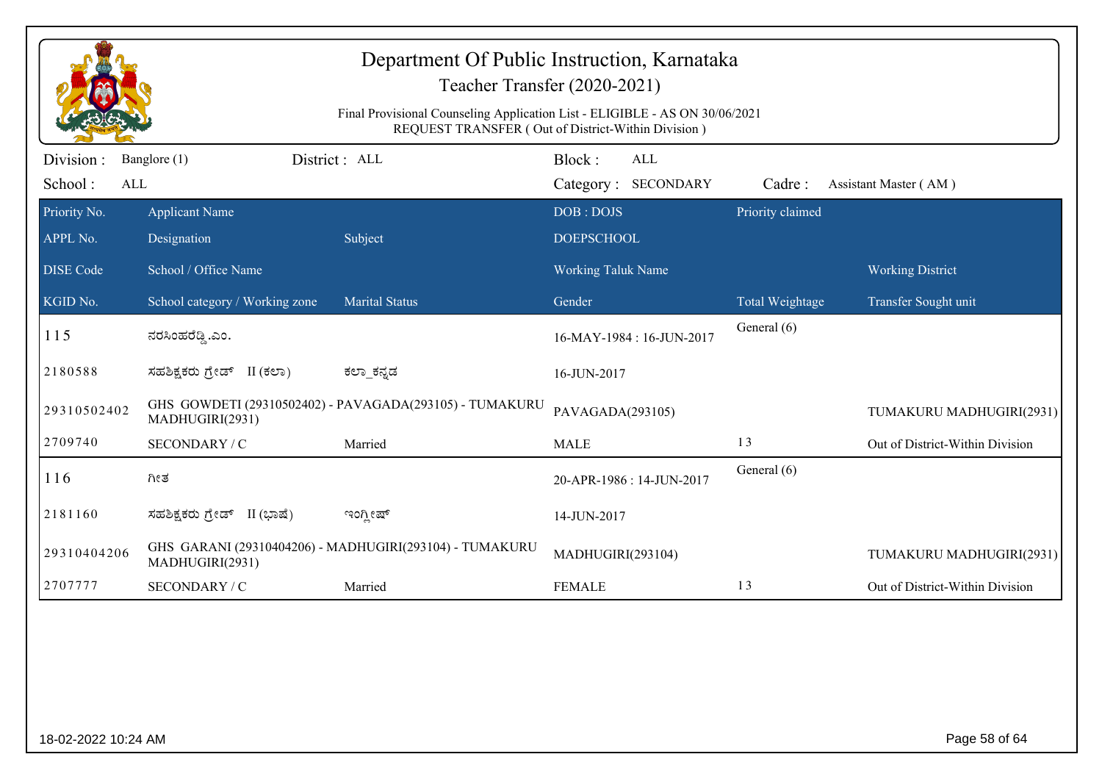|                             | Department Of Public Instruction, Karnataka<br>Teacher Transfer (2020-2021)<br>Final Provisional Counseling Application List - ELIGIBLE - AS ON 30/06/2021<br>REQUEST TRANSFER (Out of District-Within Division) |                                                         |                                             |                  |                                 |  |
|-----------------------------|------------------------------------------------------------------------------------------------------------------------------------------------------------------------------------------------------------------|---------------------------------------------------------|---------------------------------------------|------------------|---------------------------------|--|
| Division:<br>School:<br>ALL | Banglore (1)                                                                                                                                                                                                     | District: ALL                                           | Block:<br><b>ALL</b><br>Category: SECONDARY | Cadre:           | Assistant Master (AM)           |  |
| Priority No.<br>APPL No.    | <b>Applicant Name</b><br>Designation                                                                                                                                                                             | Subject                                                 | DOB: DOJS<br><b>DOEPSCHOOL</b>              | Priority claimed |                                 |  |
| <b>DISE Code</b>            | School / Office Name                                                                                                                                                                                             |                                                         | <b>Working Taluk Name</b>                   |                  | <b>Working District</b>         |  |
| KGID No.                    | School category / Working zone                                                                                                                                                                                   | <b>Marital Status</b>                                   | Gender                                      | Total Weightage  | Transfer Sought unit            |  |
| 115                         | ನರಸಿಂಹರೆಡ್ಡಿ.ಎಂ.                                                                                                                                                                                                 |                                                         | 16-MAY-1984: 16-JUN-2017                    | General (6)      |                                 |  |
| 2180588                     | ಸಹಶಿಕ್ಷಕರು ಗ್ರೇಡ್ II (ಕಲಾ)                                                                                                                                                                                       | ಕಲ್_ಕನ್ನಡ                                               | 16-JUN-2017                                 |                  |                                 |  |
| 29310502402                 | MADHUGIRI(2931)                                                                                                                                                                                                  | GHS GOWDETI (29310502402) - PAVAGADA(293105) - TUMAKURU | PAVAGADA(293105)                            |                  | TUMAKURU MADHUGIRI(2931)        |  |
| 2709740                     | SECONDARY / C                                                                                                                                                                                                    | Married                                                 | <b>MALE</b>                                 | 13               | Out of District-Within Division |  |
| 116                         | ಗೀತ                                                                                                                                                                                                              |                                                         | 20-APR-1986: 14-JUN-2017                    | General (6)      |                                 |  |
| 2181160                     | ಸಹಶಿಕ್ಷಕರು ಗ್ರೇಡ್ II (ಭಾಷೆ)                                                                                                                                                                                      | ಇಂಗ್ಲೀಷ್                                                | 14-JUN-2017                                 |                  |                                 |  |
| 29310404206                 | MADHUGIRI(2931)                                                                                                                                                                                                  | GHS GARANI (29310404206) - MADHUGIRI(293104) - TUMAKURU | MADHUGIRI(293104)                           |                  | TUMAKURU MADHUGIRI(2931)        |  |
| 2707777                     | SECONDARY / C                                                                                                                                                                                                    | Married                                                 | <b>FEMALE</b>                               | 13               | Out of District-Within Division |  |
|                             |                                                                                                                                                                                                                  |                                                         |                                             |                  |                                 |  |
| 18-02-2022 10:24 AM         |                                                                                                                                                                                                                  |                                                         |                                             |                  | Page 58 of 64                   |  |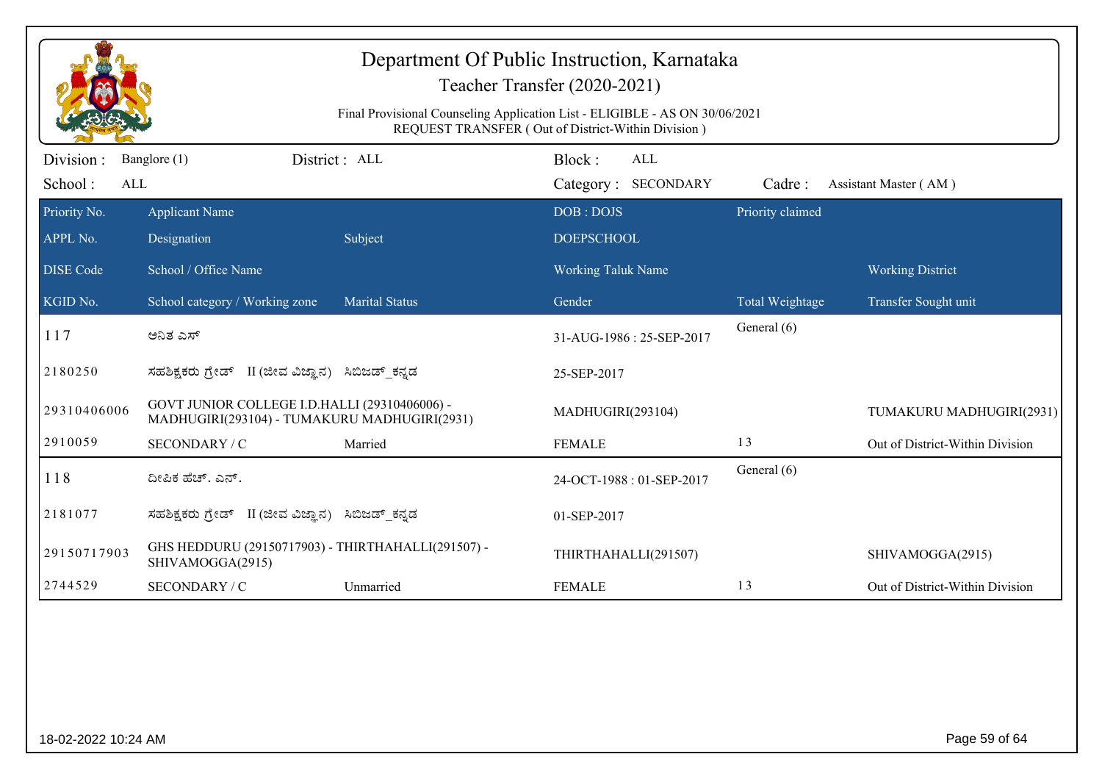| Department Of Public Instruction, Karnataka<br>Teacher Transfer (2020-2021)<br>Final Provisional Counseling Application List - ELIGIBLE - AS ON 30/06/2021<br>REQUEST TRANSFER (Out of District-Within Division) |                                                                                               |                       |                           |                  |                                 |  |
|------------------------------------------------------------------------------------------------------------------------------------------------------------------------------------------------------------------|-----------------------------------------------------------------------------------------------|-----------------------|---------------------------|------------------|---------------------------------|--|
| Division:                                                                                                                                                                                                        | Banglore (1)                                                                                  | District : ALL        | Block:<br>ALL             |                  |                                 |  |
| School:<br>ALL                                                                                                                                                                                                   |                                                                                               |                       | Category: SECONDARY       | Cadre:           | Assistant Master (AM)           |  |
| Priority No.                                                                                                                                                                                                     | <b>Applicant Name</b>                                                                         |                       | DOB: DOJS                 | Priority claimed |                                 |  |
| APPL No.                                                                                                                                                                                                         | Designation                                                                                   | Subject               | <b>DOEPSCHOOL</b>         |                  |                                 |  |
| <b>DISE Code</b>                                                                                                                                                                                                 | School / Office Name                                                                          |                       | <b>Working Taluk Name</b> |                  | <b>Working District</b>         |  |
| KGID No.                                                                                                                                                                                                         | School category / Working zone                                                                | <b>Marital Status</b> | Gender                    | Total Weightage  | Transfer Sought unit            |  |
| 117                                                                                                                                                                                                              | ಅನಿತ ಎಸ್                                                                                      |                       | 31-AUG-1986: 25-SEP-2017  | General (6)      |                                 |  |
| 2180250                                                                                                                                                                                                          | ಸಹಶಿಕ್ಷಕರು ಗ್ರೇಡ್ II (ಜೀವ ವಿಜ್ಞಾನ) ಸಿಬಿಜಡ್ ಕನ್ನಡ                                              |                       | 25-SEP-2017               |                  |                                 |  |
| 29310406006                                                                                                                                                                                                      | GOVT JUNIOR COLLEGE I.D.HALLI (29310406006) -<br>MADHUGIRI(293104) - TUMAKURU MADHUGIRI(2931) |                       | MADHUGIRI(293104)         |                  | TUMAKURU MADHUGIRI(2931)        |  |
| 2910059                                                                                                                                                                                                          | SECONDARY / C                                                                                 | Married               | <b>FEMALE</b>             | 13               | Out of District-Within Division |  |
| 118                                                                                                                                                                                                              | ದೀಪಿಕ ಹೆಚ್. ಎನ್.                                                                              |                       | 24-OCT-1988: 01-SEP-2017  | General (6)      |                                 |  |
| 2181077                                                                                                                                                                                                          | ಸಹಶಿಕ್ಷಕರು ಗ್ರೇಡ್ II (ಜೀವ ವಿಜ್ಞಾನ) ಸಿಬಿಜಡ್ ಕನ್ನಡ                                              |                       | 01-SEP-2017               |                  |                                 |  |
| 29150717903                                                                                                                                                                                                      | GHS HEDDURU (29150717903) - THIRTHAHALLI(291507) -<br>SHIVAMOGGA(2915)                        |                       | THIRTHAHALLI(291507)      |                  | SHIVAMOGGA(2915)                |  |
| 2744529                                                                                                                                                                                                          | SECONDARY / C                                                                                 | Unmarried             | <b>FEMALE</b>             | 13               | Out of District-Within Division |  |
|                                                                                                                                                                                                                  |                                                                                               |                       |                           |                  |                                 |  |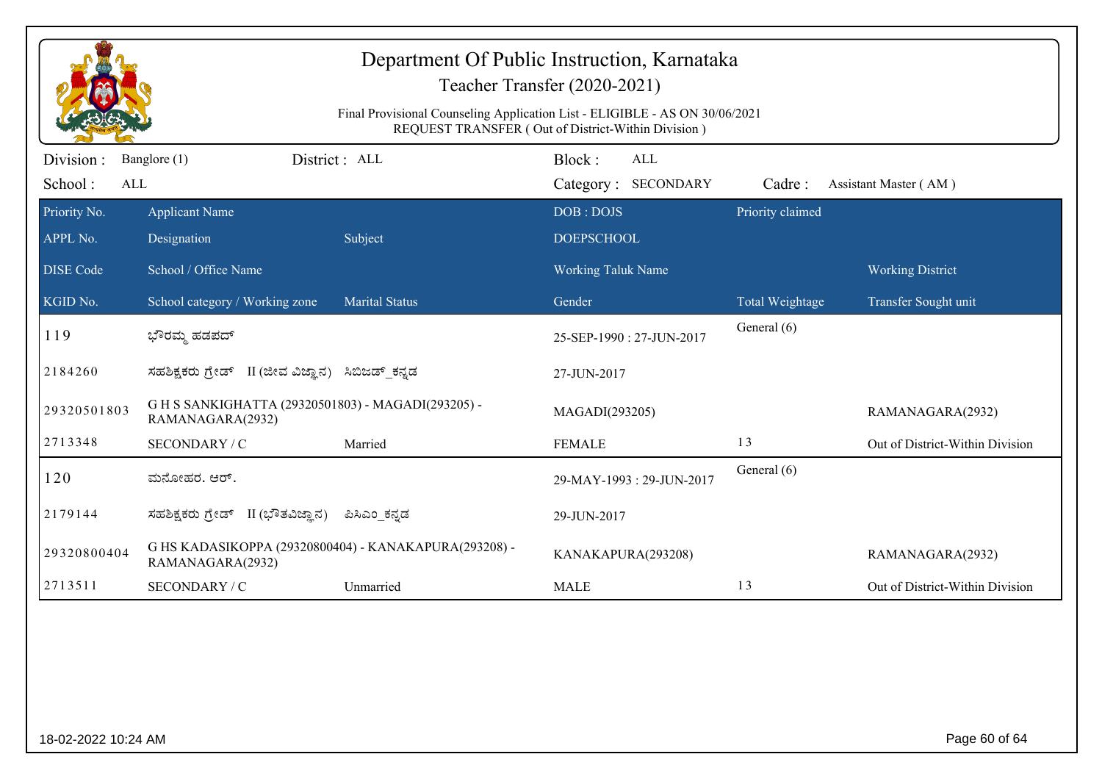|                             |                                                                           |                                                                             | Department Of Public Instruction, Karnataka<br>Teacher Transfer (2020-2021) |                  |                                 |
|-----------------------------|---------------------------------------------------------------------------|-----------------------------------------------------------------------------|-----------------------------------------------------------------------------|------------------|---------------------------------|
|                             |                                                                           | Final Provisional Counseling Application List - ELIGIBLE - AS ON 30/06/2021 | REQUEST TRANSFER (Out of District-Within Division)                          |                  |                                 |
| Division:<br>School:<br>ALL | Banglore (1)                                                              | District : ALL                                                              | Block:<br>ALL<br>Category: SECONDARY                                        | Cadre:           | Assistant Master (AM)           |
| Priority No.<br>APPL No.    | <b>Applicant Name</b><br>Designation                                      | Subject                                                                     | DOB: DOJS<br><b>DOEPSCHOOL</b>                                              | Priority claimed |                                 |
| <b>DISE Code</b>            | School / Office Name                                                      |                                                                             | Working Taluk Name                                                          |                  | <b>Working District</b>         |
| KGID No.                    | School category / Working zone                                            | <b>Marital Status</b>                                                       | Gender                                                                      | Total Weightage  | Transfer Sought unit            |
| 119                         | ಭೌರಮ್ಮ ಹಡಪದ್                                                              |                                                                             | 25-SEP-1990: 27-JUN-2017                                                    | General (6)      |                                 |
| 2184260                     | ಸಹಶಿಕ್ಷಕರು ಗ್ರೇಡ್ II (ಜೀವ ವಿಜ್ಞಾನ) ಸಿಬಿಜಡ್ ಕನ್ನಡ                          |                                                                             | 27-JUN-2017                                                                 |                  |                                 |
| 29320501803                 | G H S SANKIGHATTA (29320501803) - MAGADI(293205) -<br>RAMANAGARA(2932)    |                                                                             | MAGADI(293205)                                                              |                  | RAMANAGARA(2932)                |
| 2713348                     | SECONDARY / C                                                             | Married                                                                     | <b>FEMALE</b>                                                               | 13               | Out of District-Within Division |
| 120                         | ಮನೋಹರ. ಆರ್.                                                               |                                                                             | 29-MAY-1993: 29-JUN-2017                                                    | General (6)      |                                 |
| 2179144                     | ಸಹಶಿಕ್ಷಕರು ಗ್ರೇಡ್ II (ಭೌತವಿಜ್ಞಾನ)                                         | ಪಿಸಿಎಂ_ಕನ್ನಡ                                                                | 29-JUN-2017                                                                 |                  |                                 |
| 29320800404                 | G HS KADASIKOPPA (29320800404) - KANAKAPURA(293208) -<br>RAMANAGARA(2932) |                                                                             | KANAKAPURA(293208)                                                          |                  | RAMANAGARA(2932)                |
| 2713511                     | SECONDARY / C                                                             | Unmarried                                                                   | <b>MALE</b>                                                                 | 13               | Out of District-Within Division |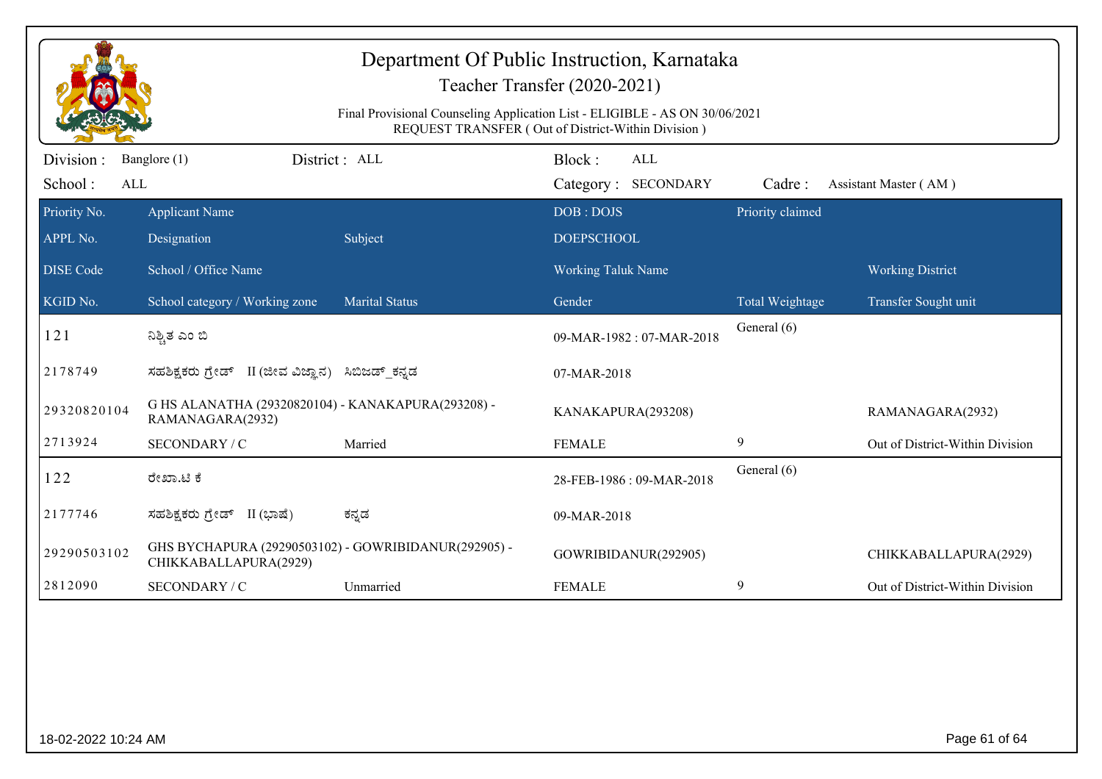| Department Of Public Instruction, Karnataka<br>Teacher Transfer (2020-2021)<br>Final Provisional Counseling Application List - ELIGIBLE - AS ON 30/06/2021<br>REQUEST TRANSFER (Out of District-Within Division) |                                                                               |                       |                                             |                  |                                 |
|------------------------------------------------------------------------------------------------------------------------------------------------------------------------------------------------------------------|-------------------------------------------------------------------------------|-----------------------|---------------------------------------------|------------------|---------------------------------|
| Division:<br>School:                                                                                                                                                                                             | Banglore (1)<br>ALL                                                           | District : ALL        | Block:<br><b>ALL</b><br>Category: SECONDARY | Cadre:           | Assistant Master (AM)           |
| Priority No.<br>APPL No.                                                                                                                                                                                         | <b>Applicant Name</b><br>Designation                                          | Subject               | DOB: DOJS<br><b>DOEPSCHOOL</b>              | Priority claimed |                                 |
| <b>DISE Code</b>                                                                                                                                                                                                 | School / Office Name                                                          |                       | Working Taluk Name                          |                  | <b>Working District</b>         |
| KGID No.                                                                                                                                                                                                         | School category / Working zone                                                | <b>Marital Status</b> | Gender                                      | Total Weightage  | Transfer Sought unit            |
| 121                                                                                                                                                                                                              | ನಿಶ್ಚಿತ ಎಂ ಬಿ                                                                 |                       | 09-MAR-1982: 07-MAR-2018                    | General (6)      |                                 |
| 2178749                                                                                                                                                                                                          | ಸಹಶಿಕ್ಷಕರು ಗ್ರೇಡ್ II (ಜೀವ ವಿಜ್ಞಾನ) ಸಿಬಿಜಡ್ ಕನ್ನಡ                              |                       | 07-MAR-2018                                 |                  |                                 |
| 29320820104                                                                                                                                                                                                      | G HS ALANATHA (29320820104) - KANAKAPURA(293208) -<br>RAMANAGARA(2932)        |                       | KANAKAPURA(293208)                          |                  | RAMANAGARA(2932)                |
| 2713924                                                                                                                                                                                                          | SECONDARY / C                                                                 | Married               | <b>FEMALE</b>                               | 9                | Out of District-Within Division |
| 122                                                                                                                                                                                                              | ರೇಖಾ.ಟಿ ಕೆ                                                                    |                       | 28-FEB-1986: 09-MAR-2018                    | General (6)      |                                 |
| 2177746                                                                                                                                                                                                          | ಸಹಶಿಕ್ಷಕರು ಗ್ರೇಡ್ II (ಭಾಷೆ)                                                   | ಕನ್ನಡ                 | 09-MAR-2018                                 |                  |                                 |
| 29290503102                                                                                                                                                                                                      | GHS BYCHAPURA (29290503102) - GOWRIBIDANUR(292905) -<br>CHIKKABALLAPURA(2929) |                       | GOWRIBIDANUR(292905)                        |                  | CHIKKABALLAPURA(2929)           |
| 2812090                                                                                                                                                                                                          | SECONDARY / C                                                                 | Unmarried             | <b>FEMALE</b>                               | 9                | Out of District-Within Division |
|                                                                                                                                                                                                                  |                                                                               |                       |                                             |                  |                                 |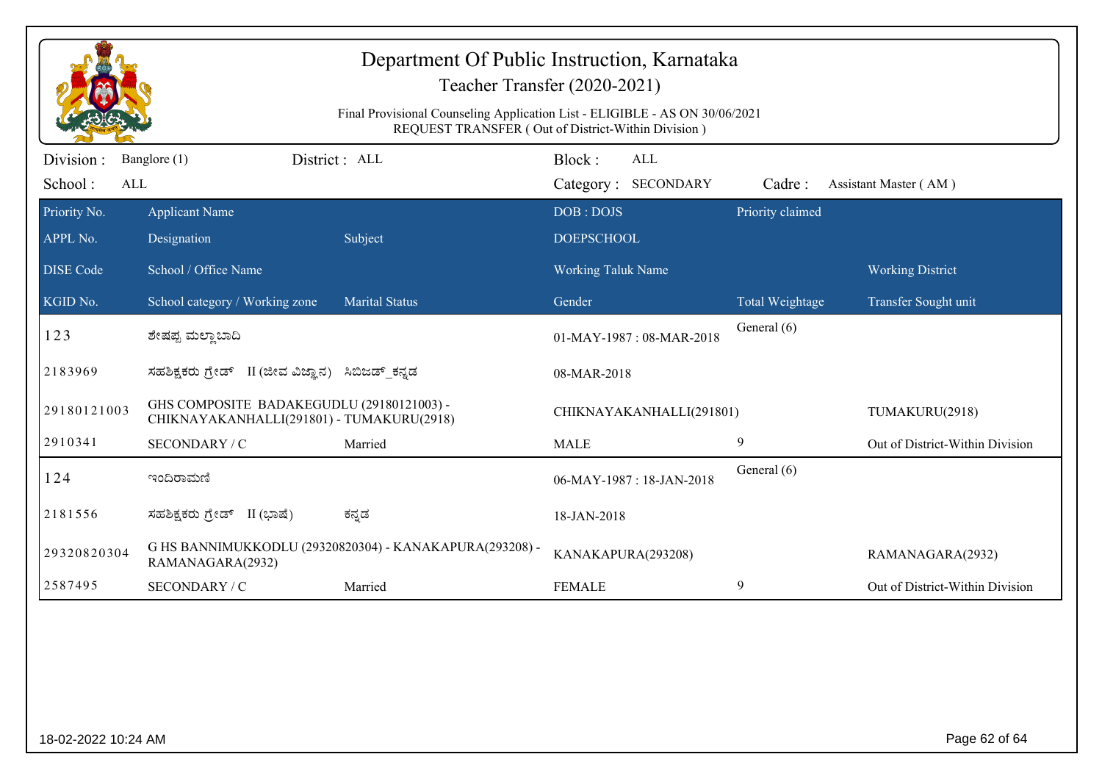| Department Of Public Instruction, Karnataka<br>Teacher Transfer (2020-2021)<br>Final Provisional Counseling Application List - ELIGIBLE - AS ON 30/06/2021<br>REQUEST TRANSFER (Out of District-Within Division) |                                                                                        |                                                         |                                      |                  |                                 |
|------------------------------------------------------------------------------------------------------------------------------------------------------------------------------------------------------------------|----------------------------------------------------------------------------------------|---------------------------------------------------------|--------------------------------------|------------------|---------------------------------|
| Division:<br>School:<br>ALL                                                                                                                                                                                      | Banglore (1)                                                                           | District : ALL                                          | Block:<br>ALL<br>Category: SECONDARY | Cadre:           | Assistant Master (AM)           |
| Priority No.                                                                                                                                                                                                     | <b>Applicant Name</b>                                                                  |                                                         | DOB: DOJS                            | Priority claimed |                                 |
| APPL No.                                                                                                                                                                                                         | Designation                                                                            | Subject                                                 | <b>DOEPSCHOOL</b>                    |                  |                                 |
| <b>DISE Code</b>                                                                                                                                                                                                 | School / Office Name                                                                   |                                                         | <b>Working Taluk Name</b>            |                  | <b>Working District</b>         |
| KGID No.                                                                                                                                                                                                         | School category / Working zone                                                         | <b>Marital Status</b>                                   | Gender                               | Total Weightage  | Transfer Sought unit            |
| 123                                                                                                                                                                                                              | ಶೇಷಪ್ಪ ಮಲ್ಲಾ ಬಾದಿ                                                                      |                                                         | 01-MAY-1987: 08-MAR-2018             | General (6)      |                                 |
| 2183969                                                                                                                                                                                                          | ಸಹಶಿಕ್ಷಕರು ಗ್ರೇಡ್ II (ಜೀವ ವಿಜ್ಞಾನ) ಸಿಬಿಜಡ್ ಕನ್ನಡ                                       |                                                         | 08-MAR-2018                          |                  |                                 |
| 29180121003                                                                                                                                                                                                      | GHS COMPOSITE BADAKEGUDLU (29180121003) -<br>CHIKNAYAKANHALLI(291801) - TUMAKURU(2918) |                                                         | CHIKNAYAKANHALLI(291801)             |                  | TUMAKURU(2918)                  |
| 2910341                                                                                                                                                                                                          | SECONDARY / C                                                                          | Married                                                 | <b>MALE</b>                          | 9                | Out of District-Within Division |
| 124                                                                                                                                                                                                              | ಇಂದಿರಾಮಣಿ                                                                              |                                                         | 06-MAY-1987: 18-JAN-2018             | General (6)      |                                 |
| 2181556                                                                                                                                                                                                          | ಸಹಶಿಕ್ಷಕರು ಗ್ರೇಡ್ II (ಭಾಷೆ)                                                            | ಕನ್ನಡ                                                   | 18-JAN-2018                          |                  |                                 |
| 29320820304                                                                                                                                                                                                      | RAMANAGARA(2932)                                                                       | G HS BANNIMUKKODLU (29320820304) - KANAKAPURA(293208) - | KANAKAPURA(293208)                   |                  | RAMANAGARA(2932)                |
| 2587495                                                                                                                                                                                                          | SECONDARY / C                                                                          | Married                                                 | <b>FEMALE</b>                        | 9                | Out of District-Within Division |
|                                                                                                                                                                                                                  |                                                                                        |                                                         |                                      |                  |                                 |
| Page 62 of 64<br>18-02-2022 10:24 AM                                                                                                                                                                             |                                                                                        |                                                         |                                      |                  |                                 |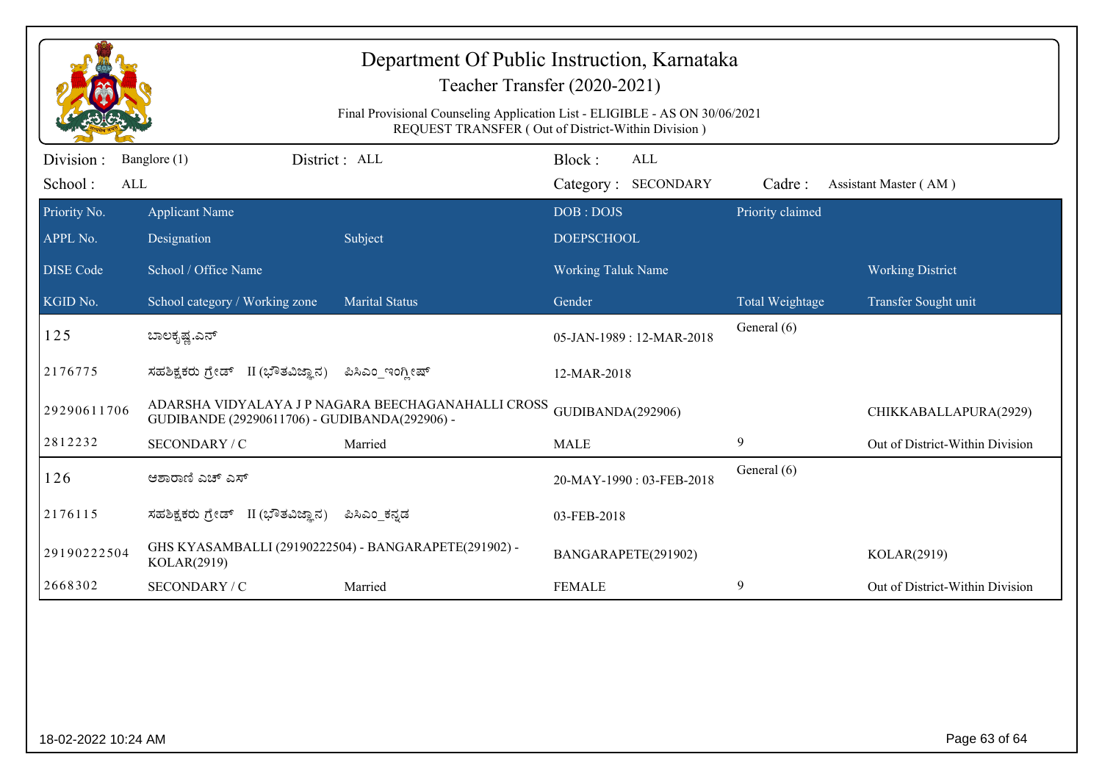| Department Of Public Instruction, Karnataka<br>Teacher Transfer (2020-2021)<br>Final Provisional Counseling Application List - ELIGIBLE - AS ON 30/06/2021<br>REQUEST TRANSFER (Out of District-Within Division) |                                                                                                    |                       |                                      |                  |                                 |
|------------------------------------------------------------------------------------------------------------------------------------------------------------------------------------------------------------------|----------------------------------------------------------------------------------------------------|-----------------------|--------------------------------------|------------------|---------------------------------|
| Division :<br>School:<br>ALL                                                                                                                                                                                     | Banglore (1)                                                                                       | District : ALL        | Block:<br>ALL<br>Category: SECONDARY | Cadre:           | Assistant Master (AM)           |
| Priority No.<br>APPL No.                                                                                                                                                                                         | <b>Applicant Name</b><br>Designation                                                               | Subject               | DOB: DOJS<br><b>DOEPSCHOOL</b>       | Priority claimed |                                 |
| <b>DISE Code</b>                                                                                                                                                                                                 | School / Office Name                                                                               |                       | Working Taluk Name                   |                  | <b>Working District</b>         |
| KGID No.                                                                                                                                                                                                         | School category / Working zone                                                                     | <b>Marital Status</b> | Gender                               | Total Weightage  | Transfer Sought unit            |
| 125                                                                                                                                                                                                              | ಬಾಲಕೃಷ್ಣ.ಎನ್                                                                                       |                       | 05-JAN-1989: 12-MAR-2018             | General (6)      |                                 |
| 2176775                                                                                                                                                                                                          | II (ಭೌತವಿಜ್ಞಾನ)<br>ಸಹಶಿಕ್ಷಕರು ಗ್ರೇಡ್                                                               | ಪಿಸಿಎಂ_ಇಂಗ್ಲೀಷ್       | 12-MAR-2018                          |                  |                                 |
| 29290611706                                                                                                                                                                                                      | ADARSHA VIDYALAYA JP NAGARA BEECHAGANAHALLI CROSS<br>GUDIBANDE (29290611706) - GUDIBANDA(292906) - |                       | GUDIBANDA(292906)                    |                  | CHIKKABALLAPURA(2929)           |
| 2812232                                                                                                                                                                                                          | SECONDARY / C                                                                                      | Married               | <b>MALE</b>                          | 9                | Out of District-Within Division |
| 126                                                                                                                                                                                                              | ಆಶಾರಾಣಿ ಎಚ್ ಎಸ್                                                                                    |                       | 20-MAY-1990: 03-FEB-2018             | General (6)      |                                 |
| 2176115                                                                                                                                                                                                          | ಸಹಶಿಕ್ಷಕರು ಗ್ರೇಡ್ II (ಭೌತವಿಜ್ಞಾನ)                                                                  | ಪಿಸಿಎಂ ಕನ್ನಡ          | 03-FEB-2018                          |                  |                                 |
| 29190222504                                                                                                                                                                                                      | GHS KYASAMBALLI (29190222504) - BANGARAPETE(291902) -<br>KOLAR(2919)                               |                       | BANGARAPETE(291902)                  |                  | KOLAR(2919)                     |
| 2668302                                                                                                                                                                                                          | SECONDARY / C                                                                                      | Married               | <b>FEMALE</b>                        | 9                | Out of District-Within Division |
|                                                                                                                                                                                                                  |                                                                                                    |                       |                                      |                  |                                 |
| Page 63 of 64<br>18-02-2022 10:24 AM                                                                                                                                                                             |                                                                                                    |                       |                                      |                  |                                 |